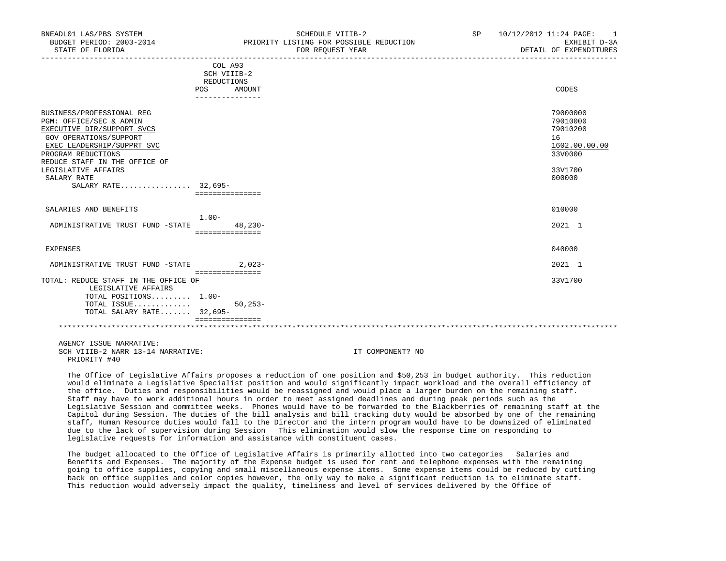| BNEADL01 LAS/PBS SYSTEM<br>BUDGET PERIOD: 2003-2014<br>STATE OF FLORIDA                                                                                                                                                                 |                                                    | SCHEDULE VIIIB-2<br>PRIORITY LISTING FOR POSSIBLE REDUCTION<br>FOR REQUEST YEAR<br>_____________________________________ | SP 10/12/2012 11:24 PAGE: 1<br>EXHIBIT D-3A<br>DETAIL OF EXPENDITURES                   |
|-----------------------------------------------------------------------------------------------------------------------------------------------------------------------------------------------------------------------------------------|----------------------------------------------------|--------------------------------------------------------------------------------------------------------------------------|-----------------------------------------------------------------------------------------|
|                                                                                                                                                                                                                                         | COL A93<br>SCH VIIIB-2<br>REDUCTIONS<br>POS AMOUNT |                                                                                                                          | CODES                                                                                   |
|                                                                                                                                                                                                                                         | ----------------                                   |                                                                                                                          |                                                                                         |
| BUSINESS/PROFESSIONAL REG<br>PGM: OFFICE/SEC & ADMIN<br>EXECUTIVE DIR/SUPPORT SVCS<br>GOV OPERATIONS/SUPPORT<br>EXEC LEADERSHIP/SUPPRT SVC<br>PROGRAM REDUCTIONS<br>REDUCE STAFF IN THE OFFICE OF<br>LEGISLATIVE AFFAIRS<br>SALARY RATE |                                                    |                                                                                                                          | 79000000<br>79010000<br>79010200<br>16<br>1602.00.00.00<br>33V0000<br>33V1700<br>000000 |
| SALARY RATE 32,695-                                                                                                                                                                                                                     | ===============                                    |                                                                                                                          |                                                                                         |
| SALARIES AND BENEFITS                                                                                                                                                                                                                   |                                                    |                                                                                                                          | 010000                                                                                  |
| ADMINISTRATIVE TRUST FUND -STATE                                                                                                                                                                                                        | 1.00-<br>48,230-<br>===============                |                                                                                                                          | 2021 1                                                                                  |
| EXPENSES                                                                                                                                                                                                                                |                                                    |                                                                                                                          | 040000                                                                                  |
| ADMINISTRATIVE TRUST FUND -STATE 2,023-                                                                                                                                                                                                 |                                                    |                                                                                                                          | 2021 1                                                                                  |
| TOTAL: REDUCE STAFF IN THE OFFICE OF<br>LEGISLATIVE AFFAIRS<br>TOTAL POSITIONS 1.00-<br>TOTAL ISSUE<br>TOTAL SALARY RATE 32,695-                                                                                                        | ----------------<br>$50, 253 -$<br>=============== |                                                                                                                          | 33V1700                                                                                 |
|                                                                                                                                                                                                                                         |                                                    |                                                                                                                          |                                                                                         |
| AGENCY ISSUE NARRATIVE:<br>SCH VIIIB-2 NARR 13-14 NARRATIVE:<br>PRIORITY #40                                                                                                                                                            |                                                    | IT COMPONENT? NO                                                                                                         |                                                                                         |

 The Office of Legislative Affairs proposes a reduction of one position and \$50,253 in budget authority. This reduction would eliminate a Legislative Specialist position and would significantly impact workload and the overall efficiency of the office. Duties and responsibilities would be reassigned and would place a larger burden on the remaining staff. Staff may have to work additional hours in order to meet assigned deadlines and during peak periods such as the Legislative Session and committee weeks. Phones would have to be forwarded to the Blackberries of remaining staff at the Capitol during Session. The duties of the bill analysis and bill tracking duty would be absorbed by one of the remaining staff, Human Resource duties would fall to the Director and the intern program would have to be downsized of eliminated due to the lack of supervision during Session This elimination would slow the response time on responding to legislative requests for information and assistance with constituent cases.

 The budget allocated to the Office of Legislative Affairs is primarily allotted into two categories Salaries and Benefits and Expenses. The majority of the Expense budget is used for rent and telephone expenses with the remaining going to office supplies, copying and small miscellaneous expense items. Some expense items could be reduced by cutting back on office supplies and color copies however, the only way to make a significant reduction is to eliminate staff. This reduction would adversely impact the quality, timeliness and level of services delivered by the Office of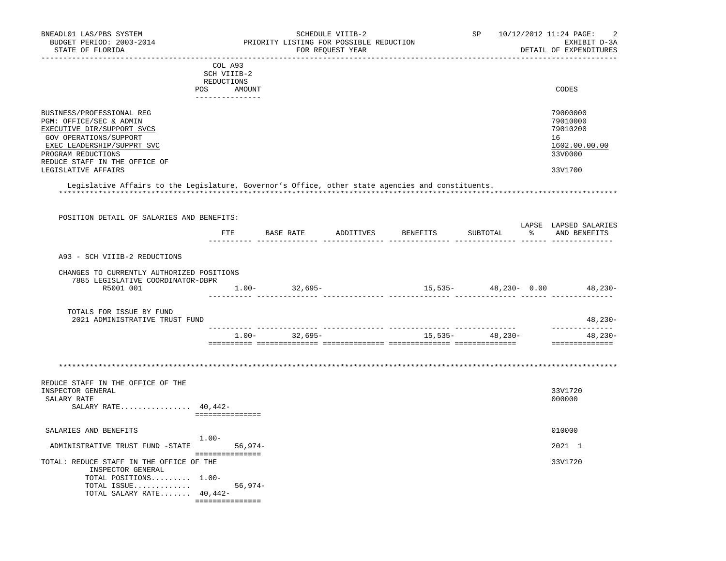| BNEADL01 LAS/PBS SYSTEM<br>BUDGET PERIOD: 2003-2014<br>STATE OF FLORIDA                                                          |                               | PRIORITY LISTING FOR POSSIBLE REDUCTION<br>FOR REQUEST YEAR | SCHEDULE VIIIB-2 |                                                          |  | SP 10/12/2012 11:24 PAGE:<br>2<br>EXHIBIT D-3A<br>DETAIL OF EXPENDITURES |
|----------------------------------------------------------------------------------------------------------------------------------|-------------------------------|-------------------------------------------------------------|------------------|----------------------------------------------------------|--|--------------------------------------------------------------------------|
| ____________________________________                                                                                             | COL A93                       |                                                             |                  |                                                          |  |                                                                          |
|                                                                                                                                  | SCH VIIIB-2                   |                                                             |                  |                                                          |  |                                                                          |
|                                                                                                                                  | REDUCTIONS                    |                                                             |                  |                                                          |  |                                                                          |
|                                                                                                                                  | POS AMOUNT<br>--------------- |                                                             |                  |                                                          |  | CODES                                                                    |
| BUSINESS/PROFESSIONAL REG                                                                                                        |                               |                                                             |                  |                                                          |  | 79000000                                                                 |
| PGM: OFFICE/SEC & ADMIN                                                                                                          |                               |                                                             |                  |                                                          |  | 79010000                                                                 |
| EXECUTIVE DIR/SUPPORT SVCS                                                                                                       |                               |                                                             |                  |                                                          |  | 79010200                                                                 |
| GOV OPERATIONS/SUPPORT                                                                                                           |                               |                                                             |                  |                                                          |  | 16                                                                       |
| EXEC LEADERSHIP/SUPPRT SVC                                                                                                       |                               |                                                             |                  |                                                          |  | 1602.00.00.00                                                            |
| PROGRAM REDUCTIONS                                                                                                               |                               |                                                             |                  |                                                          |  | 33V0000                                                                  |
| REDUCE STAFF IN THE OFFICE OF<br>LEGISLATIVE AFFAIRS                                                                             |                               |                                                             |                  |                                                          |  | 33V1700                                                                  |
| Legislative Affairs to the Legislature, Governor's Office, other state agencies and constituents.                                |                               |                                                             |                  |                                                          |  |                                                                          |
|                                                                                                                                  |                               |                                                             |                  |                                                          |  |                                                                          |
| POSITION DETAIL OF SALARIES AND BENEFITS:                                                                                        |                               |                                                             |                  |                                                          |  | LAPSE LAPSED SALARIES                                                    |
|                                                                                                                                  |                               |                                                             |                  | FTE BASE RATE ADDITIVES BENEFITS SUBTOTAL % AND BENEFITS |  |                                                                          |
|                                                                                                                                  |                               |                                                             |                  |                                                          |  |                                                                          |
| A93 - SCH VIIIB-2 REDUCTIONS                                                                                                     |                               |                                                             |                  |                                                          |  |                                                                          |
| CHANGES TO CURRENTLY AUTHORIZED POSITIONS                                                                                        |                               |                                                             |                  |                                                          |  |                                                                          |
| 7885 LEGISLATIVE COORDINATOR-DBPR                                                                                                |                               |                                                             |                  |                                                          |  |                                                                          |
| R5001 001                                                                                                                        | $1.00-32,695-$                |                                                             |                  |                                                          |  | $15,535-$ 48, 230 - 0.00 48, 230 -                                       |
| TOTALS FOR ISSUE BY FUND                                                                                                         |                               |                                                             |                  |                                                          |  |                                                                          |
| 2021 ADMINISTRATIVE TRUST FUND                                                                                                   |                               |                                                             |                  |                                                          |  | $48,230-$<br>---------------                                             |
|                                                                                                                                  |                               |                                                             |                  |                                                          |  |                                                                          |
|                                                                                                                                  |                               |                                                             |                  | $1.00 - 32,695 - 15,535 - 48,230 -$                      |  | 48,230-                                                                  |
|                                                                                                                                  |                               |                                                             |                  |                                                          |  |                                                                          |
|                                                                                                                                  |                               |                                                             |                  |                                                          |  |                                                                          |
|                                                                                                                                  |                               |                                                             |                  |                                                          |  | 33V1720                                                                  |
|                                                                                                                                  |                               |                                                             |                  |                                                          |  | 000000                                                                   |
| SALARY RATE $40,442-$                                                                                                            | ===============               |                                                             |                  |                                                          |  |                                                                          |
|                                                                                                                                  |                               |                                                             |                  |                                                          |  |                                                                          |
|                                                                                                                                  | $1.00 -$                      |                                                             |                  |                                                          |  | 010000                                                                   |
| ADMINISTRATIVE TRUST FUND -STATE 56,974-                                                                                         |                               |                                                             |                  |                                                          |  | 2021 1                                                                   |
| SALARIES AND BENEFITS<br>INSPECTOR GENERAL                                                                                       | ================              |                                                             |                  |                                                          |  | 33V1720                                                                  |
| TOTAL POSITIONS $1.00-$                                                                                                          |                               |                                                             |                  |                                                          |  |                                                                          |
| REDUCE STAFF IN THE OFFICE OF THE<br>INSPECTOR GENERAL<br>SALARY RATE<br>TOTAL: REDUCE STAFF IN THE OFFICE OF THE<br>TOTAL ISSUE | $56,974-$                     |                                                             |                  |                                                          |  |                                                                          |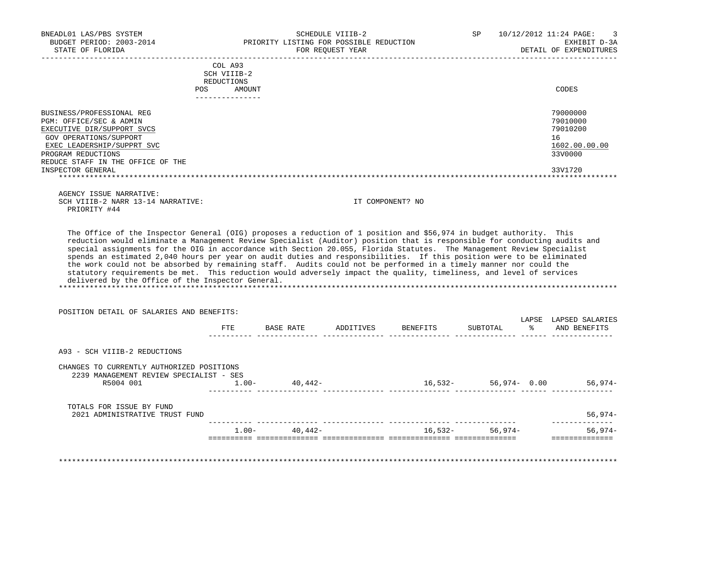DETAIL OF EXPENDITURES

|                                                                                                                                                                                                       | COL A93<br>SCH VIIIB-2<br><b>REDUCTIONS</b><br>AMOUNT<br><b>POS</b><br>---------------- | CODES                                                              |
|-------------------------------------------------------------------------------------------------------------------------------------------------------------------------------------------------------|-----------------------------------------------------------------------------------------|--------------------------------------------------------------------|
| BUSINESS/PROFESSIONAL REG<br>PGM: OFFICE/SEC & ADMIN<br>EXECUTIVE DIR/SUPPORT SVCS<br>GOV OPERATIONS/SUPPORT<br>EXEC LEADERSHIP/SUPPRT SVC<br>PROGRAM REDUCTIONS<br>REDUCE STAFF IN THE OFFICE OF THE |                                                                                         | 79000000<br>79010000<br>79010200<br>16<br>1602.00.00.00<br>33V0000 |
| INSPECTOR GENERAL                                                                                                                                                                                     |                                                                                         | 33V1720                                                            |

 AGENCY ISSUE NARRATIVE: SCH VIIIB-2 NARR 13-14 NARRATIVE: IT COMPONENT? NO PRIORITY #44

 The Office of the Inspector General (OIG) proposes a reduction of 1 position and \$56,974 in budget authority. This reduction would eliminate a Management Review Specialist (Auditor) position that is responsible for conducting audits and special assignments for the OIG in accordance with Section 20.055, Florida Statutes. The Management Review Specialist spends an estimated 2,040 hours per year on audit duties and responsibilities. If this position were to be eliminated the work could not be absorbed by remaining staff. Audits could not be performed in a timely manner nor could the statutory requirements be met. This reduction would adversely impact the quality, timeliness, and level of services delivered by the Office of the Inspector General. \*\*\*\*\*\*\*\*\*\*\*\*\*\*\*\*\*\*\*\*\*\*\*\*\*\*\*\*\*\*\*\*\*\*\*\*\*\*\*\*\*\*\*\*\*\*\*\*\*\*\*\*\*\*\*\*\*\*\*\*\*\*\*\*\*\*\*\*\*\*\*\*\*\*\*\*\*\*\*\*\*\*\*\*\*\*\*\*\*\*\*\*\*\*\*\*\*\*\*\*\*\*\*\*\*\*\*\*\*\*\*\*\*\*\*\*\*\*\*\*\*\*\*\*\*\*\*

POSITION DETAIL OF SALARIES AND BENEFITS:

|                                                                                                   | FTE      | BASE RATE | ADDITIVES | BENEFITS | LAPSE<br>ႜ<br>SUBTOTAL | LAPSED SALARIES<br>AND BENEFITS |
|---------------------------------------------------------------------------------------------------|----------|-----------|-----------|----------|------------------------|---------------------------------|
| A93 - SCH VIIIB-2 REDUCTIONS                                                                      |          |           |           |          |                        |                                 |
| CHANGES TO CURRENTLY AUTHORIZED POSITIONS<br>2239 MANAGEMENT REVIEW SPECIALIST - SES<br>R5004 001 | $1.00 -$ | 40,442-   |           | 16,532-  | $56,974 - 0.00$        | $56,974-$                       |
|                                                                                                   |          |           |           |          |                        |                                 |
| TOTALS FOR ISSUE BY FUND<br>2021 ADMINISTRATIVE TRUST FUND                                        |          |           |           |          |                        | $56,974-$                       |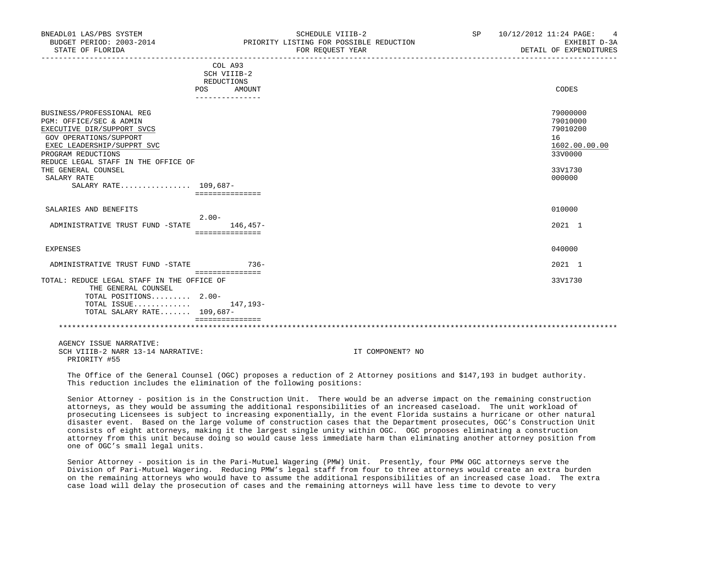| BUDGET PERIOD: 2003-2014<br>STATE OF FLORIDA                                                                                                                                                                                                                                 |                                                                           | PRIORITY LISTING FOR POSSIBLE REDUCTION<br>FOR REQUEST YEAR | EXHIBIT D-3A<br>DETAIL OF EXPENDITURES                                                  |
|------------------------------------------------------------------------------------------------------------------------------------------------------------------------------------------------------------------------------------------------------------------------------|---------------------------------------------------------------------------|-------------------------------------------------------------|-----------------------------------------------------------------------------------------|
|                                                                                                                                                                                                                                                                              | COL A93<br>SCH VIIIB-2<br>REDUCTIONS<br>POS<br>AMOUNT<br>---------------- |                                                             | CODES                                                                                   |
| BUSINESS/PROFESSIONAL REG<br>PGM: OFFICE/SEC & ADMIN<br>EXECUTIVE DIR/SUPPORT SVCS<br><b>GOV OPERATIONS/SUPPORT</b><br>EXEC LEADERSHIP/SUPPRT SVC<br>PROGRAM REDUCTIONS<br>REDUCE LEGAL STAFF IN THE OFFICE OF<br>THE GENERAL COUNSEL<br>SALARY RATE<br>SALARY RATE 109,687- | ===============                                                           |                                                             | 79000000<br>79010000<br>79010200<br>16<br>1602.00.00.00<br>33V0000<br>33V1730<br>000000 |
| SALARIES AND BENEFITS<br>ADMINISTRATIVE TRUST FUND -STATE                                                                                                                                                                                                                    | $2.00 -$<br>146,457-<br>===============                                   |                                                             | 010000<br>2021 1                                                                        |
| EXPENSES<br>ADMINISTRATIVE TRUST FUND -STATE 736-                                                                                                                                                                                                                            |                                                                           |                                                             | 040000<br>2021 1                                                                        |
| TOTAL: REDUCE LEGAL STAFF IN THE OFFICE OF<br>THE GENERAL COUNSEL<br>TOTAL POSITIONS 2.00-<br>TOTAL ISSUE $147,193-$<br>TOTAL SALARY RATE 109,687-                                                                                                                           | ===============<br>===============                                        |                                                             | 33V1730                                                                                 |
| AGENCY ISSUE NARRATIVE:<br>SCH VIIIB-2 NARR 13-14 NARRATIVE:<br>PRIORITY #55                                                                                                                                                                                                 |                                                                           | IT COMPONENT? NO                                            |                                                                                         |

BNEADL01 LAS/PBS SYSTEM SCHEDULE VIIIB-2 SCHEDULE VIIIB-2 SP 10/12/2012 11:24 PAGE: 4

 The Office of the General Counsel (OGC) proposes a reduction of 2 Attorney positions and \$147,193 in budget authority. This reduction includes the elimination of the following positions:

 Senior Attorney - position is in the Construction Unit. There would be an adverse impact on the remaining construction attorneys, as they would be assuming the additional responsibilities of an increased caseload. The unit workload of prosecuting Licensees is subject to increasing exponentially, in the event Florida sustains a hurricane or other natural disaster event. Based on the large volume of construction cases that the Department prosecutes, OGC's Construction Unit consists of eight attorneys, making it the largest single unity within OGC. OGC proposes eliminating a construction attorney from this unit because doing so would cause less immediate harm than eliminating another attorney position from one of OGC's small legal units.

 Senior Attorney - position is in the Pari-Mutuel Wagering (PMW) Unit. Presently, four PMW OGC attorneys serve the Division of Pari-Mutuel Wagering. Reducing PMW's legal staff from four to three attorneys would create an extra burden on the remaining attorneys who would have to assume the additional responsibilities of an increased case load. The extra case load will delay the prosecution of cases and the remaining attorneys will have less time to devote to very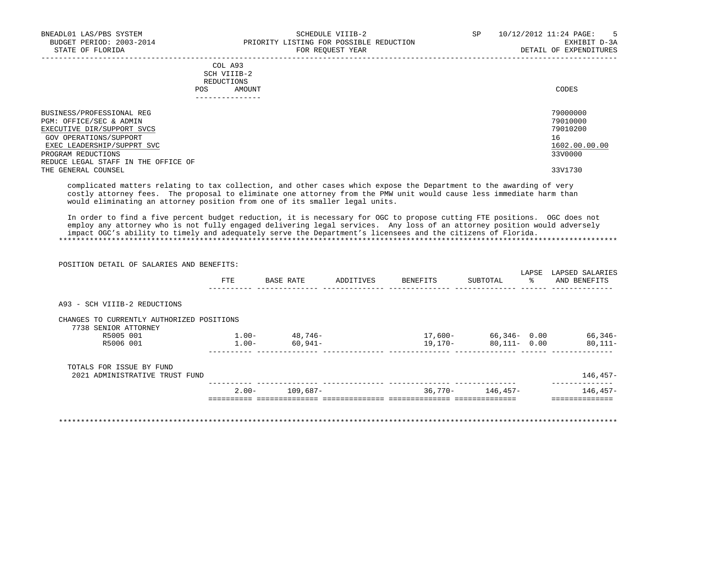|     | --------------- |       |
|-----|-----------------|-------|
| POS | AMOUNT          | CODES |
|     | REDUCTIONS      |       |
|     | SCH VIIIB-2     |       |
|     | COL A93         |       |

| BUSINESS/PROFESSIONAL REG           | 79000000      |
|-------------------------------------|---------------|
| PGM: OFFICE/SEC & ADMIN             | 79010000      |
| EXECUTIVE DIR/SUPPORT SVCS          | 79010200      |
| GOV OPERATIONS/SUPPORT              | 16            |
| EXEC LEADERSHIP/SUPPRT SVC          | 1602.00.00.00 |
| PROGRAM REDUCTIONS                  | 33V0000       |
| REDUCE LEGAL STAFF IN THE OFFICE OF |               |
| THE GENERAL COUNSEL                 | 33V1730       |

 complicated matters relating to tax collection, and other cases which expose the Department to the awarding of very costly attorney fees. The proposal to eliminate one attorney from the PMW unit would cause less immediate harm than would eliminating an attorney position from one of its smaller legal units.

 In order to find a five percent budget reduction, it is necessary for OGC to propose cutting FTE positions. OGC does not employ any attorney who is not fully engaged delivering legal services. Any loss of an attorney position would adversely impact OGC's ability to timely and adequately serve the Department's licensees and the citizens of Florida. \*\*\*\*\*\*\*\*\*\*\*\*\*\*\*\*\*\*\*\*\*\*\*\*\*\*\*\*\*\*\*\*\*\*\*\*\*\*\*\*\*\*\*\*\*\*\*\*\*\*\*\*\*\*\*\*\*\*\*\*\*\*\*\*\*\*\*\*\*\*\*\*\*\*\*\*\*\*\*\*\*\*\*\*\*\*\*\*\*\*\*\*\*\*\*\*\*\*\*\*\*\*\*\*\*\*\*\*\*\*\*\*\*\*\*\*\*\*\*\*\*\*\*\*\*\*\*

| POSITION DETAIL OF SALARIES AND BENEFITS:                         |          |           |           |          |                 |             |                                 |
|-------------------------------------------------------------------|----------|-----------|-----------|----------|-----------------|-------------|---------------------------------|
|                                                                   | FTE.     | BASE RATE | ADDITIVES | BENEFITS | SUBTOTAL        | LAPSE<br>ႜႜ | LAPSED SALARIES<br>AND BENEFITS |
| A93 - SCH VIIIB-2 REDUCTIONS                                      |          |           |           |          |                 |             |                                 |
| CHANGES TO CURRENTLY AUTHORIZED POSITIONS<br>7738 SENIOR ATTORNEY |          |           |           |          |                 |             |                                 |
| R5005 001                                                         | $1.00 -$ | 48,746-   |           | 17,600-  | 66,346-0.00     |             | 66,346-                         |
|                                                                   |          |           |           |          |                 |             |                                 |
| R5006 001                                                         | $1.00-$  | 60,941-   |           | 19,170-  | $80,111 - 0.00$ |             |                                 |
| TOTALS FOR ISSUE BY FUND                                          |          |           |           |          |                 |             | $80,111-$                       |
| 2021 ADMINISTRATIVE TRUST FUND                                    |          |           |           |          |                 |             | $146, 457 -$                    |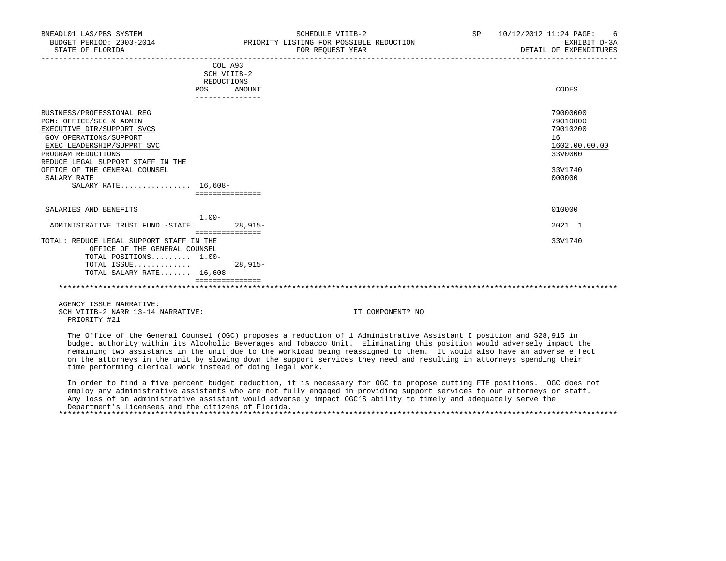|                                                                                                                                                                                                                                                                              | COL A93<br>SCH VIIIB-2<br>REDUCTIONS |           |                                                                                         |
|------------------------------------------------------------------------------------------------------------------------------------------------------------------------------------------------------------------------------------------------------------------------------|--------------------------------------|-----------|-----------------------------------------------------------------------------------------|
|                                                                                                                                                                                                                                                                              | POS                                  | AMOUNT    | CODES                                                                                   |
| BUSINESS/PROFESSIONAL REG<br>PGM: OFFICE/SEC & ADMIN<br>EXECUTIVE DIR/SUPPORT SVCS<br>GOV OPERATIONS/SUPPORT<br>EXEC LEADERSHIP/SUPPRT SVC<br>PROGRAM REDUCTIONS<br>REDUCE LEGAL SUPPORT STAFF IN THE<br>OFFICE OF THE GENERAL COUNSEL<br>SALARY RATE<br>SALARY RATE 16,608- |                                      |           | 79000000<br>79010000<br>79010200<br>16<br>1602.00.00.00<br>33V0000<br>33V1740<br>000000 |
|                                                                                                                                                                                                                                                                              | ===============                      |           |                                                                                         |
| SALARIES AND BENEFITS                                                                                                                                                                                                                                                        | $1.00 -$                             |           | 010000                                                                                  |
| ADMINISTRATIVE TRUST FUND -STATE                                                                                                                                                                                                                                             | ===============                      | $28.915-$ | 2021 1                                                                                  |
| TOTAL: REDUCE LEGAL SUPPORT STAFF IN THE<br>OFFICE OF THE GENERAL COUNSEL<br>TOTAL POSITIONS 1.00-<br>TOTAL ISSUE<br>TOTAL SALARY RATE 16,608-                                                                                                                               |                                      | $28.915-$ | 33V1740                                                                                 |
|                                                                                                                                                                                                                                                                              |                                      |           |                                                                                         |

 AGENCY ISSUE NARRATIVE: SCH VIIIB-2 NARR 13-14 NARRATIVE: IT COMPONENT? NO PRIORITY #21

 The Office of the General Counsel (OGC) proposes a reduction of 1 Administrative Assistant I position and \$28,915 in budget authority within its Alcoholic Beverages and Tobacco Unit. Eliminating this position would adversely impact the remaining two assistants in the unit due to the workload being reassigned to them. It would also have an adverse effect on the attorneys in the unit by slowing down the support services they need and resulting in attorneys spending their time performing clerical work instead of doing legal work.

 In order to find a five percent budget reduction, it is necessary for OGC to propose cutting FTE positions. OGC does not employ any administrative assistants who are not fully engaged in providing support services to our attorneys or staff. Any loss of an administrative assistant would adversely impact OGC'S ability to timely and adequately serve the Department's licensees and the citizens of Florida. \*\*\*\*\*\*\*\*\*\*\*\*\*\*\*\*\*\*\*\*\*\*\*\*\*\*\*\*\*\*\*\*\*\*\*\*\*\*\*\*\*\*\*\*\*\*\*\*\*\*\*\*\*\*\*\*\*\*\*\*\*\*\*\*\*\*\*\*\*\*\*\*\*\*\*\*\*\*\*\*\*\*\*\*\*\*\*\*\*\*\*\*\*\*\*\*\*\*\*\*\*\*\*\*\*\*\*\*\*\*\*\*\*\*\*\*\*\*\*\*\*\*\*\*\*\*\*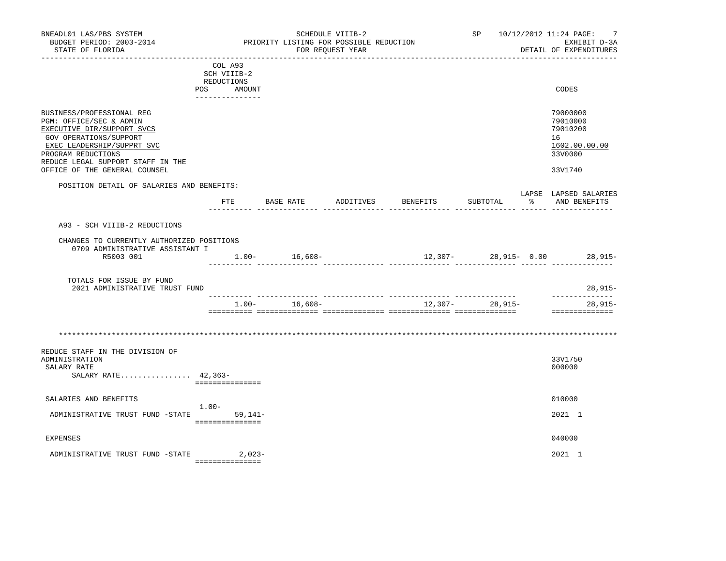| BNEADL01 LAS/PBS SYSTEM<br>BUDGET PERIOD: 2003-2014<br>STATE OF FLORIDA                                                                                                                                                                |                                                | PRIORITY LISTING FOR POSSIBLE REDUCTION | SCHEDULE VIIIB-2<br>FOR REQUEST YEAR |          |                  |               | SP 10/12/2012 11:24 PAGE:<br>7<br>EXHIBIT D-3A<br>DETAIL OF EXPENDITURES      |
|----------------------------------------------------------------------------------------------------------------------------------------------------------------------------------------------------------------------------------------|------------------------------------------------|-----------------------------------------|--------------------------------------|----------|------------------|---------------|-------------------------------------------------------------------------------|
| POS                                                                                                                                                                                                                                    | COL A93<br>SCH VIIIB-2<br>REDUCTIONS<br>AMOUNT |                                         |                                      |          |                  |               | CODES                                                                         |
| BUSINESS/PROFESSIONAL REG<br>PGM: OFFICE/SEC & ADMIN<br>EXECUTIVE DIR/SUPPORT SVCS<br>GOV OPERATIONS/SUPPORT<br>EXEC LEADERSHIP/SUPPRT SVC<br>PROGRAM REDUCTIONS<br>REDUCE LEGAL SUPPORT STAFF IN THE<br>OFFICE OF THE GENERAL COUNSEL |                                                |                                         |                                      |          |                  |               | 79000000<br>79010000<br>79010200<br>16<br>1602.00.00.00<br>33V0000<br>33V1740 |
| POSITION DETAIL OF SALARIES AND BENEFITS:                                                                                                                                                                                              | ETE                                            | BASE RATE                               | ADDITIVES                            | BENEFITS | SUBTOTAL         | $\frac{1}{6}$ | LAPSE LAPSED SALARIES<br>AND BENEFITS                                         |
| A93 - SCH VIIIB-2 REDUCTIONS<br>CHANGES TO CURRENTLY AUTHORIZED POSITIONS<br>0709 ADMINISTRATIVE ASSISTANT I<br>R5003 001<br>TOTALS FOR ISSUE BY FUND<br>2021 ADMINISTRATIVE TRUST FUND                                                |                                                | $1.00 - 16,608 -$<br>-------------      |                                      |          | .                |               | 12,307- 28,915- 0.00 28,915-<br>28,915-                                       |
|                                                                                                                                                                                                                                        |                                                | $1.00 - 16.608 -$                       |                                      |          | $12,307-28,915-$ |               | --------------<br>28,915-<br>---------------                                  |
| REDUCE STAFF IN THE DIVISION OF<br>ADMINISTRATION<br>SALARY RATE<br>SALARY RATE 42,363-                                                                                                                                                | ===============                                |                                         |                                      |          |                  |               | 33V1750<br>000000                                                             |
| SALARIES AND BENEFITS<br>ADMINISTRATIVE TRUST FUND -STATE                                                                                                                                                                              | $1.00-$<br>$59.141 -$<br>===============       |                                         |                                      |          |                  |               | 010000<br>2021 1                                                              |
| <b>EXPENSES</b>                                                                                                                                                                                                                        |                                                |                                         |                                      |          |                  |               | 040000                                                                        |
| ADMINISTRATIVE TRUST FUND -STATE                                                                                                                                                                                                       | $2,023-$<br>===============                    |                                         |                                      |          |                  |               | 2021 1                                                                        |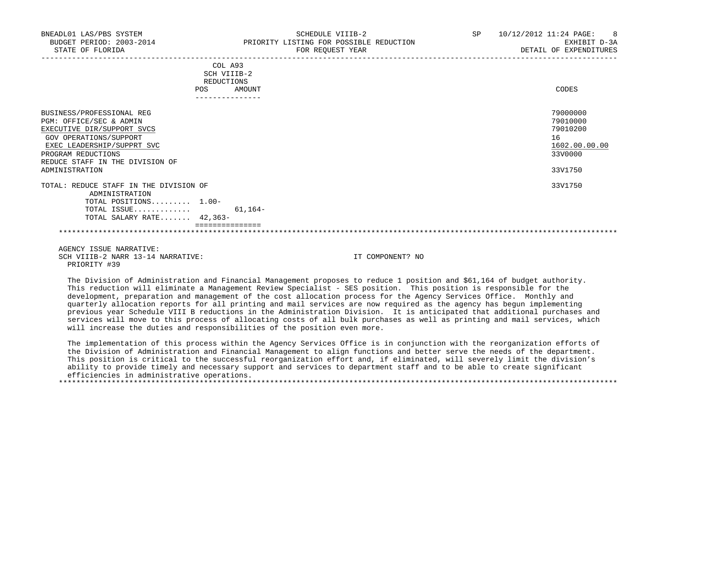PRIORITY #39

| STATE OF FLORIDA                                                                                                                                                                                                      |                                                       | FOR REQUEST YEAR | DETAIL OF EXPENDITURES                                                        |
|-----------------------------------------------------------------------------------------------------------------------------------------------------------------------------------------------------------------------|-------------------------------------------------------|------------------|-------------------------------------------------------------------------------|
|                                                                                                                                                                                                                       | COL A93<br>SCH VIIIB-2<br>REDUCTIONS<br>AMOUNT<br>POS |                  | CODES                                                                         |
| BUSINESS/PROFESSIONAL REG<br>PGM: OFFICE/SEC & ADMIN<br>EXECUTIVE DIR/SUPPORT SVCS<br>GOV OPERATIONS/SUPPORT<br>EXEC LEADERSHIP/SUPPRT SVC<br>PROGRAM REDUCTIONS<br>REDUCE STAFF IN THE DIVISION OF<br>ADMINISTRATION |                                                       |                  | 79000000<br>79010000<br>79010200<br>16<br>1602.00.00.00<br>33V0000<br>33V1750 |
| TOTAL: REDUCE STAFF IN THE DIVISION OF<br>ADMINISTRATION<br>TOTAL POSITIONS 1.00-<br>TOTAL ISSUE<br>TOTAL SALARY RATE 42,363-                                                                                         | 61,164-                                               |                  | 33V1750                                                                       |
| AGENCY ISSUE NARRATIVE:<br>SCH VIIIB-2 NARR 13-14 NARRATIVE:                                                                                                                                                          |                                                       | IT COMPONENT? NO |                                                                               |

 The Division of Administration and Financial Management proposes to reduce 1 position and \$61,164 of budget authority. This reduction will eliminate a Management Review Specialist - SES position. This position is responsible for the development, preparation and management of the cost allocation process for the Agency Services Office. Monthly and quarterly allocation reports for all printing and mail services are now required as the agency has begun implementing previous year Schedule VIII B reductions in the Administration Division. It is anticipated that additional purchases and services will move to this process of allocating costs of all bulk purchases as well as printing and mail services, which will increase the duties and responsibilities of the position even more.

 The implementation of this process within the Agency Services Office is in conjunction with the reorganization efforts of the Division of Administration and Financial Management to align functions and better serve the needs of the department. This position is critical to the successful reorganization effort and, if eliminated, will severely limit the division's ability to provide timely and necessary support and services to department staff and to be able to create significant efficiencies in administrative operations. \*\*\*\*\*\*\*\*\*\*\*\*\*\*\*\*\*\*\*\*\*\*\*\*\*\*\*\*\*\*\*\*\*\*\*\*\*\*\*\*\*\*\*\*\*\*\*\*\*\*\*\*\*\*\*\*\*\*\*\*\*\*\*\*\*\*\*\*\*\*\*\*\*\*\*\*\*\*\*\*\*\*\*\*\*\*\*\*\*\*\*\*\*\*\*\*\*\*\*\*\*\*\*\*\*\*\*\*\*\*\*\*\*\*\*\*\*\*\*\*\*\*\*\*\*\*\*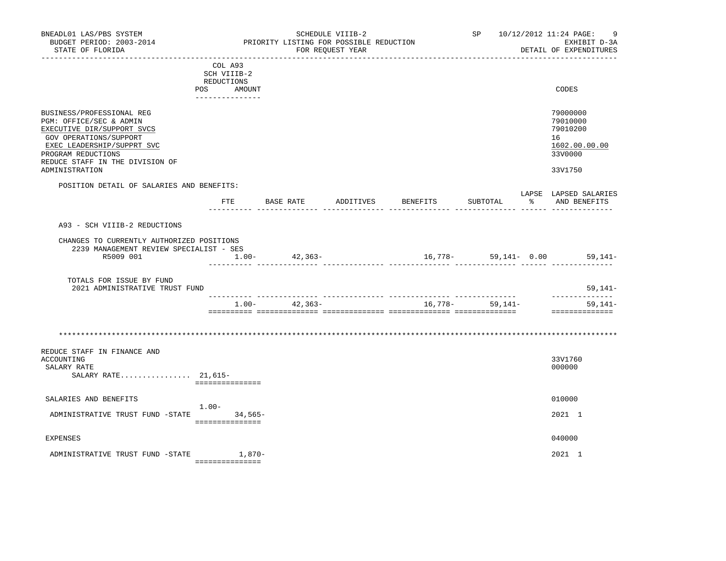| BNEADL01 LAS/PBS SYSTEM<br>BUDGET PERIOD: 2003-2014<br>STATE OF FLORIDA<br>----------------                                                                                                                           |                                                                                 | PRIORITY LISTING FOR POSSIBLE REDUCTION | SCHEDULE VIIIB-2<br>FOR REOUEST YEAR | _____________________________________ |                 | SP 10/12/2012 11:24 PAGE:<br>9<br>EXHIBIT D-3A<br>DETAIL OF EXPENDITURES      |
|-----------------------------------------------------------------------------------------------------------------------------------------------------------------------------------------------------------------------|---------------------------------------------------------------------------------|-----------------------------------------|--------------------------------------|---------------------------------------|-----------------|-------------------------------------------------------------------------------|
|                                                                                                                                                                                                                       | COL A93<br>SCH VIIIB-2<br><b>REDUCTIONS</b><br>POS<br>AMOUNT<br>--------------- |                                         |                                      |                                       |                 | CODES                                                                         |
| BUSINESS/PROFESSIONAL REG<br>PGM: OFFICE/SEC & ADMIN<br>EXECUTIVE DIR/SUPPORT SVCS<br>GOV OPERATIONS/SUPPORT<br>EXEC LEADERSHIP/SUPPRT SVC<br>PROGRAM REDUCTIONS<br>REDUCE STAFF IN THE DIVISION OF<br>ADMINISTRATION |                                                                                 |                                         |                                      |                                       |                 | 79000000<br>79010000<br>79010200<br>16<br>1602.00.00.00<br>33V0000<br>33V1750 |
| POSITION DETAIL OF SALARIES AND BENEFITS:                                                                                                                                                                             | FTE                                                                             | BASE RATE                               |                                      | ADDITIVES BENEFITS                    | SUBTOTAL        | LAPSE LAPSED SALARIES<br>% AND BENEFITS                                       |
| CHANGES TO CURRENTLY AUTHORIZED POSITIONS<br>2239 MANAGEMENT REVIEW SPECIALIST - SES<br>R5009 001<br>TOTALS FOR ISSUE BY FUND<br>2021 ADMINISTRATIVE TRUST FUND                                                       | $1.00-$                                                                         | 42,363-                                 |                                      |                                       |                 | $16,778-59,141-0.00$ 59,141-<br>$59,141-$                                     |
|                                                                                                                                                                                                                       |                                                                                 | $1.00 - 42,363 -$                       |                                      |                                       | 16,778- 59,141- | --------------<br>$59,141-$<br>==============                                 |
|                                                                                                                                                                                                                       |                                                                                 |                                         |                                      |                                       |                 |                                                                               |
| REDUCE STAFF IN FINANCE AND<br>ACCOUNTING<br>SALARY RATE<br>SALARY RATE $21,615-$                                                                                                                                     | ===============                                                                 |                                         |                                      |                                       |                 | 33V1760<br>000000                                                             |
| SALARIES AND BENEFITS                                                                                                                                                                                                 | $1.00-$                                                                         |                                         |                                      |                                       |                 | 010000                                                                        |
| ADMINISTRATIVE TRUST FUND -STATE 34,565-                                                                                                                                                                              | ===============                                                                 |                                         |                                      |                                       |                 | 2021 1                                                                        |
| <b>EXPENSES</b>                                                                                                                                                                                                       |                                                                                 |                                         |                                      |                                       |                 | 040000                                                                        |
| ADMINISTRATIVE TRUST FUND -STATE                                                                                                                                                                                      | 1,870-<br>________________                                                      |                                         |                                      |                                       |                 | 2021 1                                                                        |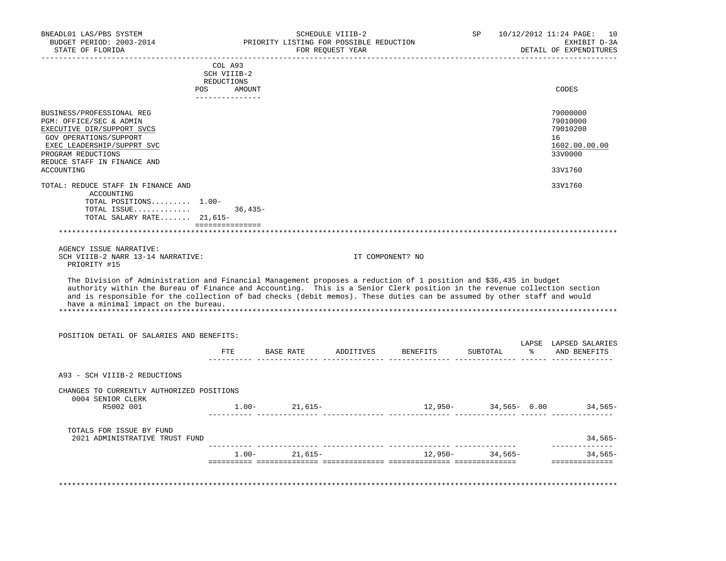| BNEADL01 LAS/PBS SYSTEM<br>BUDGET PERIOD: 2003-2014<br>STATE OF FLORIDA                                                                                                                                                                                                                                                                                                                                          |                          | PRIORITY LISTING FOR POSSIBLE REDUCTION<br>FOR REQUEST YEAR | SCHEDULE VIIIB-2 |                                                                                                                                                                                                                                             | SP       | 10/12/2012 11:24 PAGE:<br>10<br>EXHIBIT D-3A<br>DETAIL OF EXPENDITURES |
|------------------------------------------------------------------------------------------------------------------------------------------------------------------------------------------------------------------------------------------------------------------------------------------------------------------------------------------------------------------------------------------------------------------|--------------------------|-------------------------------------------------------------|------------------|---------------------------------------------------------------------------------------------------------------------------------------------------------------------------------------------------------------------------------------------|----------|------------------------------------------------------------------------|
|                                                                                                                                                                                                                                                                                                                                                                                                                  | COL A93                  |                                                             |                  |                                                                                                                                                                                                                                             |          |                                                                        |
|                                                                                                                                                                                                                                                                                                                                                                                                                  | SCH VIIIB-2              |                                                             |                  |                                                                                                                                                                                                                                             |          |                                                                        |
|                                                                                                                                                                                                                                                                                                                                                                                                                  | REDUCTIONS<br>POS AMOUNT |                                                             |                  |                                                                                                                                                                                                                                             |          | CODES                                                                  |
|                                                                                                                                                                                                                                                                                                                                                                                                                  | _______________          |                                                             |                  |                                                                                                                                                                                                                                             |          |                                                                        |
| BUSINESS/PROFESSIONAL REG<br>PGM: OFFICE/SEC & ADMIN<br>EXECUTIVE DIR/SUPPORT SVCS                                                                                                                                                                                                                                                                                                                               |                          |                                                             |                  |                                                                                                                                                                                                                                             |          | 79000000<br>79010000<br>79010200                                       |
| GOV OPERATIONS/SUPPORT<br>EXEC LEADERSHIP/SUPPRT SVC<br>PROGRAM REDUCTIONS                                                                                                                                                                                                                                                                                                                                       |                          |                                                             |                  |                                                                                                                                                                                                                                             |          | 16<br>1602.00.00.00<br>33V0000                                         |
| REDUCE STAFF IN FINANCE AND<br>ACCOUNTING                                                                                                                                                                                                                                                                                                                                                                        |                          |                                                             |                  |                                                                                                                                                                                                                                             |          | 33V1760                                                                |
| TOTAL: REDUCE STAFF IN FINANCE AND<br>ACCOUNTING                                                                                                                                                                                                                                                                                                                                                                 |                          |                                                             |                  |                                                                                                                                                                                                                                             |          | 33V1760                                                                |
| TOTAL POSITIONS 1.00-                                                                                                                                                                                                                                                                                                                                                                                            |                          |                                                             |                  |                                                                                                                                                                                                                                             |          |                                                                        |
| TOTAL ISSUE 36,435-                                                                                                                                                                                                                                                                                                                                                                                              |                          |                                                             |                  |                                                                                                                                                                                                                                             |          |                                                                        |
| TOTAL SALARY RATE $21,615-$                                                                                                                                                                                                                                                                                                                                                                                      | ================         |                                                             |                  |                                                                                                                                                                                                                                             |          |                                                                        |
|                                                                                                                                                                                                                                                                                                                                                                                                                  |                          |                                                             |                  |                                                                                                                                                                                                                                             |          |                                                                        |
| AGENCY ISSUE NARRATIVE:                                                                                                                                                                                                                                                                                                                                                                                          |                          |                                                             |                  |                                                                                                                                                                                                                                             |          |                                                                        |
| SCH VIIIB-2 NARR 13-14 NARRATIVE:<br>PRIORITY #15                                                                                                                                                                                                                                                                                                                                                                |                          |                                                             |                  | IT COMPONENT? NO                                                                                                                                                                                                                            |          |                                                                        |
| The Division of Administration and Financial Management proposes a reduction of 1 position and \$36,435 in budget<br>authority within the Bureau of Finance and Accounting. This is a Senior Clerk position in the revenue collection section<br>and is responsible for the collection of bad checks (debit memos). These duties can be assumed by other staff and would<br>have a minimal impact on the bureau. |                          |                                                             |                  |                                                                                                                                                                                                                                             |          |                                                                        |
| POSITION DETAIL OF SALARIES AND BENEFITS:                                                                                                                                                                                                                                                                                                                                                                        |                          |                                                             |                  |                                                                                                                                                                                                                                             |          |                                                                        |
|                                                                                                                                                                                                                                                                                                                                                                                                                  |                          |                                                             |                  | FTE BASE RATE ADDITIVES BENEFITS                                                                                                                                                                                                            | SUBTOTAL | LAPSE LAPSED SALARIES<br>% AND BENEFITS                                |
| A93 - SCH VIIIB-2 REDUCTIONS                                                                                                                                                                                                                                                                                                                                                                                     |                          |                                                             |                  |                                                                                                                                                                                                                                             |          |                                                                        |
| CHANGES TO CURRENTLY AUTHORIZED POSITIONS<br>0004 SENIOR CLERK                                                                                                                                                                                                                                                                                                                                                   |                          |                                                             |                  |                                                                                                                                                                                                                                             |          |                                                                        |
| R5002 001                                                                                                                                                                                                                                                                                                                                                                                                        |                          |                                                             |                  | $1.00$ - 21,615- $12,950$ - $34,565$ - 0.00 $34,565$ - 0.00 $34,565$ - 0.00 $34,565$ - 0.00 $34,565$ - 0.00 $34,565$ - 0.00 $34,565$ - 0.00 $34,565$ - 0.00 $34,565$ - 0.00 $34,565$ - 0.00 $34,565$ - 0.00 $34,565$ - 0.00 $34,565$ - 0.00 |          |                                                                        |
| TOTALS FOR ISSUE BY FUND<br>2021 ADMINISTRATIVE TRUST FUND                                                                                                                                                                                                                                                                                                                                                       |                          |                                                             |                  |                                                                                                                                                                                                                                             |          | $34,565-$                                                              |
|                                                                                                                                                                                                                                                                                                                                                                                                                  |                          |                                                             |                  | $1.00-21,615-12,950-34,565-$                                                                                                                                                                                                                |          | _______________<br>$34,565-$                                           |
|                                                                                                                                                                                                                                                                                                                                                                                                                  |                          |                                                             |                  |                                                                                                                                                                                                                                             |          |                                                                        |
|                                                                                                                                                                                                                                                                                                                                                                                                                  |                          |                                                             |                  |                                                                                                                                                                                                                                             |          |                                                                        |
|                                                                                                                                                                                                                                                                                                                                                                                                                  |                          |                                                             |                  |                                                                                                                                                                                                                                             |          |                                                                        |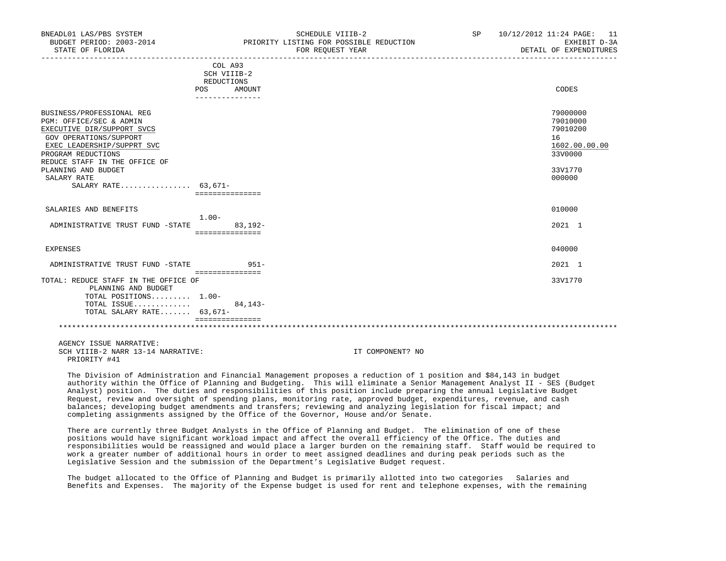| DNEADLUI LAS/PDS SISIEM<br>BUDGET PERIOD: 2003-2014<br>STATE OF FLORIDA<br>----------------------                                                                                                 |                                                              | POUTROUTE ATTID-T<br>PRIORITY LISTING FOR POSSIBLE REDUCTION<br>FOR REOUEST YEAR | SP 10/14/4014 11.47 PAGE. II<br>EXHIBIT D-3A<br>DETAIL OF EXPENDITURES |
|---------------------------------------------------------------------------------------------------------------------------------------------------------------------------------------------------|--------------------------------------------------------------|----------------------------------------------------------------------------------|------------------------------------------------------------------------|
|                                                                                                                                                                                                   | COL A93<br>SCH VIIIB-2<br>REDUCTIONS<br>AMOUNT<br><b>POS</b> |                                                                                  | CODES                                                                  |
|                                                                                                                                                                                                   | _______________                                              |                                                                                  |                                                                        |
| BUSINESS/PROFESSIONAL REG<br>PGM: OFFICE/SEC & ADMIN<br>EXECUTIVE DIR/SUPPORT SVCS<br>GOV OPERATIONS/SUPPORT<br>EXEC LEADERSHIP/SUPPRT SVC<br>PROGRAM REDUCTIONS<br>REDUCE STAFF IN THE OFFICE OF |                                                              |                                                                                  | 79000000<br>79010000<br>79010200<br>16<br>1602.00.00.00<br>33V0000     |
| PLANNING AND BUDGET<br>SALARY RATE<br>SALARY RATE 63,671-                                                                                                                                         | ===============                                              |                                                                                  | 33V1770<br>000000                                                      |
| SALARIES AND BENEFITS<br>ADMINISTRATIVE TRUST FUND -STATE                                                                                                                                         | $1.00 -$<br>$83,192-$                                        |                                                                                  | 010000<br>2021 1                                                       |
| <b>EXPENSES</b>                                                                                                                                                                                   | ===============                                              |                                                                                  | 040000                                                                 |
| ADMINISTRATIVE TRUST FUND -STATE 6951-                                                                                                                                                            | ----------------                                             |                                                                                  | 2021 1                                                                 |
| TOTAL: REDUCE STAFF IN THE OFFICE OF<br>PLANNING AND BUDGET<br>TOTAL POSITIONS 1.00-<br>TOTAL ISSUE<br>TOTAL SALARY RATE 63,671-                                                                  | $84, 143 -$<br>===============                               |                                                                                  | 33V1770                                                                |
| AGENCY ISSUE NARRATIVE:<br>SCH VIIIB-2 NARR 13-14 NARRATIVE:<br>PRIORITY #41                                                                                                                      |                                                              | IT COMPONENT? NO                                                                 |                                                                        |

 $B = \frac{10}{120}$  and  $B = \frac{10}{120}$  system system strip  $\frac{10}{120}$  set the control of the control  $\frac{10}{120}$  and  $\frac{10}{120}$  and  $\frac{10}{120}$  in  $\frac{10}{120}$  in  $\frac{10}{120}$  in  $\frac{10}{120}$  in  $\frac{10}{120}$  in  $\frac{10}{12$ 

 The Division of Administration and Financial Management proposes a reduction of 1 position and \$84,143 in budget authority within the Office of Planning and Budgeting. This will eliminate a Senior Management Analyst II - SES (Budget Analyst) position. The duties and responsibilities of this position include preparing the annual Legislative Budget Request, review and oversight of spending plans, monitoring rate, approved budget, expenditures, revenue, and cash balances; developing budget amendments and transfers; reviewing and analyzing legislation for fiscal impact; and completing assignments assigned by the Office of the Governor, House and/or Senate.

 There are currently three Budget Analysts in the Office of Planning and Budget. The elimination of one of these positions would have significant workload impact and affect the overall efficiency of the Office. The duties and responsibilities would be reassigned and would place a larger burden on the remaining staff. Staff would be required to work a greater number of additional hours in order to meet assigned deadlines and during peak periods such as the Legislative Session and the submission of the Department's Legislative Budget request.

 The budget allocated to the Office of Planning and Budget is primarily allotted into two categories Salaries and Benefits and Expenses. The majority of the Expense budget is used for rent and telephone expenses, with the remaining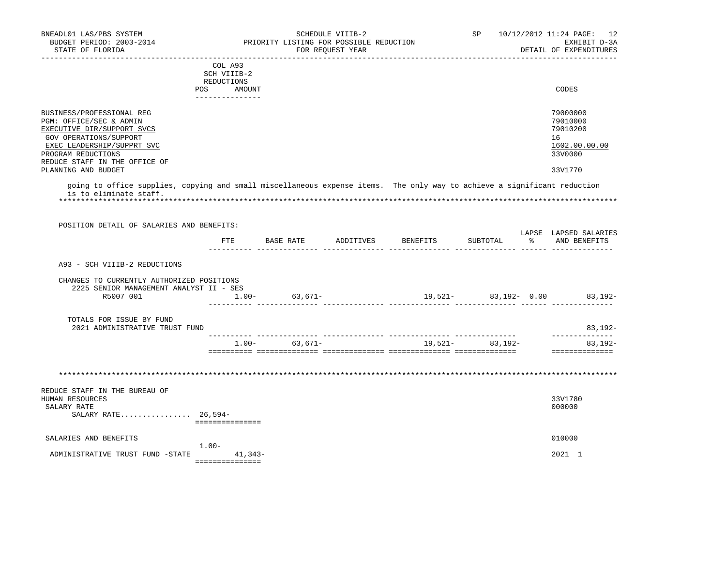| BUDGET PERIOD: 2003-2014<br>STATE OF FLORIDA                        |                                         | PRIORITY LISTING FOR POSSIBLE REDUCTION | SCHEDULE VIIIB-2<br>FOR REOUEST YEAR |                                     | SP                   | 10/12/2012 11:24 PAGE: 12<br>EXHIBIT D-3A<br>DETAIL OF EXPENDITURES |  |
|---------------------------------------------------------------------|-----------------------------------------|-----------------------------------------|--------------------------------------|-------------------------------------|----------------------|---------------------------------------------------------------------|--|
|                                                                     | COL A93                                 |                                         |                                      |                                     |                      |                                                                     |  |
|                                                                     | SCH VIIIB-2                             |                                         |                                      |                                     |                      |                                                                     |  |
|                                                                     | REDUCTIONS                              |                                         |                                      |                                     |                      |                                                                     |  |
|                                                                     | <b>POS</b><br>AMOUNT<br>--------------- |                                         |                                      |                                     |                      | CODES                                                               |  |
| BUSINESS/PROFESSIONAL REG<br>PGM: OFFICE/SEC & ADMIN                |                                         |                                         |                                      |                                     |                      | 79000000<br>79010000                                                |  |
| EXECUTIVE DIR/SUPPORT SVCS                                          |                                         |                                         |                                      |                                     |                      | 79010200                                                            |  |
| GOV OPERATIONS/SUPPORT                                              |                                         |                                         |                                      |                                     |                      | 16                                                                  |  |
| EXEC LEADERSHIP/SUPPRT SVC                                          |                                         |                                         |                                      |                                     |                      | 1602.00.00.00                                                       |  |
| PROGRAM REDUCTIONS                                                  |                                         |                                         |                                      |                                     |                      | 33V0000                                                             |  |
| REDUCE STAFF IN THE OFFICE OF<br>PLANNING AND BUDGET                |                                         |                                         |                                      |                                     |                      | 33V1770                                                             |  |
| is to eliminate staff.<br>POSITION DETAIL OF SALARIES AND BENEFITS: |                                         |                                         |                                      |                                     |                      |                                                                     |  |
|                                                                     |                                         |                                         |                                      |                                     |                      |                                                                     |  |
|                                                                     |                                         |                                         |                                      |                                     |                      | LAPSE LAPSED SALARIES                                               |  |
|                                                                     | FTE                                     |                                         |                                      | BASE RATE ADDITIVES BENEFITS        | SUBTOTAL             | % AND BENEFITS                                                      |  |
|                                                                     |                                         |                                         |                                      |                                     |                      |                                                                     |  |
| A93 - SCH VIIIB-2 REDUCTIONS                                        |                                         |                                         |                                      |                                     |                      |                                                                     |  |
| CHANGES TO CURRENTLY AUTHORIZED POSITIONS                           |                                         |                                         |                                      |                                     |                      |                                                                     |  |
| 2225 SENIOR MANAGEMENT ANALYST II - SES                             |                                         |                                         |                                      |                                     |                      |                                                                     |  |
| R5007 001                                                           |                                         | $1.00 - 63,671 -$                       |                                      |                                     | 19,521- 83,192- 0.00 | $83,192-$                                                           |  |
|                                                                     |                                         |                                         |                                      |                                     |                      |                                                                     |  |
| TOTALS FOR ISSUE BY FUND<br>2021 ADMINISTRATIVE TRUST FUND          |                                         |                                         |                                      |                                     |                      | $83,192-$                                                           |  |
|                                                                     |                                         |                                         |                                      | $1.00 - 63,671 - 19,521 - 83,192 -$ |                      | _______________<br>$83,192-$                                        |  |
|                                                                     |                                         |                                         |                                      |                                     |                      |                                                                     |  |
|                                                                     |                                         |                                         |                                      |                                     |                      |                                                                     |  |
|                                                                     |                                         |                                         |                                      |                                     |                      |                                                                     |  |
| REDUCE STAFF IN THE BUREAU OF<br>HUMAN RESOURCES                    |                                         |                                         |                                      |                                     |                      | 33V1780                                                             |  |
|                                                                     |                                         |                                         |                                      |                                     |                      | 000000                                                              |  |
| SALARY RATE 26,594-                                                 | ----------------                        |                                         |                                      |                                     |                      |                                                                     |  |
|                                                                     |                                         |                                         |                                      |                                     |                      | 010000                                                              |  |
| SALARY RATE<br>SALARIES AND BENEFITS                                | $1.00-$                                 |                                         |                                      |                                     |                      |                                                                     |  |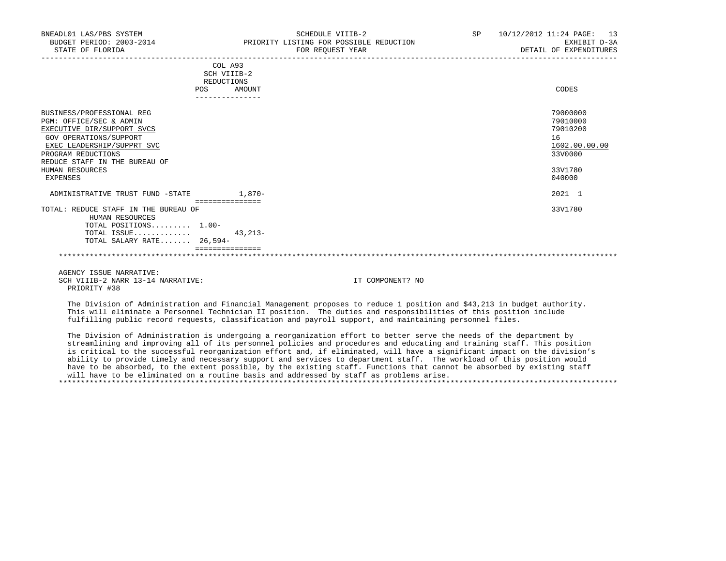| BNEADL01 LAS/PBS SYSTEM<br>BUDGET PERIOD: 2003-2014<br>STATE OF FLORIDA |                                      | SCHEDULE VIIIB-2<br>PRIORITY LISTING FOR POSSIBLE REDUCTION<br>FOR REQUEST YEAR | SP | 10/12/2012 11:24 PAGE: 13<br>EXHIBIT D-3A<br>DETAIL OF EXPENDITURES |
|-------------------------------------------------------------------------|--------------------------------------|---------------------------------------------------------------------------------|----|---------------------------------------------------------------------|
|                                                                         | COL A93<br>SCH VIIIB-2<br>REDUCTIONS |                                                                                 |    |                                                                     |
|                                                                         | <b>POS</b><br>----------------       | AMOUNT                                                                          |    | CODES                                                               |
| BUSINESS/PROFESSIONAL REG                                               |                                      |                                                                                 |    | 79000000                                                            |
| PGM: OFFICE/SEC & ADMIN                                                 |                                      |                                                                                 |    | 79010000                                                            |
| EXECUTIVE DIR/SUPPORT SVCS                                              |                                      |                                                                                 |    | 79010200                                                            |
| GOV OPERATIONS/SUPPORT<br>EXEC LEADERSHIP/SUPPRT SVC                    |                                      |                                                                                 |    | 16<br>1602.00.00.00                                                 |
| PROGRAM REDUCTIONS                                                      |                                      |                                                                                 |    | 33V0000                                                             |
| REDUCE STAFF IN THE BUREAU OF                                           |                                      |                                                                                 |    |                                                                     |
| HUMAN RESOURCES                                                         |                                      |                                                                                 |    | 33V1780                                                             |
| EXPENSES                                                                |                                      |                                                                                 |    | 040000                                                              |
| ADMINISTRATIVE TRUST FUND -STATE                                        |                                      | $1,870-$                                                                        |    | 2021 1                                                              |
| TOTAL: REDUCE STAFF IN THE BUREAU OF<br>HUMAN RESOURCES                 | ===============                      |                                                                                 |    | 33V1780                                                             |
| TOTAL POSITIONS 1.00-                                                   |                                      |                                                                                 |    |                                                                     |
| TOTAL ISSUE                                                             |                                      | $43.213-$                                                                       |    |                                                                     |
| TOTAL SALARY RATE 26,594-                                               |                                      |                                                                                 |    |                                                                     |
|                                                                         | ===============                      |                                                                                 |    |                                                                     |

 AGENCY ISSUE NARRATIVE: SCH VIIIB-2 NARR 13-14 NARRATIVE: IT COMPONENT? NO PRIORITY #38

 The Division of Administration and Financial Management proposes to reduce 1 position and \$43,213 in budget authority. This will eliminate a Personnel Technician II position. The duties and responsibilities of this position include fulfilling public record requests, classification and payroll support, and maintaining personnel files.

\*\*\*\*\*\*\*\*\*\*\*\*\*\*\*\*\*\*\*\*\*\*\*\*\*\*\*\*\*\*\*\*\*\*\*\*\*\*\*\*\*\*\*\*\*\*\*\*\*\*\*\*\*\*\*\*\*\*\*\*\*\*\*\*\*\*\*\*\*\*\*\*\*\*\*\*\*\*\*\*\*\*\*\*\*\*\*\*\*\*\*\*\*\*\*\*\*\*\*\*\*\*\*\*\*\*\*\*\*\*\*\*\*\*\*\*\*\*\*\*\*\*\*\*\*\*\*

 The Division of Administration is undergoing a reorganization effort to better serve the needs of the department by streamlining and improving all of its personnel policies and procedures and educating and training staff. This position is critical to the successful reorganization effort and, if eliminated, will have a significant impact on the division's ability to provide timely and necessary support and services to department staff. The workload of this position would have to be absorbed, to the extent possible, by the existing staff. Functions that cannot be absorbed by existing staff will have to be eliminated on a routine basis and addressed by staff as problems arise. \*\*\*\*\*\*\*\*\*\*\*\*\*\*\*\*\*\*\*\*\*\*\*\*\*\*\*\*\*\*\*\*\*\*\*\*\*\*\*\*\*\*\*\*\*\*\*\*\*\*\*\*\*\*\*\*\*\*\*\*\*\*\*\*\*\*\*\*\*\*\*\*\*\*\*\*\*\*\*\*\*\*\*\*\*\*\*\*\*\*\*\*\*\*\*\*\*\*\*\*\*\*\*\*\*\*\*\*\*\*\*\*\*\*\*\*\*\*\*\*\*\*\*\*\*\*\*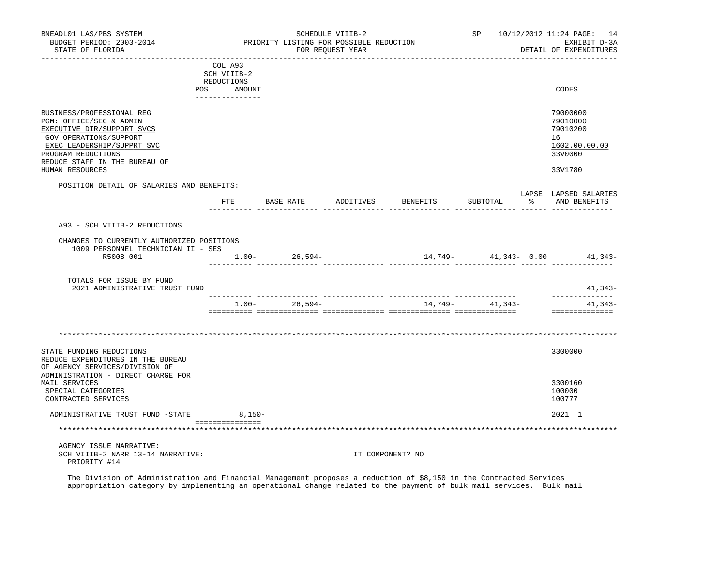| BNEADL01 LAS/PBS SYSTEM<br>BUDGET PERIOD: 2003-2014<br>STATE OF FLORIDA                                                                                                                                              |            |                                                         |                   | SCHEDULE VIIIB-2<br>PRIORITY LISTING FOR POSSIBLE REDUCTION<br>FOR REQUEST YEAR |                                  |                  | SP 10/12/2012 11:24 PAGE: 14<br>EXHIBIT D-3A<br>DETAIL OF EXPENDITURES        |
|----------------------------------------------------------------------------------------------------------------------------------------------------------------------------------------------------------------------|------------|---------------------------------------------------------|-------------------|---------------------------------------------------------------------------------|----------------------------------|------------------|-------------------------------------------------------------------------------|
|                                                                                                                                                                                                                      | REDUCTIONS | COL A93<br>SCH VIIIB-2<br>POS AMOUNT<br>--------------- |                   |                                                                                 |                                  |                  | CODES                                                                         |
| BUSINESS/PROFESSIONAL REG<br>PGM: OFFICE/SEC & ADMIN<br>EXECUTIVE DIR/SUPPORT SVCS<br>GOV OPERATIONS/SUPPORT<br>EXEC LEADERSHIP/SUPPRT SVC<br>PROGRAM REDUCTIONS<br>REDUCE STAFF IN THE BUREAU OF<br>HUMAN RESOURCES |            |                                                         |                   |                                                                                 |                                  |                  | 79000000<br>79010000<br>79010200<br>16<br>1602.00.00.00<br>33V0000<br>33V1780 |
| POSITION DETAIL OF SALARIES AND BENEFITS:                                                                                                                                                                            |            |                                                         |                   |                                                                                 |                                  |                  | LAPSE LAPSED SALARIES                                                         |
|                                                                                                                                                                                                                      |            |                                                         |                   |                                                                                 | FTE BASE RATE ADDITIVES BENEFITS | SUBTOTAL         | % AND BENEFITS                                                                |
| A93 - SCH VIIIB-2 REDUCTIONS                                                                                                                                                                                         |            |                                                         |                   |                                                                                 |                                  |                  |                                                                               |
| CHANGES TO CURRENTLY AUTHORIZED POSITIONS<br>1009 PERSONNEL TECHNICIAN II - SES<br>R5008 001                                                                                                                         |            |                                                         | $1.00 - 26,594 -$ |                                                                                 | $14,749 41,343 0.00$ $41,343-$   |                  |                                                                               |
| TOTALS FOR ISSUE BY FUND<br>2021 ADMINISTRATIVE TRUST FUND                                                                                                                                                           |            |                                                         |                   |                                                                                 |                                  |                  | 41,343-                                                                       |
|                                                                                                                                                                                                                      |            |                                                         | $1.00 - 26,594 -$ |                                                                                 |                                  | $14,749 41,343-$ | --------------<br>41,343-<br>==============                                   |
| STATE FUNDING REDUCTIONS<br>REDUCE EXPENDITURES IN THE BUREAU                                                                                                                                                        |            |                                                         |                   |                                                                                 |                                  |                  | 3300000                                                                       |
| OF AGENCY SERVICES/DIVISION OF<br>ADMINISTRATION - DIRECT CHARGE FOR<br>MAIL SERVICES<br>SPECIAL CATEGORIES<br>CONTRACTED SERVICES                                                                                   |            |                                                         |                   |                                                                                 |                                  |                  | 3300160<br>100000<br>100777                                                   |
| ADMINISTRATIVE TRUST FUND -STATE 8,150-                                                                                                                                                                              |            |                                                         |                   |                                                                                 |                                  |                  | 2021 1                                                                        |
|                                                                                                                                                                                                                      |            | ----------------                                        |                   |                                                                                 |                                  |                  |                                                                               |
| AGENCY ISSUE NARRATIVE:<br>SCH VIIIB-2 NARR 13-14 NARRATIVE:<br>PRIORITY #14                                                                                                                                         |            |                                                         |                   |                                                                                 | IT COMPONENT? NO                 |                  |                                                                               |

 The Division of Administration and Financial Management proposes a reduction of \$8,150 in the Contracted Services appropriation category by implementing an operational change related to the payment of bulk mail services. Bulk mail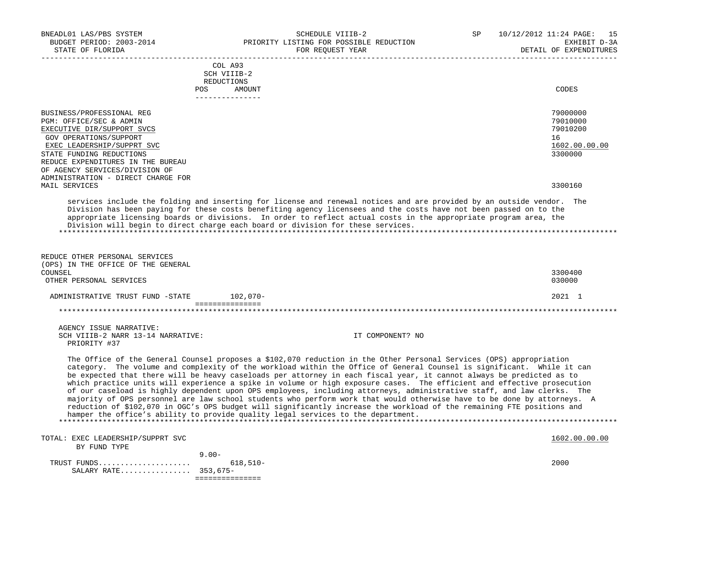| BNEADL01 LAS/PBS SYSTEM<br>BUDGET PERIOD: 2003-2014<br>STATE OF FLORIDA                                                                                                                                                                                                             |                                                                                                                                             | SCHEDULE VIIIB-2<br>PRIORITY LISTING FOR POSSIBLE REDUCTION<br>FOR REOUEST YEAR                                                                                                                                                                                                                                                                                                                                                                                                                                                                                                                                                                                                                                                                                                                                                                                                                                                                                   | SP | 10/12/2012 11:24 PAGE: 15<br>EXHIBIT D-3A<br>DETAIL OF EXPENDITURES |
|-------------------------------------------------------------------------------------------------------------------------------------------------------------------------------------------------------------------------------------------------------------------------------------|---------------------------------------------------------------------------------------------------------------------------------------------|-------------------------------------------------------------------------------------------------------------------------------------------------------------------------------------------------------------------------------------------------------------------------------------------------------------------------------------------------------------------------------------------------------------------------------------------------------------------------------------------------------------------------------------------------------------------------------------------------------------------------------------------------------------------------------------------------------------------------------------------------------------------------------------------------------------------------------------------------------------------------------------------------------------------------------------------------------------------|----|---------------------------------------------------------------------|
|                                                                                                                                                                                                                                                                                     | COL A93<br>SCH VIIIB-2<br>REDUCTIONS                                                                                                        |                                                                                                                                                                                                                                                                                                                                                                                                                                                                                                                                                                                                                                                                                                                                                                                                                                                                                                                                                                   |    |                                                                     |
|                                                                                                                                                                                                                                                                                     | POS FOR THE POST OF THE STATE STATE STATE STATE STATE STATE STATE STATE STATE STATE STATE STATE STATE STATE ST<br>AMOUNT<br>_______________ |                                                                                                                                                                                                                                                                                                                                                                                                                                                                                                                                                                                                                                                                                                                                                                                                                                                                                                                                                                   |    | CODES                                                               |
| BUSINESS/PROFESSIONAL REG<br>PGM: OFFICE/SEC & ADMIN<br>EXECUTIVE DIR/SUPPORT SVCS<br>GOV OPERATIONS/SUPPORT<br>EXEC LEADERSHIP/SUPPRT SVC<br>STATE FUNDING REDUCTIONS<br>REDUCE EXPENDITURES IN THE BUREAU<br>OF AGENCY SERVICES/DIVISION OF<br>ADMINISTRATION - DIRECT CHARGE FOR |                                                                                                                                             |                                                                                                                                                                                                                                                                                                                                                                                                                                                                                                                                                                                                                                                                                                                                                                                                                                                                                                                                                                   |    | 79000000<br>79010000<br>79010200<br>16<br>1602.00.00.00<br>3300000  |
| MAIL SERVICES                                                                                                                                                                                                                                                                       |                                                                                                                                             |                                                                                                                                                                                                                                                                                                                                                                                                                                                                                                                                                                                                                                                                                                                                                                                                                                                                                                                                                                   |    | 3300160                                                             |
| Division will begin to direct charge each board or division for these services.                                                                                                                                                                                                     |                                                                                                                                             | services include the folding and inserting for license and renewal notices and are provided by an outside vendor. The<br>Division has been paying for these costs benefiting agency licensees and the costs have not been passed on to the<br>appropriate licensing boards or divisions. In order to reflect actual costs in the appropriate program area, the                                                                                                                                                                                                                                                                                                                                                                                                                                                                                                                                                                                                    |    |                                                                     |
| REDUCE OTHER PERSONAL SERVICES<br>(OPS) IN THE OFFICE OF THE GENERAL<br>COUNSEL<br>OTHER PERSONAL SERVICES                                                                                                                                                                          |                                                                                                                                             |                                                                                                                                                                                                                                                                                                                                                                                                                                                                                                                                                                                                                                                                                                                                                                                                                                                                                                                                                                   |    | 3300400<br>030000                                                   |
| ADMINISTRATIVE TRUST FUND -STATE 102,070-                                                                                                                                                                                                                                           |                                                                                                                                             |                                                                                                                                                                                                                                                                                                                                                                                                                                                                                                                                                                                                                                                                                                                                                                                                                                                                                                                                                                   |    | 2021 1                                                              |
|                                                                                                                                                                                                                                                                                     |                                                                                                                                             |                                                                                                                                                                                                                                                                                                                                                                                                                                                                                                                                                                                                                                                                                                                                                                                                                                                                                                                                                                   |    |                                                                     |
| AGENCY ISSUE NARRATIVE:<br>SCH VIIIB-2 NARR 13-14 NARRATIVE:<br>PRIORITY #37                                                                                                                                                                                                        |                                                                                                                                             | IT COMPONENT? NO                                                                                                                                                                                                                                                                                                                                                                                                                                                                                                                                                                                                                                                                                                                                                                                                                                                                                                                                                  |    |                                                                     |
|                                                                                                                                                                                                                                                                                     |                                                                                                                                             | The Office of the General Counsel proposes a \$102,070 reduction in the Other Personal Services (OPS) appropriation<br>category. The volume and complexity of the workload within the Office of General Counsel is significant. While it can<br>be expected that there will be heavy caseloads per attorney in each fiscal year, it cannot always be predicted as to<br>which practice units will experience a spike in volume or high exposure cases. The efficient and effective prosecution<br>of our caseload is highly dependent upon OPS employees, including attorneys, administrative staff, and law clerks. The<br>majority of OPS personnel are law school students who perform work that would otherwise have to be done by attorneys. A<br>reduction of \$102,070 in OGC's OPS budget will significantly increase the workload of the remaining FTE positions and<br>hamper the office's ability to provide quality legal services to the department. |    |                                                                     |
| TOTAL: EXEC LEADERSHIP/SUPPRT SVC<br>BY FUND TYPE                                                                                                                                                                                                                                   |                                                                                                                                             |                                                                                                                                                                                                                                                                                                                                                                                                                                                                                                                                                                                                                                                                                                                                                                                                                                                                                                                                                                   |    | 1602.00.00.00                                                       |
| TRUST FUNDS<br>SALARY RATE 353,675-                                                                                                                                                                                                                                                 | $9.00 -$<br>$618,510-$<br>===============                                                                                                   |                                                                                                                                                                                                                                                                                                                                                                                                                                                                                                                                                                                                                                                                                                                                                                                                                                                                                                                                                                   |    | 2000                                                                |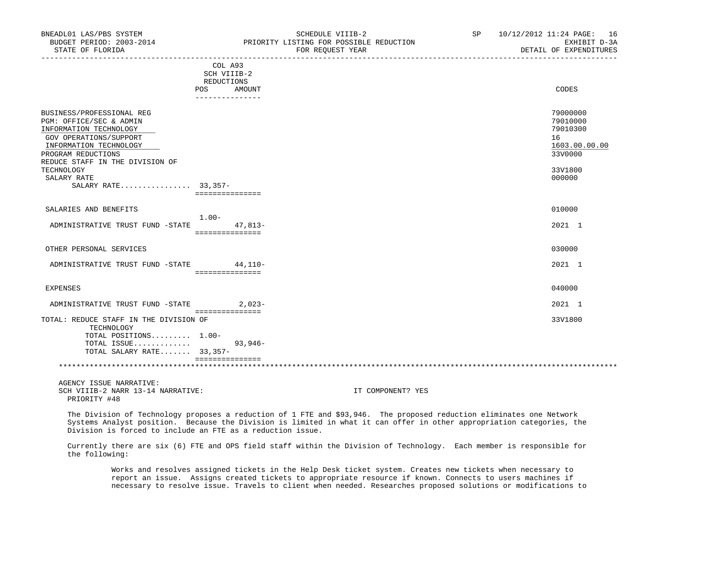| BNEADL01 LAS/PBS SYSTEM<br>BUDGET PERIOD: 2003-2014<br>STATE OF FLORIDA                                                                                                                     | SCHEDULE VIIIB-2<br>PRIORITY LISTING FOR POSSIBLE REDUCTION<br>FOR REQUEST YEAR | 10/12/2012 11:24 PAGE: 16<br>SP<br>EXHIBIT D-3A<br>DETAIL OF EXPENDITURES |
|---------------------------------------------------------------------------------------------------------------------------------------------------------------------------------------------|---------------------------------------------------------------------------------|---------------------------------------------------------------------------|
|                                                                                                                                                                                             | COL A93<br>SCH VIIIB-2<br>REDUCTIONS                                            |                                                                           |
|                                                                                                                                                                                             | POS.<br>AMOUNT<br>---------------                                               | CODES                                                                     |
| BUSINESS/PROFESSIONAL REG<br>PGM: OFFICE/SEC & ADMIN<br>INFORMATION TECHNOLOGY<br>GOV OPERATIONS/SUPPORT<br>INFORMATION TECHNOLOGY<br>PROGRAM REDUCTIONS<br>REDUCE STAFF IN THE DIVISION OF |                                                                                 | 79000000<br>79010000<br>79010300<br>16<br>1603.00.00.00<br>33V0000        |
| TECHNOLOGY<br>SALARY RATE<br>SALARY RATE 33,357-                                                                                                                                            | ===============                                                                 | 33V1800<br>000000                                                         |
| SALARIES AND BENEFITS                                                                                                                                                                       |                                                                                 | 010000                                                                    |
| ADMINISTRATIVE TRUST FUND -STATE                                                                                                                                                            | $1.00-$<br>47,813-<br>===============                                           | 2021 1                                                                    |
| OTHER PERSONAL SERVICES                                                                                                                                                                     |                                                                                 | 030000                                                                    |
| ADMINISTRATIVE TRUST FUND -STATE 44.110-                                                                                                                                                    | ===============                                                                 | 2021 1                                                                    |
| EXPENSES                                                                                                                                                                                    |                                                                                 | 040000                                                                    |
| ADMINISTRATIVE TRUST FUND -STATE 2,023-                                                                                                                                                     | ================                                                                | 2021 1                                                                    |
| TOTAL: REDUCE STAFF IN THE DIVISION OF<br>TECHNOLOGY<br>TOTAL POSITIONS 1.00-<br>TOTAL ISSUE<br>TOTAL SALARY RATE 33,357-                                                                   | $93,946-$                                                                       | 33V1800                                                                   |
|                                                                                                                                                                                             | ===============                                                                 |                                                                           |
| $\Lambda$ הזדרי התתת הדומים היום היום היום ה                                                                                                                                                |                                                                                 |                                                                           |

 AGENCY ISSUE NARRATIVE: SCH VIIIB-2 NARR 13-14 NARRATIVE: IT COMPONENT? YES PRIORITY #48

 The Division of Technology proposes a reduction of 1 FTE and \$93,946. The proposed reduction eliminates one Network Systems Analyst position. Because the Division is limited in what it can offer in other appropriation categories, the Division is forced to include an FTE as a reduction issue.

 Currently there are six (6) FTE and OPS field staff within the Division of Technology. Each member is responsible for the following:

 Works and resolves assigned tickets in the Help Desk ticket system. Creates new tickets when necessary to report an issue. Assigns created tickets to appropriate resource if known. Connects to users machines if necessary to resolve issue. Travels to client when needed. Researches proposed solutions or modifications to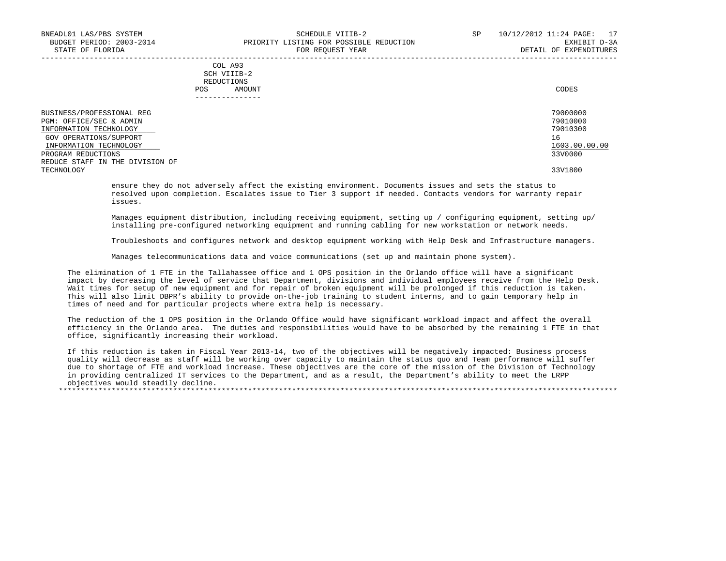| COL A93     |       |
|-------------|-------|
| SCH VIIIB-2 |       |
| REDUCTIONS  |       |
| AMOUNT      | CODES |
|             |       |

| BUSINESS/PROFESSIONAL REG<br>PGM: OFFICE/SEC & ADMIN | 79000000<br>79010000 |
|------------------------------------------------------|----------------------|
| INFORMATION TECHNOLOGY                               | 79010300             |
| GOV OPERATIONS/SUPPORT                               | 16                   |
| INFORMATION TECHNOLOGY                               | 1603.00.00.00        |
| PROGRAM REDUCTIONS                                   | 33V0000              |
| REDUCE STAFF IN THE DIVISION OF                      |                      |
| TECHNOLOGY                                           | 33V1800              |

 ensure they do not adversely affect the existing environment. Documents issues and sets the status to resolved upon completion. Escalates issue to Tier 3 support if needed. Contacts vendors for warranty repair issues.

 Manages equipment distribution, including receiving equipment, setting up / configuring equipment, setting up/ installing pre-configured networking equipment and running cabling for new workstation or network needs.

Troubleshoots and configures network and desktop equipment working with Help Desk and Infrastructure managers.

Manages telecommunications data and voice communications (set up and maintain phone system).

 The elimination of 1 FTE in the Tallahassee office and 1 OPS position in the Orlando office will have a significant impact by decreasing the level of service that Department, divisions and individual employees receive from the Help Desk. Wait times for setup of new equipment and for repair of broken equipment will be prolonged if this reduction is taken. This will also limit DBPR's ability to provide on-the-job training to student interns, and to gain temporary help in times of need and for particular projects where extra help is necessary.

 The reduction of the 1 OPS position in the Orlando Office would have significant workload impact and affect the overall efficiency in the Orlando area. The duties and responsibilities would have to be absorbed by the remaining 1 FTE in that office, significantly increasing their workload.

 If this reduction is taken in Fiscal Year 2013-14, two of the objectives will be negatively impacted: Business process quality will decrease as staff will be working over capacity to maintain the status quo and Team performance will suffer due to shortage of FTE and workload increase. These objectives are the core of the mission of the Division of Technology in providing centralized IT services to the Department, and as a result, the Department's ability to meet the LRPP objectives would steadily decline.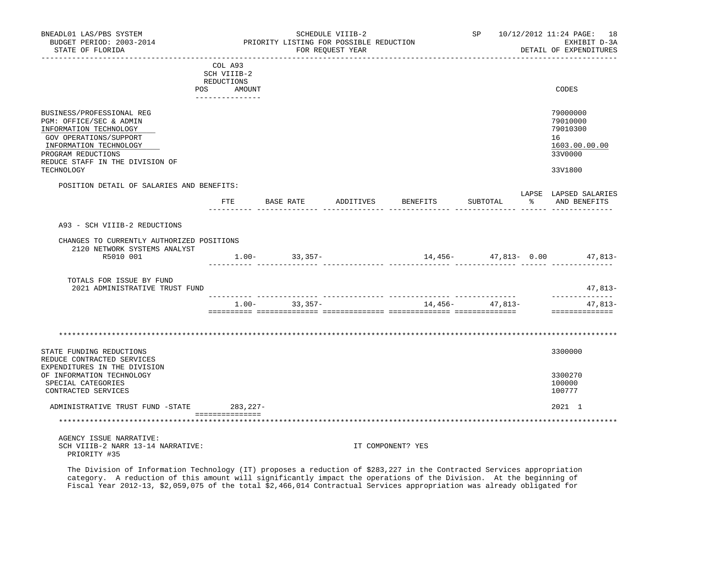| BNEADL01 LAS/PBS SYSTEM<br>BUDGET PERIOD: 2003-2014<br>STATE OF FLORIDA                                                                                                                                   |                                                                        | PRIORITY LISTING FOR POSSIBLE REDUCTION | SCHEDULE VIIIB-2<br>FOR REQUEST YEAR |                    |                  | SP 10/12/2012 11:24 PAGE: 18<br>EXHIBIT D-3A<br>DETAIL OF EXPENDITURES        |
|-----------------------------------------------------------------------------------------------------------------------------------------------------------------------------------------------------------|------------------------------------------------------------------------|-----------------------------------------|--------------------------------------|--------------------|------------------|-------------------------------------------------------------------------------|
|                                                                                                                                                                                                           | COL A93<br>SCH VIIIB-2<br>REDUCTIONS<br>POS AMOUNT<br>---------------- |                                         |                                      |                    |                  | CODES                                                                         |
| BUSINESS/PROFESSIONAL REG<br>PGM: OFFICE/SEC & ADMIN<br>INFORMATION TECHNOLOGY<br>GOV OPERATIONS/SUPPORT<br>INFORMATION TECHNOLOGY<br>PROGRAM REDUCTIONS<br>REDUCE STAFF IN THE DIVISION OF<br>TECHNOLOGY |                                                                        |                                         |                                      |                    |                  | 79000000<br>79010000<br>79010300<br>16<br>1603.00.00.00<br>33V0000<br>33V1800 |
| POSITION DETAIL OF SALARIES AND BENEFITS:                                                                                                                                                                 |                                                                        | FTE BASE RATE                           |                                      | ADDITIVES BENEFITS | SUBTOTAL         | LAPSE LAPSED SALARIES<br>% AND BENEFITS                                       |
| A93 - SCH VIIIB-2 REDUCTIONS<br>CHANGES TO CURRENTLY AUTHORIZED POSITIONS<br>2120 NETWORK SYSTEMS ANALYST<br>R5010 001                                                                                    |                                                                        | $1.00 - 33,357 -$                       |                                      |                    |                  | 14,456- 47,813- 0.00 47,813-                                                  |
| TOTALS FOR ISSUE BY FUND<br>2021 ADMINISTRATIVE TRUST FUND                                                                                                                                                |                                                                        |                                         |                                      |                    |                  | 47,813-                                                                       |
|                                                                                                                                                                                                           |                                                                        | $1.00 - 33,357 -$                       |                                      |                    | $14,456 47,813-$ | --------------<br>47,813-<br>===============                                  |
| STATE FUNDING REDUCTIONS                                                                                                                                                                                  |                                                                        |                                         |                                      |                    |                  | 3300000                                                                       |
| REDUCE CONTRACTED SERVICES<br>EXPENDITURES IN THE DIVISION<br>OF INFORMATION TECHNOLOGY<br>SPECIAL CATEGORIES<br>CONTRACTED SERVICES                                                                      |                                                                        |                                         |                                      |                    |                  | 3300270<br>100000<br>100777                                                   |
| ADMINISTRATIVE TRUST FUND -STATE 283,227-                                                                                                                                                                 | ----------------                                                       |                                         |                                      |                    |                  | 2021 1                                                                        |
|                                                                                                                                                                                                           |                                                                        |                                         |                                      |                    |                  |                                                                               |
| AGENCY ISSUE NARRATIVE:<br>SCH VIIIB-2 NARR 13-14 NARRATIVE:<br>PRIORITY #35                                                                                                                              |                                                                        |                                         |                                      | IT COMPONENT? YES  |                  |                                                                               |

 The Division of Information Technology (IT) proposes a reduction of \$283,227 in the Contracted Services appropriation category. A reduction of this amount will significantly impact the operations of the Division. At the beginning of Fiscal Year 2012-13, \$2,059,075 of the total \$2,466,014 Contractual Services appropriation was already obligated for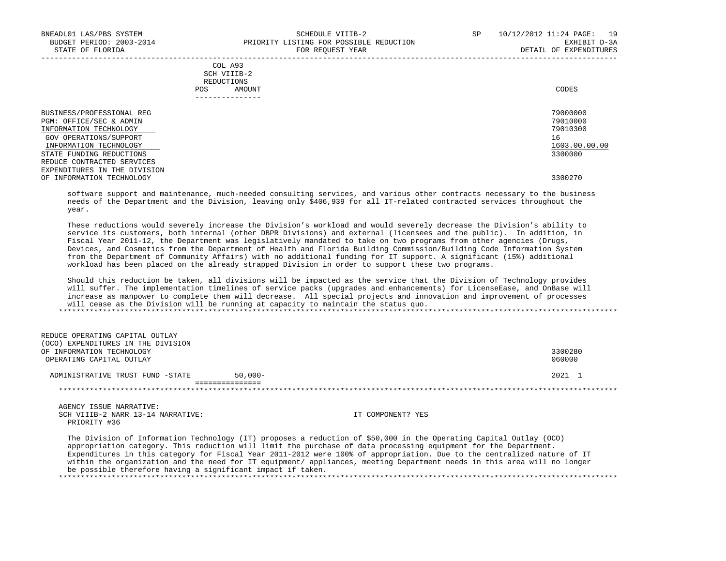|            | _______________ |       |
|------------|-----------------|-------|
| POS        | AMOUNT          | CODES |
| REDUCTIONS |                 |       |
|            | SCH VIIIB-2     |       |
|            | COL A93         |       |

 BUSINESS/PROFESSIONAL REG 79000000 PGM: OFFICE/SEC & ADMIN 79010000<br>INFORMATION TECHNOLOGY 79010300 INFORMATION TECHNOLOGY GOV OPERATIONS/SUPPORT 16 INFORMATION TECHNOLOGY 1603.00.00.00 \_\_\_\_\_\_\_\_\_\_\_\_\_\_\_\_\_\_\_\_\_\_\_\_\_\_ \_\_\_\_\_\_\_\_\_\_\_\_\_ STATE FUNDING REDUCTIONS REDUCE CONTRACTED SERVICES EXPENDITURES IN THE DIVISION OF INFORMATION TECHNOLOGY 3300270

 software support and maintenance, much-needed consulting services, and various other contracts necessary to the business needs of the Department and the Division, leaving only \$406,939 for all IT-related contracted services throughout the year.

 These reductions would severely increase the Division's workload and would severely decrease the Division's ability to service its customers, both internal (other DBPR Divisions) and external (licensees and the public). In addition, in Fiscal Year 2011-12, the Department was legislatively mandated to take on two programs from other agencies (Drugs, Devices, and Cosmetics from the Department of Health and Florida Building Commission/Building Code Information System from the Department of Community Affairs) with no additional funding for IT support. A significant (15%) additional workload has been placed on the already strapped Division in order to support these two programs.

 Should this reduction be taken, all divisions will be impacted as the service that the Division of Technology provides will suffer. The implementation timelines of service packs (upgrades and enhancements) for LicenseEase, and OnBase will increase as manpower to complete them will decrease. All special projects and innovation and improvement of processes will cease as the Division will be running at capacity to maintain the status quo. \*\*\*\*\*\*\*\*\*\*\*\*\*\*\*\*\*\*\*\*\*\*\*\*\*\*\*\*\*\*\*\*\*\*\*\*\*\*\*\*\*\*\*\*\*\*\*\*\*\*\*\*\*\*\*\*\*\*\*\*\*\*\*\*\*\*\*\*\*\*\*\*\*\*\*\*\*\*\*\*\*\*\*\*\*\*\*\*\*\*\*\*\*\*\*\*\*\*\*\*\*\*\*\*\*\*\*\*\*\*\*\*\*\*\*\*\*\*\*\*\*\*\*\*\*\*\*

| REDUCE OPERATING CAPITAL OUTLAY       |           |         |
|---------------------------------------|-----------|---------|
| EXPENDITURES IN THE DIVISION<br>(OCO) |           |         |
| OF INFORMATION TECHNOLOGY             |           | 3300280 |
| OPERATING CAPITAL OUTLAY              |           | 060000  |
|                                       |           |         |
| ADMINISTRATIVE TRUST FUND -STATE      | $50,000-$ | 2021 1  |
|                                       |           |         |
|                                       |           |         |
|                                       |           |         |

 AGENCY ISSUE NARRATIVE: SCH VIIIB-2 NARR 13-14 NARRATIVE: IT COMPONENT? YES PRIORITY #36

 The Division of Information Technology (IT) proposes a reduction of \$50,000 in the Operating Capital Outlay (OCO) appropriation category. This reduction will limit the purchase of data processing equipment for the Department. Expenditures in this category for Fiscal Year 2011-2012 were 100% of appropriation. Due to the centralized nature of IT within the organization and the need for IT equipment/ appliances, meeting Department needs in this area will no longer be possible therefore having a significant impact if taken. \*\*\*\*\*\*\*\*\*\*\*\*\*\*\*\*\*\*\*\*\*\*\*\*\*\*\*\*\*\*\*\*\*\*\*\*\*\*\*\*\*\*\*\*\*\*\*\*\*\*\*\*\*\*\*\*\*\*\*\*\*\*\*\*\*\*\*\*\*\*\*\*\*\*\*\*\*\*\*\*\*\*\*\*\*\*\*\*\*\*\*\*\*\*\*\*\*\*\*\*\*\*\*\*\*\*\*\*\*\*\*\*\*\*\*\*\*\*\*\*\*\*\*\*\*\*\*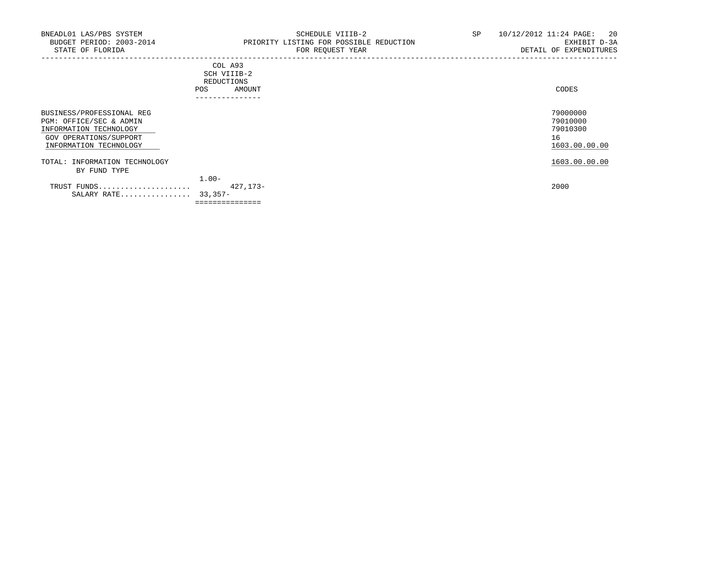| --------------- |        |       |
|-----------------|--------|-------|
| POS<br>$ -$     | AMOUNT | CODES |
| REDUCTIONS      |        |       |
| SCH VIIIB-2     |        |       |
| COL A93         |        |       |
|                 |        |       |

|                               | .                     |               |
|-------------------------------|-----------------------|---------------|
| BUSINESS/PROFESSIONAL REG     |                       | 79000000      |
| PGM: OFFICE/SEC & ADMIN       |                       | 79010000      |
| INFORMATION TECHNOLOGY        |                       | 79010300      |
| GOV OPERATIONS/SUPPORT        |                       | 16            |
| INFORMATION TECHNOLOGY        |                       | 1603.00.00.00 |
| TOTAL: INFORMATION TECHNOLOGY |                       | 1603.00.00.00 |
| BY FUND TYPE                  |                       |               |
|                               | $1.00 -$              |               |
| TRUST FUNDS<br>SALARY RATE    | 427,173-<br>$33.357-$ | 2000          |
|                               | ===============       |               |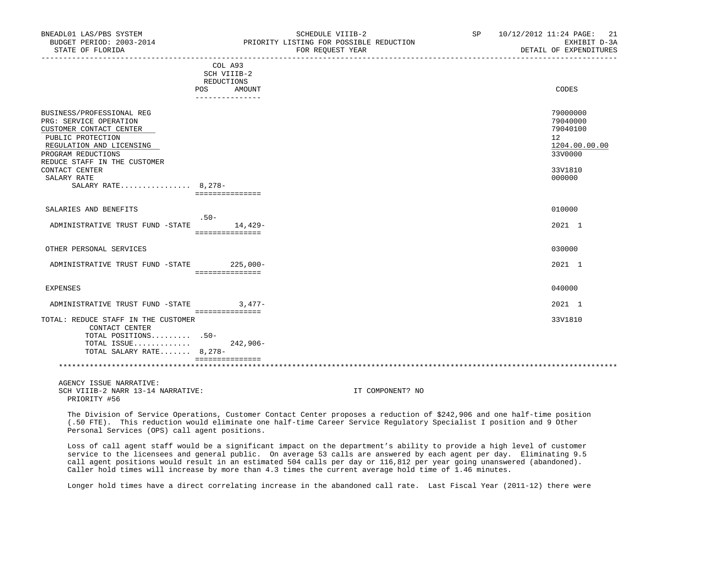| BNEADL01 LAS/PBS SYSTEM                   | SCHEDULE VIIIB-2                        | SP | 10/12/2012 11:24 PAGE: 21 |
|-------------------------------------------|-----------------------------------------|----|---------------------------|
| BUDGET PERIOD: 2003-2014                  | PRIORITY LISTING FOR POSSIBLE REDUCTION |    | EXHIBIT D-3A              |
| STATE OF FLORIDA                          | FOR REOUEST YEAR                        |    | DETAIL OF EXPENDITURES    |
|                                           | COL A93                                 |    |                           |
|                                           | SCH VIIIB-2                             |    |                           |
|                                           | REDUCTIONS                              |    |                           |
|                                           | POS<br>AMOUNT                           |    | CODES                     |
|                                           | ---------------                         |    |                           |
| BUSINESS/PROFESSIONAL REG                 |                                         |    | 79000000                  |
| PRG: SERVICE OPERATION                    |                                         |    | 79040000                  |
| CUSTOMER CONTACT CENTER                   |                                         |    | 79040100                  |
| PUBLIC PROTECTION                         |                                         |    | 12                        |
| REGULATION AND LICENSING                  |                                         |    | 1204.00.00.00             |
| PROGRAM REDUCTIONS                        |                                         |    | 33V0000                   |
| REDUCE STAFF IN THE CUSTOMER              |                                         |    |                           |
|                                           |                                         |    | 33V1810                   |
| CONTACT CENTER<br>SALARY RATE             |                                         |    |                           |
| SALARY RATE 8,278-                        |                                         |    | 000000                    |
|                                           | ----------------                        |    |                           |
|                                           |                                         |    |                           |
| SALARIES AND BENEFITS                     |                                         |    | 010000                    |
|                                           | $.50 -$                                 |    |                           |
| ADMINISTRATIVE TRUST FUND -STATE          | 14,429-                                 |    | 2021 1                    |
|                                           | ===============                         |    |                           |
|                                           |                                         |    |                           |
| OTHER PERSONAL SERVICES                   |                                         |    | 030000                    |
| ADMINISTRATIVE TRUST FUND -STATE 225,000- |                                         |    | 2021 1                    |
|                                           | ================                        |    |                           |
|                                           |                                         |    |                           |
| EXPENSES                                  |                                         |    | 040000                    |
|                                           | $3.477-$                                |    | 2021 1                    |
| ADMINISTRATIVE TRUST FUND -STATE          | ===============                         |    |                           |
| TOTAL: REDUCE STAFF IN THE CUSTOMER       |                                         |    | 33V1810                   |
| CONTACT CENTER                            |                                         |    |                           |
| TOTAL POSITIONS .50-                      |                                         |    |                           |
| TOTAL ISSUE                               | $242,906-$                              |    |                           |
| TOTAL SALARY RATE 8,278-                  |                                         |    |                           |
|                                           | ===============                         |    |                           |
|                                           |                                         |    |                           |
|                                           |                                         |    |                           |
| AGENCY ISSUE NARRATIVE:                   |                                         |    |                           |

SCH VIIIB-2 NARR 13-14 NARRATIVE: IT COMPONENT? NO PRIORITY #56

 The Division of Service Operations, Customer Contact Center proposes a reduction of \$242,906 and one half-time position (.50 FTE). This reduction would eliminate one half-time Career Service Regulatory Specialist I position and 9 Other Personal Services (OPS) call agent positions.

 Loss of call agent staff would be a significant impact on the department's ability to provide a high level of customer service to the licensees and general public. On average 53 calls are answered by each agent per day. Eliminating 9.5 call agent positions would result in an estimated 504 calls per day or 116,812 per year going unanswered (abandoned). Caller hold times will increase by more than 4.3 times the current average hold time of 1.46 minutes.

Longer hold times have a direct correlating increase in the abandoned call rate. Last Fiscal Year (2011-12) there were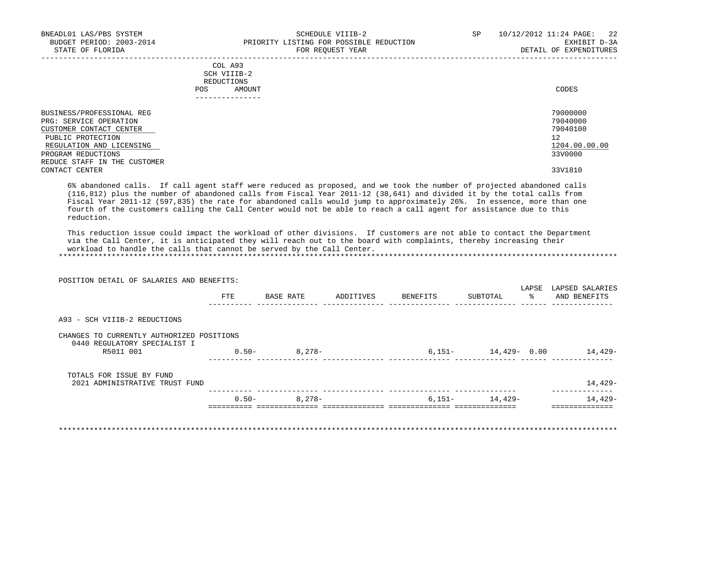|     | --------------- |       |
|-----|-----------------|-------|
| POS | AMOUNT          | CODES |
|     | REDUCTIONS      |       |
|     | SCH VIIIB-2     |       |
|     | COL A93         |       |

| BUSINESS/PROFESSIONAL REG    | 79000000      |
|------------------------------|---------------|
| PRG: SERVICE OPERATION       | 79040000      |
| CUSTOMER CONTACT CENTER      | 79040100      |
| PUBLIC PROTECTION            | 12            |
| REGULATION AND LICENSING     | 1204.00.00.00 |
| PROGRAM REDUCTIONS           | 33V0000       |
| REDUCE STAFF IN THE CUSTOMER |               |
| CONTACT CENTER               | 33V1810       |

 6% abandoned calls. If call agent staff were reduced as proposed, and we took the number of projected abandoned calls (116,812) plus the number of abandoned calls from Fiscal Year 2011-12 (38,641) and divided it by the total calls from Fiscal Year 2011-12 (597,835) the rate for abandoned calls would jump to approximately 26%. In essence, more than one fourth of the customers calling the Call Center would not be able to reach a call agent for assistance due to this reduction.

 This reduction issue could impact the workload of other divisions. If customers are not able to contact the Department via the Call Center, it is anticipated they will reach out to the board with complaints, thereby increasing their workload to handle the calls that cannot be served by the Call Center. \*\*\*\*\*\*\*\*\*\*\*\*\*\*\*\*\*\*\*\*\*\*\*\*\*\*\*\*\*\*\*\*\*\*\*\*\*\*\*\*\*\*\*\*\*\*\*\*\*\*\*\*\*\*\*\*\*\*\*\*\*\*\*\*\*\*\*\*\*\*\*\*\*\*\*\*\*\*\*\*\*\*\*\*\*\*\*\*\*\*\*\*\*\*\*\*\*\*\*\*\*\*\*\*\*\*\*\*\*\*\*\*\*\*\*\*\*\*\*\*\*\*\*\*\*\*\*

 POSITION DETAIL OF SALARIES AND BENEFITS: LAPSE LAPSED SALARIES FTE BASE RATE ADDITIVES BENEFITS SUBTOTAL % AND BENEFITS ---------- -------------- -------------- -------------- -------------- ------ -------------- A93 - SCH VIIIB-2 REDUCTIONS CHANGES TO CURRENTLY AUTHORIZED POSITIONS 0440 REGULATORY SPECIALIST I R5011 001 0.50- 8,278- 6,151- 14,429- 0.00 14,429- ---------- -------------- -------------- -------------- -------------- ------ -------------- TOTALS FOR ISSUE BY FUND 2021 ADMINISTRATIVE TRUST FUND 14,429- ---------- -------------- -------------- -------------- -------------- --------------  $0.50-$  8,278- 6,151- 14,429- 14,429-========== ============== ============== ============== ============== ==============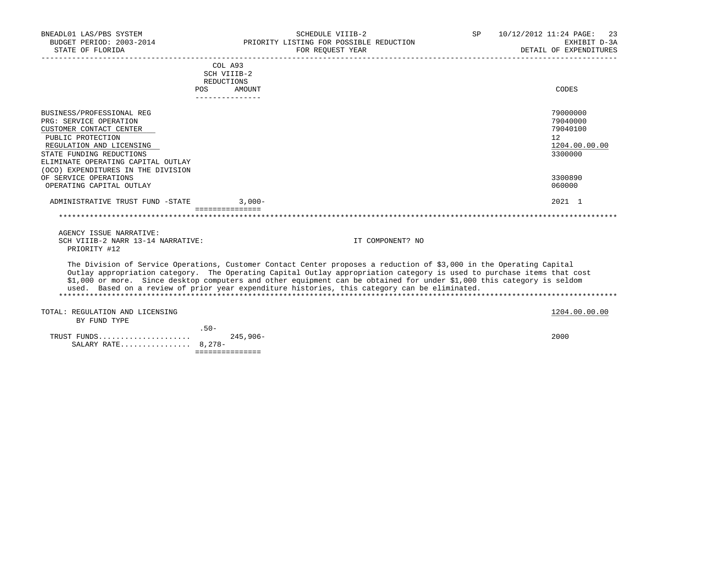| BNEADL01 LAS/PBS SYSTEM                 | SCHEDULE VIIIB-2                                                                                                       | SP | 10/12/2012 11:24 PAGE: 23 |
|-----------------------------------------|------------------------------------------------------------------------------------------------------------------------|----|---------------------------|
| BUDGET PERIOD: 2003-2014                | PRIORITY LISTING FOR POSSIBLE REDUCTION                                                                                |    | EXHIBIT D-3A              |
| STATE OF FLORIDA                        | FOR REOUEST YEAR                                                                                                       |    | DETAIL OF EXPENDITURES    |
|                                         | COL A93                                                                                                                |    |                           |
|                                         | SCH VIIIB-2                                                                                                            |    |                           |
|                                         | REDUCTIONS                                                                                                             |    |                           |
| POS                                     | AMOUNT                                                                                                                 |    | CODES                     |
|                                         | ---------------                                                                                                        |    |                           |
| BUSINESS/PROFESSIONAL REG               |                                                                                                                        |    | 79000000                  |
| PRG: SERVICE OPERATION                  |                                                                                                                        |    | 79040000                  |
| CUSTOMER CONTACT CENTER                 |                                                                                                                        |    | 79040100                  |
| PUBLIC PROTECTION                       |                                                                                                                        |    | 12                        |
| REGULATION AND LICENSING                |                                                                                                                        |    | 1204.00.00.00             |
| STATE FUNDING REDUCTIONS                |                                                                                                                        |    | 3300000                   |
| ELIMINATE OPERATING CAPITAL OUTLAY      |                                                                                                                        |    |                           |
| (OCO) EXPENDITURES IN THE DIVISION      |                                                                                                                        |    |                           |
| OF SERVICE OPERATIONS                   |                                                                                                                        |    | 3300890                   |
| OPERATING CAPITAL OUTLAY                |                                                                                                                        |    | 060000                    |
| ADMINISTRATIVE TRUST FUND -STATE 3,000- |                                                                                                                        |    | 2021 1                    |
|                                         | ===============                                                                                                        |    |                           |
| AGENCY ISSUE NARRATIVE:                 |                                                                                                                        |    |                           |
| SCH VIIIB-2 NARR 13-14 NARRATIVE:       | IT COMPONENT? NO                                                                                                       |    |                           |
| PRIORITY #12                            |                                                                                                                        |    |                           |
|                                         | The Division of Service Operations, Customer Contact Center proposes a reduction of \$3,000 in the Operating Capital   |    |                           |
|                                         | Outlay appropriation category. The Operating Capital Outlay appropriation category is used to purchase items that cost |    |                           |
|                                         | \$1,000 or more. Since desktop computers and other equipment can be obtained for under \$1,000 this category is seldom |    |                           |
|                                         | used. Based on a review of prior year expenditure histories, this category can be eliminated.                          |    |                           |
|                                         |                                                                                                                        |    |                           |
| TOTAL: REGULATION AND LICENSING         |                                                                                                                        |    | 1204.00.00.00             |
| BY FUND TYPE                            |                                                                                                                        |    |                           |
| $.50 -$                                 |                                                                                                                        |    |                           |
| TRUST FUNDS                             | $245,906-$                                                                                                             |    | 2000                      |
| SALARY RATE 8,278-                      |                                                                                                                        |    |                           |

===============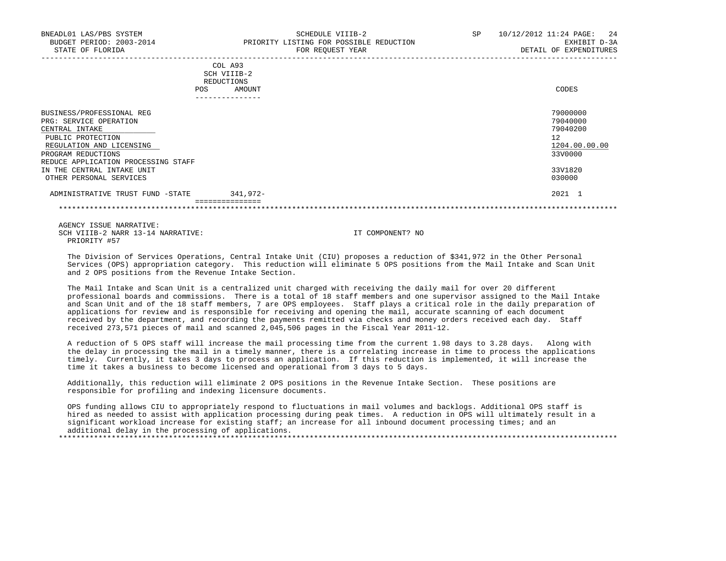| AMOUNT | CODES                                                  |
|--------|--------------------------------------------------------|
|        |                                                        |
|        | 79000000                                               |
|        | 79040000                                               |
|        | 79040200                                               |
|        | 12                                                     |
|        | 1204.00.00.00                                          |
|        | 33V0000                                                |
|        |                                                        |
|        | 33V1820                                                |
|        | 030000                                                 |
|        | COD AJJ<br>SCH VIIIB-2<br>REDUCTIONS<br>-------------- |

 ADMINISTRATIVE TRUST FUND -STATE 341,972- 2021 1 ===============

\*\*\*\*\*\*\*\*\*\*\*\*\*\*\*\*\*\*\*\*\*\*\*\*\*\*\*\*\*\*\*\*\*\*\*\*\*\*\*\*\*\*\*\*\*\*\*\*\*\*\*\*\*\*\*\*\*\*\*\*\*\*\*\*\*\*\*\*\*\*\*\*\*\*\*\*\*\*\*\*\*\*\*\*\*\*\*\*\*\*\*\*\*\*\*\*\*\*\*\*\*\*\*\*\*\*\*\*\*\*\*\*\*\*\*\*\*\*\*\*\*\*\*\*\*\*\*

 AGENCY ISSUE NARRATIVE: SCH VIIIB-2 NARR 13-14 NARRATIVE: IT COMPONENT? NO PRIORITY #57

 The Division of Services Operations, Central Intake Unit (CIU) proposes a reduction of \$341,972 in the Other Personal Services (OPS) appropriation category. This reduction will eliminate 5 OPS positions from the Mail Intake and Scan Unit and 2 OPS positions from the Revenue Intake Section.

 The Mail Intake and Scan Unit is a centralized unit charged with receiving the daily mail for over 20 different professional boards and commissions. There is a total of 18 staff members and one supervisor assigned to the Mail Intake and Scan Unit and of the 18 staff members, 7 are OPS employees. Staff plays a critical role in the daily preparation of applications for review and is responsible for receiving and opening the mail, accurate scanning of each document received by the department, and recording the payments remitted via checks and money orders received each day. Staff received 273,571 pieces of mail and scanned 2,045,506 pages in the Fiscal Year 2011-12.

 A reduction of 5 OPS staff will increase the mail processing time from the current 1.98 days to 3.28 days. Along with the delay in processing the mail in a timely manner, there is a correlating increase in time to process the applications timely. Currently, it takes 3 days to process an application. If this reduction is implemented, it will increase the time it takes a business to become licensed and operational from 3 days to 5 days.

 Additionally, this reduction will eliminate 2 OPS positions in the Revenue Intake Section. These positions are responsible for profiling and indexing licensure documents.

 OPS funding allows CIU to appropriately respond to fluctuations in mail volumes and backlogs. Additional OPS staff is hired as needed to assist with application processing during peak times. A reduction in OPS will ultimately result in a significant workload increase for existing staff; an increase for all inbound document processing times; and an additional delay in the processing of applications. \*\*\*\*\*\*\*\*\*\*\*\*\*\*\*\*\*\*\*\*\*\*\*\*\*\*\*\*\*\*\*\*\*\*\*\*\*\*\*\*\*\*\*\*\*\*\*\*\*\*\*\*\*\*\*\*\*\*\*\*\*\*\*\*\*\*\*\*\*\*\*\*\*\*\*\*\*\*\*\*\*\*\*\*\*\*\*\*\*\*\*\*\*\*\*\*\*\*\*\*\*\*\*\*\*\*\*\*\*\*\*\*\*\*\*\*\*\*\*\*\*\*\*\*\*\*\*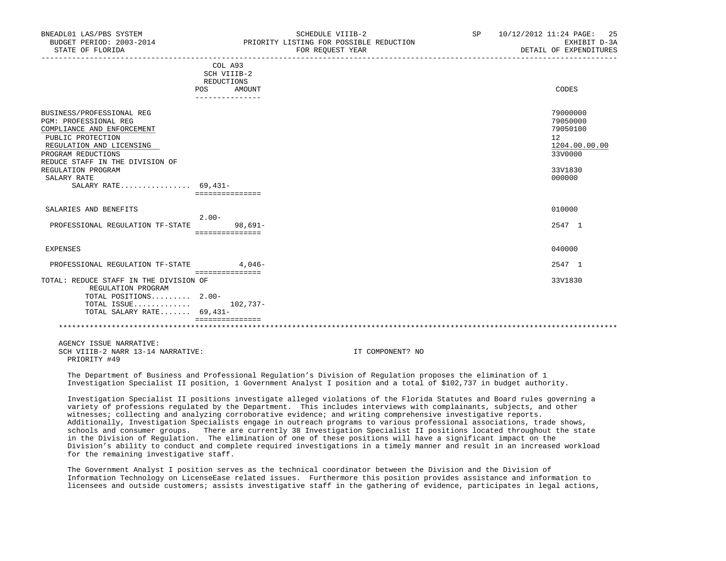| BNEADL01 LAS/PBS SYSTEM<br>BUDGET PERIOD: 2003-2014<br>STATE OF FLORIDA                                                                                                                                                                                       | SCHEDULE VIIIB-2<br>PRIORITY LISTING FOR POSSIBLE REDUCTION<br>FOR REQUEST YEAR | SP 10/12/2012 11:24 PAGE: 25<br>EXHIBIT D-3A<br>DETAIL OF EXPENDITURES                               |
|---------------------------------------------------------------------------------------------------------------------------------------------------------------------------------------------------------------------------------------------------------------|---------------------------------------------------------------------------------|------------------------------------------------------------------------------------------------------|
|                                                                                                                                                                                                                                                               | COL A93<br>SCH VIIIB-2<br>REDUCTIONS<br>POS<br>AMOUNT<br>--------------         | CODES                                                                                                |
| BUSINESS/PROFESSIONAL REG<br><b>PGM: PROFESSIONAL REG</b><br>COMPLIANCE AND ENFORCEMENT<br>PUBLIC PROTECTION<br>REGULATION AND LICENSING<br>PROGRAM REDUCTIONS<br>REDUCE STAFF IN THE DIVISION OF<br>REGULATION PROGRAM<br>SALARY RATE<br>SALARY RATE 69,431- |                                                                                 | 79000000<br>79050000<br>79050100<br>12 <sup>°</sup><br>1204.00.00.00<br>33V0000<br>33V1830<br>000000 |
| SALARIES AND BENEFITS<br>PROFESSIONAL REGULATION TF-STATE                                                                                                                                                                                                     | ===============<br>$2.00 -$<br>$98.691 -$                                       | 010000<br>2547 1                                                                                     |
| EXPENSES                                                                                                                                                                                                                                                      | ===============                                                                 | 040000                                                                                               |
| PROFESSIONAL REGULATION TF-STATE<br>TOTAL: REDUCE STAFF IN THE DIVISION OF<br>REGULATION PROGRAM<br>TOTAL POSITIONS 2.00-<br>TOTAL ISSUE $102,737-$<br>TOTAL SALARY RATE 69,431-                                                                              | $4.046-$<br>===============<br>===============                                  | 2547 1<br>33V1830                                                                                    |
| AGENCY ISSUE NARRATIVE:<br>SCH VIIIB-2 NARR 13-14 NARRATIVE:<br>PRIORITY #49                                                                                                                                                                                  | IT COMPONENT? NO                                                                |                                                                                                      |

 The Department of Business and Professional Regulation's Division of Regulation proposes the elimination of 1 Investigation Specialist II position, 1 Government Analyst I position and a total of \$102,737 in budget authority.

 Investigation Specialist II positions investigate alleged violations of the Florida Statutes and Board rules governing a variety of professions regulated by the Department. This includes interviews with complainants, subjects, and other witnesses; collecting and analyzing corroborative evidence; and writing comprehensive investigative reports. Additionally, Investigation Specialists engage in outreach programs to various professional associations, trade shows, schools and consumer groups. There are currently 38 Investigation Specialist II positions located throughout the state in the Division of Regulation. The elimination of one of these positions will have a significant impact on the Division's ability to conduct and complete required investigations in a timely manner and result in an increased workload for the remaining investigative staff.

 The Government Analyst I position serves as the technical coordinator between the Division and the Division of Information Technology on LicenseEase related issues. Furthermore this position provides assistance and information to licensees and outside customers; assists investigative staff in the gathering of evidence, participates in legal actions,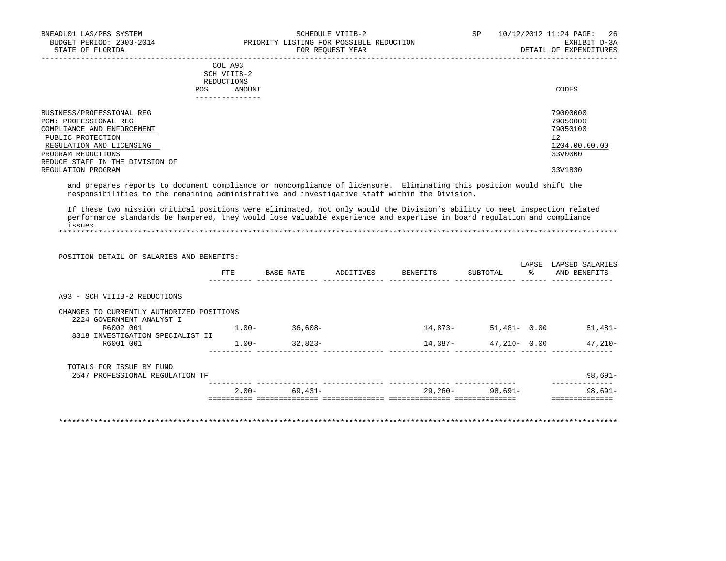|     | --------------- |       |
|-----|-----------------|-------|
| POS | AMOUNT          | CODES |
|     | REDUCTIONS      |       |
|     | SCH VIIIB-2     |       |
|     | COL A93         |       |

| BUSINESS/PROFESSIONAL REG       | 79000000      |
|---------------------------------|---------------|
| PGM: PROFESSIONAL REG           | 79050000      |
| COMPLIANCE AND ENFORCEMENT      | 79050100      |
| PUBLIC PROTECTION               | 12            |
| REGULATION AND LICENSING        | 1204.00.00.00 |
| PROGRAM REDUCTIONS              | 33V0000       |
| REDUCE STAFF IN THE DIVISION OF |               |
| REGULATION PROGRAM              | 33V1830       |

 and prepares reports to document compliance or noncompliance of licensure. Eliminating this position would shift the responsibilities to the remaining administrative and investigative staff within the Division.

 If these two mission critical positions were eliminated, not only would the Division's ability to meet inspection related performance standards be hampered, they would lose valuable experience and expertise in board regulation and compliance issues. \*\*\*\*\*\*\*\*\*\*\*\*\*\*\*\*\*\*\*\*\*\*\*\*\*\*\*\*\*\*\*\*\*\*\*\*\*\*\*\*\*\*\*\*\*\*\*\*\*\*\*\*\*\*\*\*\*\*\*\*\*\*\*\*\*\*\*\*\*\*\*\*\*\*\*\*\*\*\*\*\*\*\*\*\*\*\*\*\*\*\*\*\*\*\*\*\*\*\*\*\*\*\*\*\*\*\*\*\*\*\*\*\*\*\*\*\*\*\*\*\*\*\*\*\*\*\*

| POSITION DETAIL OF SALARIES AND BENEFITS: | FTE      | BASE RATE         | ADDITIVES | BENEFITS | SUBTOTAL        | LAPSE<br>$\frac{1}{6}$ | LAPSED SALARIES<br>AND BENEFITS |
|-------------------------------------------|----------|-------------------|-----------|----------|-----------------|------------------------|---------------------------------|
| A93 - SCH VIIIB-2 REDUCTIONS              |          |                   |           |          |                 |                        |                                 |
| CHANGES TO CURRENTLY AUTHORIZED POSITIONS |          |                   |           |          |                 |                        |                                 |
| 2224 GOVERNMENT ANALYST I<br>R6002 001    | $1.00-$  | 36,608-           |           | 14,873-  | $51,481 - 0.00$ |                        | $51,481-$                       |
| 8318 INVESTIGATION SPECIALIST II          |          |                   |           |          |                 |                        |                                 |
| R6001 001                                 | $1.00 -$ | 32,823-           |           | 14,387-  | 47,210- 0.00    |                        | $47,210-$                       |
| TOTALS FOR ISSUE BY FUND                  |          |                   |           |          |                 |                        |                                 |
| 2547 PROFESSIONAL REGULATION TF           |          |                   |           |          |                 |                        | 98,691-                         |
|                                           |          | $2.00 - 69,431 -$ |           | 29,260-  | 98,691–         |                        | 98,691-                         |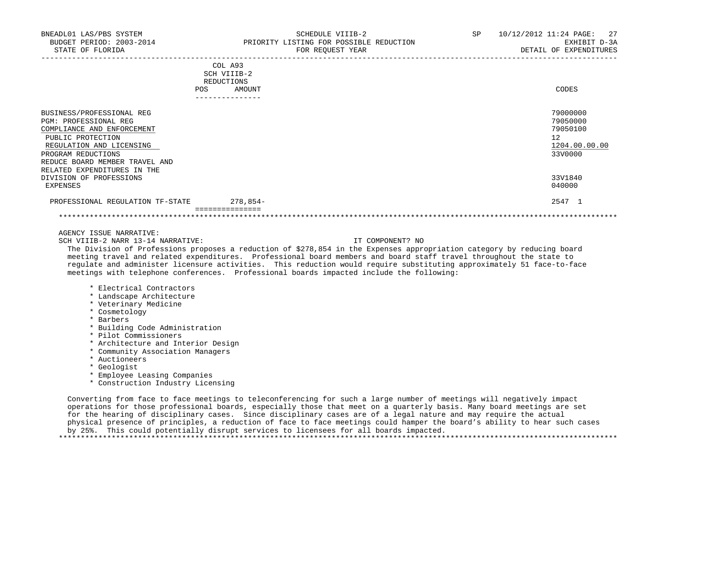| COL A93<br>SCH VIIIB-2<br><b>REDUCTIONS</b><br>AMOUNT<br><b>POS</b>                                                                                                                                                      | CODES                                                              |
|--------------------------------------------------------------------------------------------------------------------------------------------------------------------------------------------------------------------------|--------------------------------------------------------------------|
| ---------------                                                                                                                                                                                                          |                                                                    |
| BUSINESS/PROFESSIONAL REG<br>PGM: PROFESSIONAL REG<br>COMPLIANCE AND ENFORCEMENT<br>PUBLIC PROTECTION<br>REGULATION AND LICENSING<br>PROGRAM REDUCTIONS<br>REDUCE BOARD MEMBER TRAVEL AND<br>RELATED EXPENDITURES IN THE | 79000000<br>79050000<br>79050100<br>12<br>1204.00.00.00<br>33V0000 |
| DIVISION OF PROFESSIONS                                                                                                                                                                                                  | 33V1840                                                            |
| EXPENSES                                                                                                                                                                                                                 | 040000                                                             |
| $278,854-$<br>PROFESSIONAL REGULATION TF-STATE<br>==============                                                                                                                                                         | 2547 1                                                             |

\*\*\*\*\*\*\*\*\*\*\*\*\*\*\*\*\*\*\*\*\*\*\*\*\*\*\*\*\*\*\*\*\*\*\*\*\*\*\*\*\*\*\*\*\*\*\*\*\*\*\*\*\*\*\*\*\*\*\*\*\*\*\*\*\*\*\*\*\*\*\*\*\*\*\*\*\*\*\*\*\*\*\*\*\*\*\*\*\*\*\*\*\*\*\*\*\*\*\*\*\*\*\*\*\*\*\*\*\*\*\*\*\*\*\*\*\*\*\*\*\*\*\*\*\*\*\*

AGENCY ISSUE NARRATIVE:

SCH VIIIB-2 NARR 13-14 NARRATIVE: IT COMPONENT? NO

 The Division of Professions proposes a reduction of \$278,854 in the Expenses appropriation category by reducing board meeting travel and related expenditures. Professional board members and board staff travel throughout the state to regulate and administer licensure activities. This reduction would require substituting approximately 51 face-to-face meetings with telephone conferences. Professional boards impacted include the following:

- \* Electrical Contractors
- \* Landscape Architecture
- \* Veterinary Medicine
- \* Cosmetology
- \* Barbers
- \* Building Code Administration
- \* Pilot Commissioners
- \* Architecture and Interior Design
- \* Community Association Managers
- \* Auctioneers
- \* Geologist
- \* Employee Leasing Companies
- \* Construction Industry Licensing

 Converting from face to face meetings to teleconferencing for such a large number of meetings will negatively impact operations for those professional boards, especially those that meet on a quarterly basis. Many board meetings are set for the hearing of disciplinary cases. Since disciplinary cases are of a legal nature and may require the actual physical presence of principles, a reduction of face to face meetings could hamper the board's ability to hear such cases by 25%. This could potentially disrupt services to licensees for all boards impacted. \*\*\*\*\*\*\*\*\*\*\*\*\*\*\*\*\*\*\*\*\*\*\*\*\*\*\*\*\*\*\*\*\*\*\*\*\*\*\*\*\*\*\*\*\*\*\*\*\*\*\*\*\*\*\*\*\*\*\*\*\*\*\*\*\*\*\*\*\*\*\*\*\*\*\*\*\*\*\*\*\*\*\*\*\*\*\*\*\*\*\*\*\*\*\*\*\*\*\*\*\*\*\*\*\*\*\*\*\*\*\*\*\*\*\*\*\*\*\*\*\*\*\*\*\*\*\*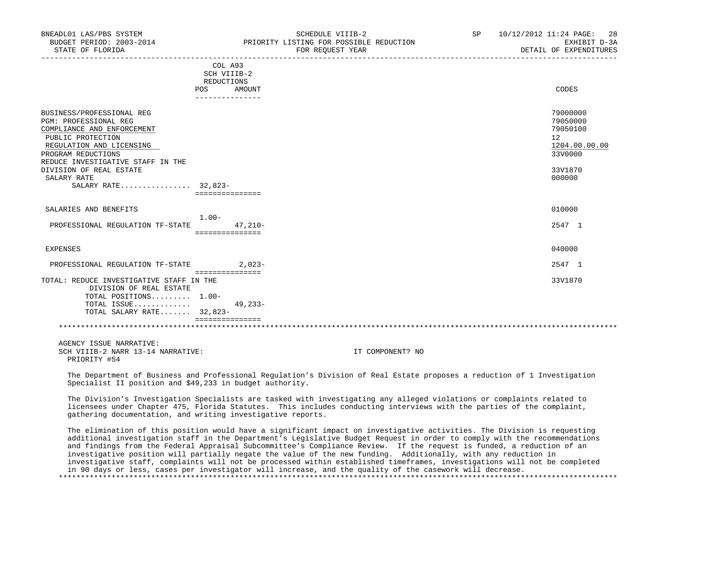| BUDGET PERIOD: 2003-2014<br>STATE OF FLORIDA                                                                                                                                                                                                                  | PRIORITY LISTING FOR POSSIBLE REDUCTION<br>FOR REQUEST YEAR | EXHIBIT D-3A<br>DETAIL OF EXPENDITURES                                                  |
|---------------------------------------------------------------------------------------------------------------------------------------------------------------------------------------------------------------------------------------------------------------|-------------------------------------------------------------|-----------------------------------------------------------------------------------------|
|                                                                                                                                                                                                                                                               | COL A93<br>SCH VIIIB-2<br>REDUCTIONS                        |                                                                                         |
|                                                                                                                                                                                                                                                               | POS DO<br>AMOUNT<br>---------------                         | CODES                                                                                   |
| BUSINESS/PROFESSIONAL REG<br>PGM: PROFESSIONAL REG<br>COMPLIANCE AND ENFORCEMENT<br>PUBLIC PROTECTION<br>REGULATION AND LICENSING<br>PROGRAM REDUCTIONS<br>REDUCE INVESTIGATIVE STAFF IN THE<br>DIVISION OF REAL ESTATE<br>SALARY RATE<br>SALARY RATE 32,823- |                                                             | 79000000<br>79050000<br>79050100<br>12<br>1204.00.00.00<br>33V0000<br>33V1870<br>000000 |
| SALARIES AND BENEFITS                                                                                                                                                                                                                                         | ===============                                             | 010000                                                                                  |
| PROFESSIONAL REGULATION TF-STATE 47,210-                                                                                                                                                                                                                      | $1.00 -$<br>===============                                 | 2547 1                                                                                  |
| EXPENSES                                                                                                                                                                                                                                                      |                                                             | 040000                                                                                  |
| PROFESSIONAL REGULATION TF-STATE                                                                                                                                                                                                                              | $2.023-$                                                    | 2547 1                                                                                  |
| TOTAL: REDUCE INVESTIGATIVE STAFF IN THE<br>DIVISION OF REAL ESTATE<br>TOTAL POSITIONS 1.00-<br>TOTAL ISSUE<br>TOTAL SALARY RATE 32,823-                                                                                                                      | ================<br>$49,233-$<br>===============            | 33V1870                                                                                 |
| AGENCY ISSUE NARRATIVE:<br>SCH VIIIB-2 NARR 13-14 NARRATIVE:<br>PRIORITY #54                                                                                                                                                                                  | IT COMPONENT? NO                                            |                                                                                         |

BNEADL01 LAS/PBS SYSTEM SCHEDULE VIIIB-2 SCHEDULE VIIIB-2 SP 10/12/2012 11:24 PAGE: 28

 The Department of Business and Professional Regulation's Division of Real Estate proposes a reduction of 1 Investigation Specialist II position and \$49,233 in budget authority.

 The Division's Investigation Specialists are tasked with investigating any alleged violations or complaints related to licensees under Chapter 475, Florida Statutes. This includes conducting interviews with the parties of the complaint, gathering documentation, and writing investigative reports.

 The elimination of this position would have a significant impact on investigative activities. The Division is requesting additional investigation staff in the Department's Legislative Budget Request in order to comply with the recommendations and findings from the Federal Appraisal Subcommittee's Compliance Review. If the request is funded, a reduction of an investigative position will partially negate the value of the new funding. Additionally, with any reduction in investigative staff, complaints will not be processed within established timeframes, investigations will not be completed in 90 days or less, cases per investigator will increase, and the quality of the casework will decrease. \*\*\*\*\*\*\*\*\*\*\*\*\*\*\*\*\*\*\*\*\*\*\*\*\*\*\*\*\*\*\*\*\*\*\*\*\*\*\*\*\*\*\*\*\*\*\*\*\*\*\*\*\*\*\*\*\*\*\*\*\*\*\*\*\*\*\*\*\*\*\*\*\*\*\*\*\*\*\*\*\*\*\*\*\*\*\*\*\*\*\*\*\*\*\*\*\*\*\*\*\*\*\*\*\*\*\*\*\*\*\*\*\*\*\*\*\*\*\*\*\*\*\*\*\*\*\*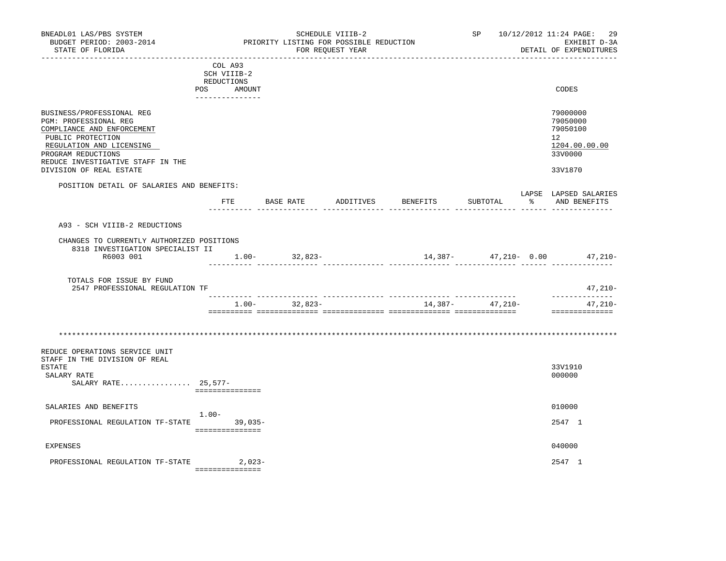| BNEADL01 LAS/PBS SYSTEM<br>BUDGET PERIOD: 2003-2014<br>STATE OF FLORIDA                                                                                                                                                 |                                                                       | PRIORITY LISTING FOR POSSIBLE REDUCTION | SCHEDULE VIIIB-2<br>FOR REQUEST YEAR |                                 |                  | SP 10/12/2012 11:24 PAGE:<br>29<br>EXHIBIT D-3A<br>DETAIL OF EXPENDITURES                  |
|-------------------------------------------------------------------------------------------------------------------------------------------------------------------------------------------------------------------------|-----------------------------------------------------------------------|-----------------------------------------|--------------------------------------|---------------------------------|------------------|--------------------------------------------------------------------------------------------|
|                                                                                                                                                                                                                         | COL A93<br>SCH VIIIB-2<br>REDUCTIONS<br>POS AMOUNT<br>--------------- |                                         |                                      |                                 |                  | CODES                                                                                      |
| BUSINESS/PROFESSIONAL REG<br>PGM: PROFESSIONAL REG<br>COMPLIANCE AND ENFORCEMENT<br>PUBLIC PROTECTION<br>REGULATION AND LICENSING<br>PROGRAM REDUCTIONS<br>REDUCE INVESTIGATIVE STAFF IN THE<br>DIVISION OF REAL ESTATE |                                                                       |                                         |                                      |                                 |                  | 79000000<br>79050000<br>79050100<br>12 <sup>°</sup><br>1204.00.00.00<br>33V0000<br>33V1870 |
| POSITION DETAIL OF SALARIES AND BENEFITS:                                                                                                                                                                               |                                                                       |                                         |                                      |                                 |                  | LAPSE LAPSED SALARIES                                                                      |
|                                                                                                                                                                                                                         | ETE                                                                   | BASE RATE<br>. _ _ _ _ _ _ _ _ _ _ _    | <u>------- ----</u>                  | ADDITIVES BENEFITS              | SUBTOTAL         | % AND BENEFITS                                                                             |
| A93 - SCH VIIIB-2 REDUCTIONS                                                                                                                                                                                            |                                                                       |                                         |                                      |                                 |                  |                                                                                            |
| CHANGES TO CURRENTLY AUTHORIZED POSITIONS<br>8318 INVESTIGATION SPECIALIST II                                                                                                                                           |                                                                       |                                         |                                      |                                 |                  |                                                                                            |
| R6003 001                                                                                                                                                                                                               |                                                                       | $1.00 - 32,823 -$                       |                                      | $14,387 47,210-$ 0.00 $47,210-$ |                  |                                                                                            |
| TOTALS FOR ISSUE BY FUND<br>2547 PROFESSIONAL REGULATION TF                                                                                                                                                             |                                                                       |                                         |                                      |                                 |                  | 47,210-                                                                                    |
|                                                                                                                                                                                                                         |                                                                       | $1.00 - 32.823 -$                       |                                      |                                 | $14,387 47,210-$ | ______________<br>47,210-<br>==============                                                |
| REDUCE OPERATIONS SERVICE UNIT<br>STAFF IN THE DIVISION OF REAL<br><b>ESTATE</b><br>SALARY RATE<br>SALARY RATE 25,577-                                                                                                  | ===============                                                       |                                         |                                      |                                 |                  | 33V1910<br>000000                                                                          |
| SALARIES AND BENEFITS                                                                                                                                                                                                   | $1.00 -$                                                              |                                         |                                      |                                 |                  | 010000                                                                                     |
| PROFESSIONAL REGULATION TF-STATE 39,035-                                                                                                                                                                                | ===============                                                       |                                         |                                      |                                 |                  | 2547 1                                                                                     |
| <b>EXPENSES</b>                                                                                                                                                                                                         |                                                                       |                                         |                                      |                                 |                  | 040000                                                                                     |
| PROFESSIONAL REGULATION TF-STATE                                                                                                                                                                                        | 2,023-<br>----------------                                            |                                         |                                      |                                 |                  | 2547 1                                                                                     |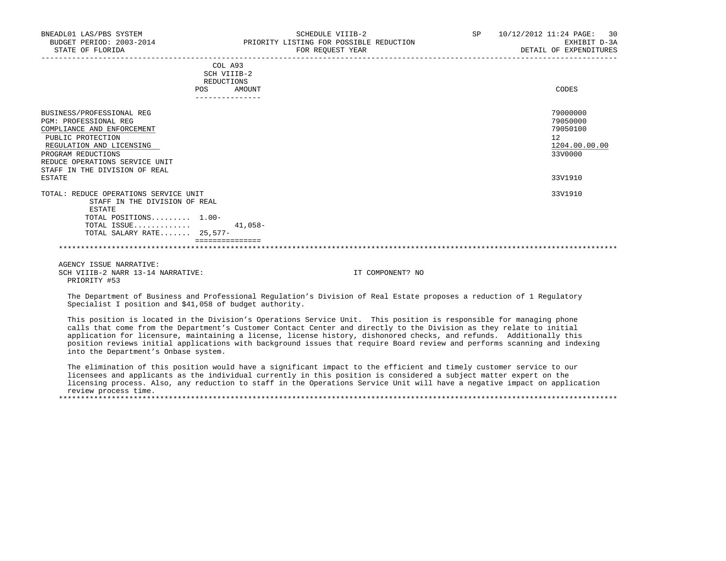| BNEADL01 LAS/PBS SYSTEM<br>BUDGET PERIOD: 2003-2014<br>STATE OF FLORIDA                                                                                                                                                                     |                                             | SCHEDULE VIIIB-2<br>PRIORITY LISTING FOR POSSIBLE REDUCTION<br>FOR REQUEST YEAR | SP | 10/12/2012 11:24 PAGE: 30<br>EXHIBIT D-3A<br>DETAIL OF EXPENDITURES           |
|---------------------------------------------------------------------------------------------------------------------------------------------------------------------------------------------------------------------------------------------|---------------------------------------------|---------------------------------------------------------------------------------|----|-------------------------------------------------------------------------------|
|                                                                                                                                                                                                                                             | COL A93<br>SCH VIIIB-2<br>REDUCTIONS<br>POS | AMOUNT                                                                          |    | CODES                                                                         |
| BUSINESS/PROFESSIONAL REG<br><b>PGM: PROFESSIONAL REG</b><br>COMPLIANCE AND ENFORCEMENT<br>PUBLIC PROTECTION<br>REGULATION AND LICENSING<br>PROGRAM REDUCTIONS<br>REDUCE OPERATIONS SERVICE UNIT<br>STAFF IN THE DIVISION OF REAL<br>ESTATE |                                             |                                                                                 |    | 79000000<br>79050000<br>79050100<br>12<br>1204.00.00.00<br>33V0000<br>33V1910 |
| TOTAL: REDUCE OPERATIONS SERVICE UNIT<br>STAFF IN THE DIVISION OF REAL<br>ESTATE<br>TOTAL POSITIONS 1.00-<br>TOTAL ISSUE $41,058-$<br>TOTAL SALARY RATE 25,577-                                                                             | ===============                             |                                                                                 |    | 33V1910                                                                       |

\*\*\*\*\*\*\*\*\*\*\*\*\*\*\*\*\*\*\*\*\*\*\*\*\*\*\*\*\*\*\*\*\*\*\*\*\*\*\*\*\*\*\*\*\*\*\*\*\*\*\*\*\*\*\*\*\*\*\*\*\*\*\*\*\*\*\*\*\*\*\*\*\*\*\*\*\*\*\*\*\*\*\*\*\*\*\*\*\*\*\*\*\*\*\*\*\*\*\*\*\*\*\*\*\*\*\*\*\*\*\*\*\*\*\*\*\*\*\*\*\*\*\*\*\*\*\*

 AGENCY ISSUE NARRATIVE: SCH VIIIB-2 NARR 13-14 NARRATIVE: IT COMPONENT? NO PRIORITY #53

 The Department of Business and Professional Regulation's Division of Real Estate proposes a reduction of 1 Regulatory Specialist I position and \$41,058 of budget authority.

 This position is located in the Division's Operations Service Unit. This position is responsible for managing phone calls that come from the Department's Customer Contact Center and directly to the Division as they relate to initial application for licensure, maintaining a license, license history, dishonored checks, and refunds. Additionally this position reviews initial applications with background issues that require Board review and performs scanning and indexing into the Department's Onbase system.

 The elimination of this position would have a significant impact to the efficient and timely customer service to our licensees and applicants as the individual currently in this position is considered a subject matter expert on the licensing process. Also, any reduction to staff in the Operations Service Unit will have a negative impact on application review process time.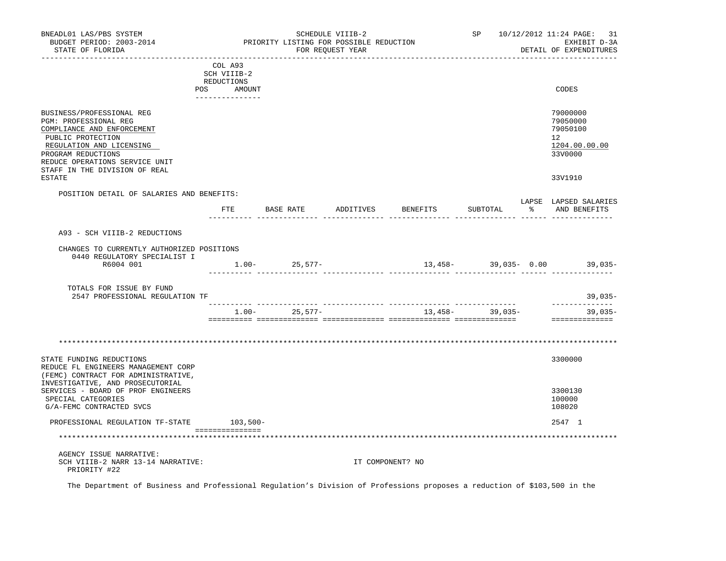| BNEADL01 LAS/PBS SYSTEM<br>BUDGET PERIOD: 2003-2014<br>STATE OF FLORIDA                                                                                                                                                    |                                                                                 | PRIORITY LISTING FOR POSSIBLE REDUCTION | SCHEDULE VIIIB-2<br>FOR REQUEST YEAR |                                                 |                        |    | SP 10/12/2012 11:24 PAGE: 31<br>EXHIBIT D-3A<br>DETAIL OF EXPENDITURES           |
|----------------------------------------------------------------------------------------------------------------------------------------------------------------------------------------------------------------------------|---------------------------------------------------------------------------------|-----------------------------------------|--------------------------------------|-------------------------------------------------|------------------------|----|----------------------------------------------------------------------------------|
| POS                                                                                                                                                                                                                        | COL A93<br>SCH VIIIB-2<br>REDUCTIONS<br>AMOUNT<br>. _ _ _ _ _ _ _ _ _ _ _ _ _ _ |                                         |                                      |                                                 |                        |    | CODES                                                                            |
| BUSINESS/PROFESSIONAL REG<br>PGM: PROFESSIONAL REG<br>COMPLIANCE AND ENFORCEMENT<br>PUBLIC PROTECTION<br>REGULATION AND LICENSING<br>PROGRAM REDUCTIONS<br>REDUCE OPERATIONS SERVICE UNIT<br>STAFF IN THE DIVISION OF REAL |                                                                                 |                                         |                                      |                                                 |                        |    | 79000000<br>79050000<br>79050100<br>12 <sup>12</sup><br>1204.00.00.00<br>33V0000 |
| ESTATE                                                                                                                                                                                                                     |                                                                                 |                                         |                                      |                                                 |                        |    | 33V1910                                                                          |
| POSITION DETAIL OF SALARIES AND BENEFITS:                                                                                                                                                                                  | FTE                                                                             | BASE RATE                               | ADDITIVES                            | BENEFITS                                        | SUBTOTAL               | ႜႂ | LAPSE LAPSED SALARIES<br>AND BENEFITS                                            |
|                                                                                                                                                                                                                            |                                                                                 |                                         |                                      |                                                 |                        |    |                                                                                  |
| A93 - SCH VIIIB-2 REDUCTIONS                                                                                                                                                                                               |                                                                                 |                                         |                                      |                                                 |                        |    |                                                                                  |
| CHANGES TO CURRENTLY AUTHORIZED POSITIONS<br>0440 REGULATORY SPECIALIST I                                                                                                                                                  |                                                                                 |                                         |                                      |                                                 |                        |    |                                                                                  |
| R6004 001                                                                                                                                                                                                                  |                                                                                 | $1.00 - 25,577 -$                       |                                      |                                                 | $13,458-$ 39,035- 0.00 |    | $39,035-$                                                                        |
| TOTALS FOR ISSUE BY FUND<br>2547 PROFESSIONAL REGULATION TF                                                                                                                                                                |                                                                                 |                                         |                                      |                                                 |                        |    | $39,035-$                                                                        |
|                                                                                                                                                                                                                            | $1.00 -$                                                                        | 25,577-                                 |                                      | ____________________________________<br>13,458- | 39,035-                |    | --------------<br>$39,035-$                                                      |
|                                                                                                                                                                                                                            |                                                                                 |                                         |                                      |                                                 |                        |    | ==============                                                                   |
|                                                                                                                                                                                                                            |                                                                                 |                                         |                                      |                                                 |                        |    |                                                                                  |
| STATE FUNDING REDUCTIONS<br>REDUCE FL ENGINEERS MANAGEMENT CORP<br>(FEMC) CONTRACT FOR ADMINISTRATIVE,                                                                                                                     |                                                                                 |                                         |                                      |                                                 |                        |    | 3300000                                                                          |
| INVESTIGATIVE, AND PROSECUTORIAL<br>SERVICES - BOARD OF PROF ENGINEERS<br>SPECIAL CATEGORIES<br>G/A-FEMC CONTRACTED SVCS                                                                                                   |                                                                                 |                                         |                                      |                                                 |                        |    | 3300130<br>100000<br>108020                                                      |
| PROFESSIONAL REGULATION TF-STATE                                                                                                                                                                                           | $103,500-$                                                                      |                                         |                                      |                                                 |                        |    | 2547 1                                                                           |
|                                                                                                                                                                                                                            | ________________                                                                |                                         |                                      | *********************************               |                        |    |                                                                                  |
| AGENCY ISSUE NARRATIVE:<br>SCH VIIIB-2 NARR 13-14 NARRATIVE:<br>PRIORITY #22                                                                                                                                               |                                                                                 |                                         |                                      | IT COMPONENT? NO                                |                        |    |                                                                                  |

The Department of Business and Professional Regulation's Division of Professions proposes a reduction of \$103,500 in the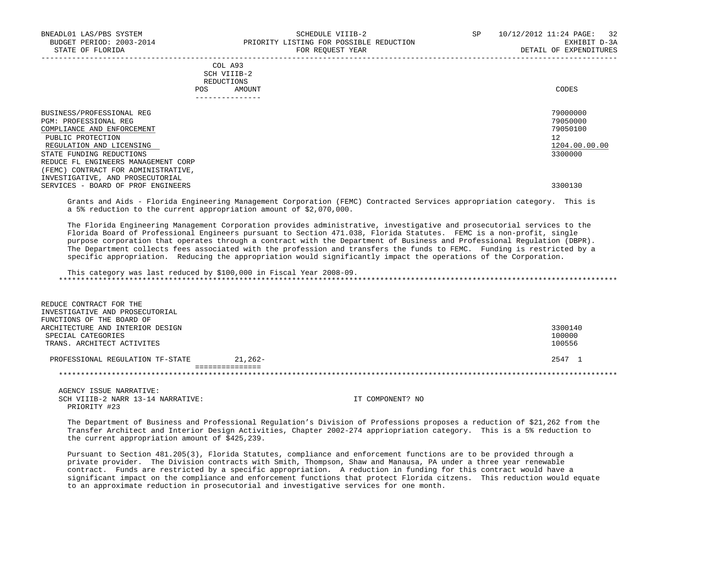| COL A93     |       |
|-------------|-------|
| SCH VIIIB-2 |       |
| REDUCTIONS  |       |
| AMOUNT      | CODES |
|             |       |

| -------------                                      |                      |
|----------------------------------------------------|----------------------|
| BUSINESS/PROFESSIONAL REG<br>PGM: PROFESSIONAL REG | 79000000<br>79050000 |
| COMPLIANCE AND ENFORCEMENT                         | 79050100             |
| PUBLIC PROTECTION                                  | 12                   |
| REGULATION AND LICENSING                           | 1204.00.00.00        |
| STATE FUNDING REDUCTIONS                           | 3300000              |
| REDUCE FL ENGINEERS MANAGEMENT CORP                |                      |
| (FEMC) CONTRACT FOR ADMINISTRATIVE,                |                      |
| INVESTIGATIVE, AND PROSECUTORIAL                   |                      |
| SERVICES - BOARD OF PROF ENGINEERS                 | 3300130              |

 Grants and Aids - Florida Engineering Management Corporation (FEMC) Contracted Services appropriation category. This is a 5% reduction to the current appropriation amount of \$2,070,000.

 The Florida Engineering Management Corporation provides administrative, investigative and prosecutorial services to the Florida Board of Professional Engineers pursuant to Section 471.038, Florida Statutes. FEMC is a non-profit, single purpose corporation that operates through a contract with the Department of Business and Professional Regulation (DBPR). The Department collects fees associated with the profession and transfers the funds to FEMC. Funding is restricted by a specific appropriation. Reducing the appropriation would significantly impact the operations of the Corporation.

 This category was last reduced by \$100,000 in Fiscal Year 2008-09. \*\*\*\*\*\*\*\*\*\*\*\*\*\*\*\*\*\*\*\*\*\*\*\*\*\*\*\*\*\*\*\*\*\*\*\*\*\*\*\*\*\*\*\*\*\*\*\*\*\*\*\*\*\*\*\*\*\*\*\*\*\*\*\*\*\*\*\*\*\*\*\*\*\*\*\*\*\*\*\*\*\*\*\*\*\*\*\*\*\*\*\*\*\*\*\*\*\*\*\*\*\*\*\*\*\*\*\*\*\*\*\*\*\*\*\*\*\*\*\*\*\*\*\*\*\*\*

| REDUCE CONTRACT FOR THE<br>INVESTIGATIVE AND PROSECUTORIAL<br>FUNCTIONS OF THE BOARD OF |           |                   |
|-----------------------------------------------------------------------------------------|-----------|-------------------|
| ARCHITECTURE AND INTERIOR DESIGN<br>SPECIAL CATEGORIES                                  |           | 3300140<br>100000 |
| TRANS. ARCHITECT ACTIVITES                                                              |           | 100556            |
| PROFESSIONAL REGULATION TF-STATE                                                        | $21.262-$ | 2547 1            |
|                                                                                         |           |                   |

 AGENCY ISSUE NARRATIVE: SCH VIIIB-2 NARR 13-14 NARRATIVE: IT COMPONENT? NO PRIORITY #23

 The Department of Business and Professional Regulation's Division of Professions proposes a reduction of \$21,262 from the Transfer Architect and Interior Design Activities, Chapter 2002-274 appriopriation category. This is a 5% reduction to the current appropriation amount of \$425,239.

 Pursuant to Section 481.205(3), Florida Statutes, compliance and enforcement functions are to be provided through a private provider. The Division contracts with Smith, Thompson, Shaw and Manausa, PA under a three year renewable contract. Funds are restricted by a specific appropriation. A reduction in funding for this contract would have a significant impact on the compliance and enforcement functions that protect Florida citzens. This reduction would equate to an approximate reduction in prosecutorial and investigative services for one month.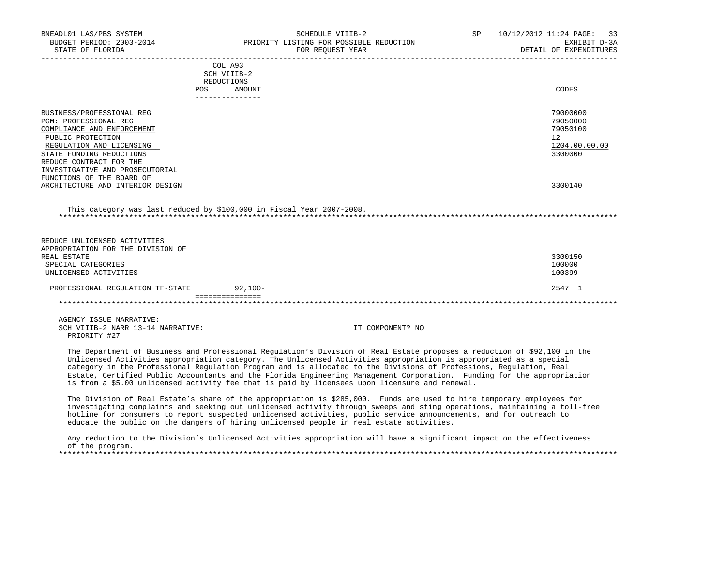| BNEADL01 LAS/PBS SYSTEM                                                          | SCHEDULE VIIIB-2<br>BUDGET PERIOD: 2003-2014 PRIORITY LISTING FOR POSSIBLE REDUCTION                                                                                                                                                                                                                                                                                                                                                                                                                                                                                                             | SP               | 10/12/2012 11:24 PAGE:<br>33<br>EXHIBIT D-3A |
|----------------------------------------------------------------------------------|--------------------------------------------------------------------------------------------------------------------------------------------------------------------------------------------------------------------------------------------------------------------------------------------------------------------------------------------------------------------------------------------------------------------------------------------------------------------------------------------------------------------------------------------------------------------------------------------------|------------------|----------------------------------------------|
| STATE OF FLORIDA                                                                 | FOR REOUEST YEAR                                                                                                                                                                                                                                                                                                                                                                                                                                                                                                                                                                                 |                  | DETAIL OF EXPENDITURES                       |
|                                                                                  | COL A93                                                                                                                                                                                                                                                                                                                                                                                                                                                                                                                                                                                          |                  |                                              |
|                                                                                  | SCH VIIIB-2                                                                                                                                                                                                                                                                                                                                                                                                                                                                                                                                                                                      |                  |                                              |
|                                                                                  | REDUCTIONS                                                                                                                                                                                                                                                                                                                                                                                                                                                                                                                                                                                       |                  |                                              |
|                                                                                  | <b>POS</b><br>AMOUNT<br>_______________                                                                                                                                                                                                                                                                                                                                                                                                                                                                                                                                                          |                  | CODES                                        |
|                                                                                  |                                                                                                                                                                                                                                                                                                                                                                                                                                                                                                                                                                                                  |                  |                                              |
| BUSINESS/PROFESSIONAL REG                                                        |                                                                                                                                                                                                                                                                                                                                                                                                                                                                                                                                                                                                  |                  | 79000000                                     |
| PGM: PROFESSIONAL REG                                                            |                                                                                                                                                                                                                                                                                                                                                                                                                                                                                                                                                                                                  |                  | 79050000                                     |
| COMPLIANCE AND ENFORCEMENT                                                       |                                                                                                                                                                                                                                                                                                                                                                                                                                                                                                                                                                                                  |                  | 79050100                                     |
| PUBLIC PROTECTION                                                                |                                                                                                                                                                                                                                                                                                                                                                                                                                                                                                                                                                                                  |                  | 12                                           |
| REGULATION AND LICENSING                                                         |                                                                                                                                                                                                                                                                                                                                                                                                                                                                                                                                                                                                  |                  | 1204.00.00.00                                |
| STATE FUNDING REDUCTIONS                                                         |                                                                                                                                                                                                                                                                                                                                                                                                                                                                                                                                                                                                  |                  | 3300000                                      |
| REDUCE CONTRACT FOR THE                                                          |                                                                                                                                                                                                                                                                                                                                                                                                                                                                                                                                                                                                  |                  |                                              |
| INVESTIGATIVE AND PROSECUTORIAL                                                  |                                                                                                                                                                                                                                                                                                                                                                                                                                                                                                                                                                                                  |                  |                                              |
| FUNCTIONS OF THE BOARD OF                                                        |                                                                                                                                                                                                                                                                                                                                                                                                                                                                                                                                                                                                  |                  |                                              |
| ARCHITECTURE AND INTERIOR DESIGN                                                 |                                                                                                                                                                                                                                                                                                                                                                                                                                                                                                                                                                                                  |                  | 3300140                                      |
| REDUCE UNLICENSED ACTIVITIES<br>APPROPRIATION FOR THE DIVISION OF<br>REAL ESTATE |                                                                                                                                                                                                                                                                                                                                                                                                                                                                                                                                                                                                  |                  | 3300150                                      |
| SPECIAL CATEGORIES                                                               |                                                                                                                                                                                                                                                                                                                                                                                                                                                                                                                                                                                                  |                  | 100000                                       |
| UNLICENSED ACTIVITIES                                                            |                                                                                                                                                                                                                                                                                                                                                                                                                                                                                                                                                                                                  |                  | 100399                                       |
| PROFESSIONAL REGULATION TF-STATE                                                 | $92,100-$                                                                                                                                                                                                                                                                                                                                                                                                                                                                                                                                                                                        |                  | 2547 1                                       |
|                                                                                  | ===============                                                                                                                                                                                                                                                                                                                                                                                                                                                                                                                                                                                  |                  |                                              |
|                                                                                  |                                                                                                                                                                                                                                                                                                                                                                                                                                                                                                                                                                                                  |                  |                                              |
| AGENCY ISSUE NARRATIVE:                                                          |                                                                                                                                                                                                                                                                                                                                                                                                                                                                                                                                                                                                  |                  |                                              |
| SCH VIIIB-2 NARR 13-14 NARRATIVE:<br>PRIORITY #27                                |                                                                                                                                                                                                                                                                                                                                                                                                                                                                                                                                                                                                  | IT COMPONENT? NO |                                              |
|                                                                                  | The Department of Business and Professional Regulation's Division of Real Estate proposes a reduction of \$92,100 in the<br>Unlicensed Activities appropriation category. The Unlicensed Activities appropriation is appropriated as a special<br>category in the Professional Regulation Program and is allocated to the Divisions of Professions, Regulation, Real<br>Estate, Certified Public Accountants and the Florida Engineering Management Corporation. Funding for the appropriation<br>is from a \$5.00 unlicensed activity fee that is paid by licensees upon licensure and renewal. |                  |                                              |
|                                                                                  | The Division of Real Estate's share of the appropriation is \$285,000. Funds are used to hire temporary employees for<br>investigating complaints and seeking out unlicensed activity through sweeps and sting operations, maintaining a toll-free<br>hotline for consumers to report suspected unlicensed activities, public service announcements, and for outreach to                                                                                                                                                                                                                         |                  |                                              |

educate the public on the dangers of hiring unlicensed people in real estate activities.

 Any reduction to the Division's Unlicensed Activities appropriation will have a significant impact on the effectiveness of the program.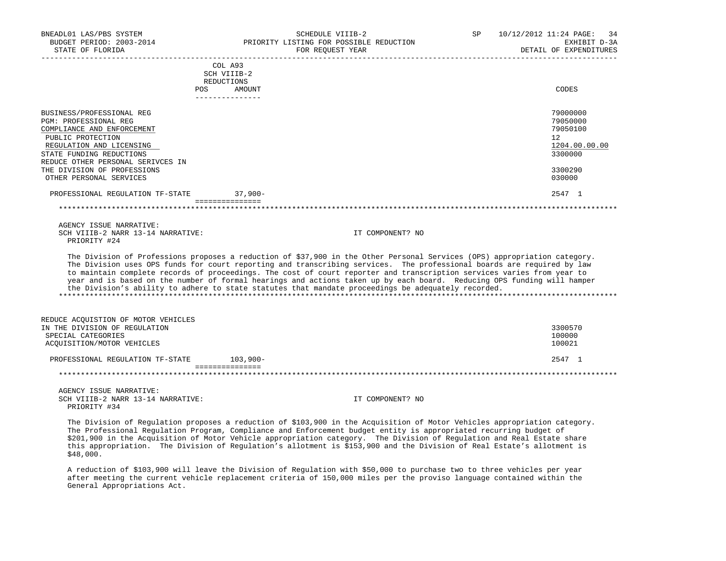| BNEADL01 LAS/PBS SYSTEM<br>BUDGET PERIOD: 2003-2014<br>STATE OF FLORIDA | SCHEDULE VIIIB-2<br>PRIORITY LISTING FOR POSSIBLE REDUCTION<br>FOR REQUEST YEAR                                                                                                                                                                                                                                                                                                                                                                                                                                                                                                                                 | SP | 10/12/2012 11:24 PAGE: 34<br>EXHIBIT D-3A<br>DETAIL OF EXPENDITURES |
|-------------------------------------------------------------------------|-----------------------------------------------------------------------------------------------------------------------------------------------------------------------------------------------------------------------------------------------------------------------------------------------------------------------------------------------------------------------------------------------------------------------------------------------------------------------------------------------------------------------------------------------------------------------------------------------------------------|----|---------------------------------------------------------------------|
|                                                                         | COLA93                                                                                                                                                                                                                                                                                                                                                                                                                                                                                                                                                                                                          |    |                                                                     |
|                                                                         | SCH VIIIB-2<br>REDUCTIONS                                                                                                                                                                                                                                                                                                                                                                                                                                                                                                                                                                                       |    |                                                                     |
|                                                                         | POS DO<br>AMOUNT<br>_______________                                                                                                                                                                                                                                                                                                                                                                                                                                                                                                                                                                             |    | CODES                                                               |
| BUSINESS/PROFESSIONAL REG                                               |                                                                                                                                                                                                                                                                                                                                                                                                                                                                                                                                                                                                                 |    | 79000000                                                            |
| <b>PGM: PROFESSIONAL REG</b>                                            |                                                                                                                                                                                                                                                                                                                                                                                                                                                                                                                                                                                                                 |    | 79050000                                                            |
| COMPLIANCE AND ENFORCEMENT                                              |                                                                                                                                                                                                                                                                                                                                                                                                                                                                                                                                                                                                                 |    | 79050100                                                            |
| PUBLIC PROTECTION<br>REGULATION AND LICENSING                           |                                                                                                                                                                                                                                                                                                                                                                                                                                                                                                                                                                                                                 |    | 12<br>1204.00.00.00                                                 |
| STATE FUNDING REDUCTIONS                                                |                                                                                                                                                                                                                                                                                                                                                                                                                                                                                                                                                                                                                 |    | 3300000                                                             |
| REDUCE OTHER PERSONAL SERIVCES IN                                       |                                                                                                                                                                                                                                                                                                                                                                                                                                                                                                                                                                                                                 |    |                                                                     |
| THE DIVISION OF PROFESSIONS                                             |                                                                                                                                                                                                                                                                                                                                                                                                                                                                                                                                                                                                                 |    | 3300290                                                             |
| OTHER PERSONAL SERVICES                                                 |                                                                                                                                                                                                                                                                                                                                                                                                                                                                                                                                                                                                                 |    | 030000                                                              |
| PROFESSIONAL REGULATION TF-STATE                                        | $37,900 -$<br>===============                                                                                                                                                                                                                                                                                                                                                                                                                                                                                                                                                                                   |    | 2547 1                                                              |
|                                                                         |                                                                                                                                                                                                                                                                                                                                                                                                                                                                                                                                                                                                                 |    |                                                                     |
| AGENCY ISSUE NARRATIVE:                                                 |                                                                                                                                                                                                                                                                                                                                                                                                                                                                                                                                                                                                                 |    |                                                                     |
| SCH VIIIB-2 NARR 13-14 NARRATIVE:                                       | IT COMPONENT? NO                                                                                                                                                                                                                                                                                                                                                                                                                                                                                                                                                                                                |    |                                                                     |
| PRIORITY #24                                                            |                                                                                                                                                                                                                                                                                                                                                                                                                                                                                                                                                                                                                 |    |                                                                     |
|                                                                         | The Division of Professions proposes a reduction of \$37,900 in the Other Personal Services (OPS) appropriation category.<br>The Division uses OPS funds for court reporting and transcribing services. The professional boards are required by law<br>to maintain complete records of proceedings. The cost of court reporter and transcription services varies from year to<br>year and is based on the number of formal hearings and actions taken up by each board. Reducing OPS funding will hamper<br>the Division's ability to adhere to state statutes that mandate proceedings be adequately recorded. |    |                                                                     |
| REDUCE ACOUISTION OF MOTOR VEHICLES                                     |                                                                                                                                                                                                                                                                                                                                                                                                                                                                                                                                                                                                                 |    |                                                                     |
| IN THE DIVISION OF REGULATION                                           |                                                                                                                                                                                                                                                                                                                                                                                                                                                                                                                                                                                                                 |    | 3300570                                                             |
| SPECIAL CATEGORIES<br>ACQUISITION/MOTOR VEHICLES                        |                                                                                                                                                                                                                                                                                                                                                                                                                                                                                                                                                                                                                 |    | 100000<br>100021                                                    |
|                                                                         |                                                                                                                                                                                                                                                                                                                                                                                                                                                                                                                                                                                                                 |    |                                                                     |
| PROFESSIONAL REGULATION TF-STATE                                        | 103,900-<br>===============                                                                                                                                                                                                                                                                                                                                                                                                                                                                                                                                                                                     |    | 2547 1                                                              |
|                                                                         |                                                                                                                                                                                                                                                                                                                                                                                                                                                                                                                                                                                                                 |    |                                                                     |
| AGENCY ISSUE NARRATIVE:                                                 |                                                                                                                                                                                                                                                                                                                                                                                                                                                                                                                                                                                                                 |    |                                                                     |
| SCH VIIIB-2 NARR 13-14 NARRATIVE:<br>PRIORITY #34                       | IT COMPONENT? NO                                                                                                                                                                                                                                                                                                                                                                                                                                                                                                                                                                                                |    |                                                                     |
|                                                                         | The Division of Pequistion proposes a reduction of \$103,900 in the Acquisition of Motor Vehicles appropriation sategory                                                                                                                                                                                                                                                                                                                                                                                                                                                                                        |    |                                                                     |

 The Division of Regulation proposes a reduction of \$103,900 in the Acquisition of Motor Vehicles appropriation category. The Professional Regulation Program, Compliance and Enforcement budget entity is appropriated recurring budget of \$201,900 in the Acquisition of Motor Vehicle appropriation category. The Division of Regulation and Real Estate share this appropriation. The Division of Regulation's allotment is \$153,900 and the Division of Real Estate's allotment is \$48,000.

 A reduction of \$103,900 will leave the Division of Regulation with \$50,000 to purchase two to three vehicles per year after meeting the current vehicle replacement criteria of 150,000 miles per the proviso language contained within the General Appropriations Act.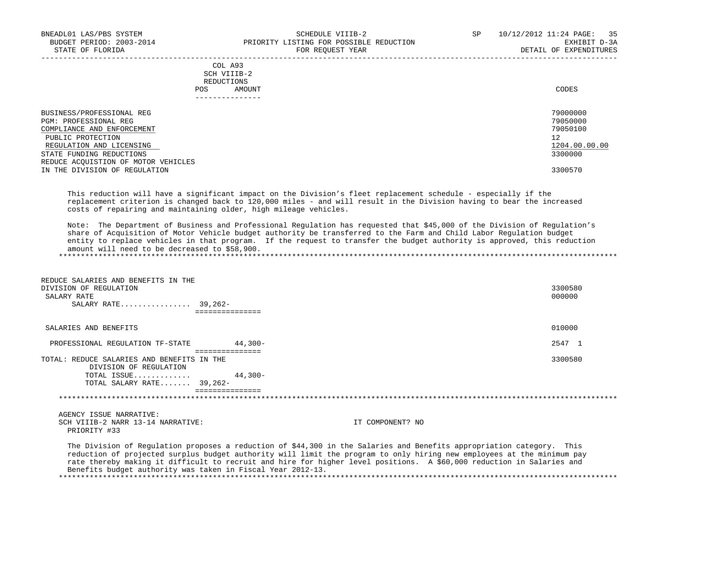|            | _______________ |       |
|------------|-----------------|-------|
| POS        | AMOUNT          | CODES |
| REDUCTIONS |                 |       |
|            | SCH VIIIB-2     |       |
|            | COL A93         |       |

| BUSINESS/PROFESSIONAL REG<br>PGM: PROFESSIONAL REG<br>COMPLIANCE AND ENFORCEMENT<br>PUBLIC PROTECTION<br>REGULATION AND LICENSING | 79000000<br>79050000<br>79050100<br>12<br>1204.00.00.00 |
|-----------------------------------------------------------------------------------------------------------------------------------|---------------------------------------------------------|
| STATE FUNDING REDUCTIONS                                                                                                          | 3300000                                                 |
| REDUCE ACOUISTION OF MOTOR VEHICLES<br>IN THE DIVISION OF REGULATION                                                              | 3300570                                                 |

 This reduction will have a significant impact on the Division's fleet replacement schedule - especially if the replacement criterion is changed back to 120,000 miles - and will result in the Division having to bear the increased costs of repairing and maintaining older, high mileage vehicles.

 Note: The Department of Business and Professional Regulation has requested that \$45,000 of the Division of Regulation's share of Acquisition of Motor Vehicle budget authority be transferred to the Farm and Child Labor Regulation budget entity to replace vehicles in that program. If the request to transfer the budget authority is approved, this reduction amount will need to be decreased to \$58,900. \*\*\*\*\*\*\*\*\*\*\*\*\*\*\*\*\*\*\*\*\*\*\*\*\*\*\*\*\*\*\*\*\*\*\*\*\*\*\*\*\*\*\*\*\*\*\*\*\*\*\*\*\*\*\*\*\*\*\*\*\*\*\*\*\*\*\*\*\*\*\*\*\*\*\*\*\*\*\*\*\*\*\*\*\*\*\*\*\*\*\*\*\*\*\*\*\*\*\*\*\*\*\*\*\*\*\*\*\*\*\*\*\*\*\*\*\*\*\*\*\*\*\*\*\*\*\*

 REDUCE SALARIES AND BENEFITS IN THE DIVISION OF REGULATION 3300580<br>SALARY RATE 000000 SALARY RATE 2000000 CONTROL 200000 CONTROL 200000 CONTROL 200000 CONTROL 200000 CONTROL 200000 CONTROL 20000 CO SALARY RATE................ 39,262- =============== SALARIES AND BENEFITS 010000 PROFESSIONAL REGULATION TF-STATE 44,300- 2547 1 =============== TOTAL: REDUCE SALARIES AND BENEFITS IN THE 3300580 DIVISION OF REGULATION TOTAL ISSUE............. 44,300- TOTAL SALARY RATE....... 39,262- =============== \*\*\*\*\*\*\*\*\*\*\*\*\*\*\*\*\*\*\*\*\*\*\*\*\*\*\*\*\*\*\*\*\*\*\*\*\*\*\*\*\*\*\*\*\*\*\*\*\*\*\*\*\*\*\*\*\*\*\*\*\*\*\*\*\*\*\*\*\*\*\*\*\*\*\*\*\*\*\*\*\*\*\*\*\*\*\*\*\*\*\*\*\*\*\*\*\*\*\*\*\*\*\*\*\*\*\*\*\*\*\*\*\*\*\*\*\*\*\*\*\*\*\*\*\*\*\* AGENCY ISSUE NARRATIVE: SCH VIIIB-2 NARR 13-14 NARRATIVE: IT COMPONENT? NO PRIORITY #33

 The Division of Regulation proposes a reduction of \$44,300 in the Salaries and Benefits appropriation category. This reduction of projected surplus budget authority will limit the program to only hiring new employees at the minimum pay rate thereby making it difficult to recruit and hire for higher level positions. A \$60,000 reduction in Salaries and Benefits budget authority was taken in Fiscal Year 2012-13. \*\*\*\*\*\*\*\*\*\*\*\*\*\*\*\*\*\*\*\*\*\*\*\*\*\*\*\*\*\*\*\*\*\*\*\*\*\*\*\*\*\*\*\*\*\*\*\*\*\*\*\*\*\*\*\*\*\*\*\*\*\*\*\*\*\*\*\*\*\*\*\*\*\*\*\*\*\*\*\*\*\*\*\*\*\*\*\*\*\*\*\*\*\*\*\*\*\*\*\*\*\*\*\*\*\*\*\*\*\*\*\*\*\*\*\*\*\*\*\*\*\*\*\*\*\*\*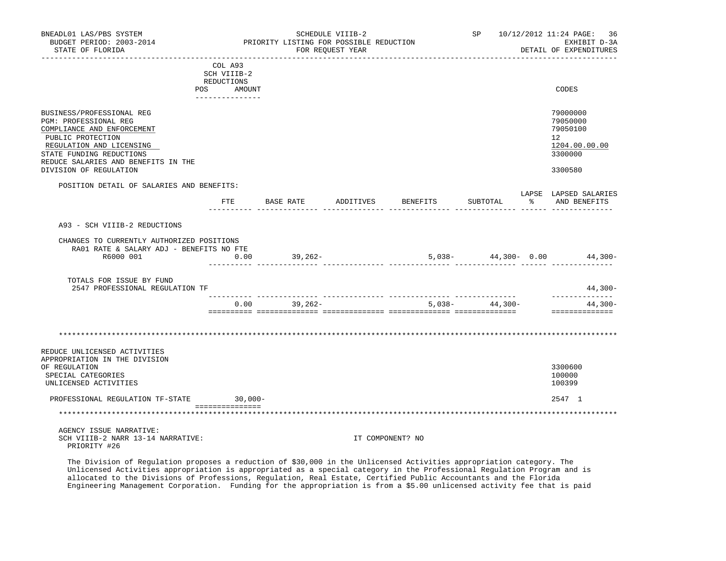| BNEADL01 LAS/PBS SYSTEM<br>BUDGET PERIOD: 2003-2014<br>STATE OF FLORIDA                                                                                                                                                        |            | PRIORITY LISTING FOR POSSIBLE REDUCTION | SCHEDULE VIIIB-2<br>FOR REQUEST YEAR |                                |                                             |                  | SP 10/12/2012 11:24 PAGE: 36<br>EXHIBIT D-3A<br>DETAIL OF EXPENDITURES                     |
|--------------------------------------------------------------------------------------------------------------------------------------------------------------------------------------------------------------------------------|------------|-----------------------------------------|--------------------------------------|--------------------------------|---------------------------------------------|------------------|--------------------------------------------------------------------------------------------|
| COL A93<br>SCH VIIIB-2<br>REDUCTIONS<br>POS AMOUNT                                                                                                                                                                             |            |                                         |                                      |                                |                                             |                  | CODES                                                                                      |
| BUSINESS/PROFESSIONAL REG<br>PGM: PROFESSIONAL REG<br>COMPLIANCE AND ENFORCEMENT<br>PUBLIC PROTECTION<br>REGULATION AND LICENSING<br>STATE FUNDING REDUCTIONS<br>REDUCE SALARIES AND BENEFITS IN THE<br>DIVISION OF REGULATION |            |                                         |                                      |                                |                                             |                  | 79000000<br>79050000<br>79050100<br>12 <sup>°</sup><br>1204.00.00.00<br>3300000<br>3300580 |
| POSITION DETAIL OF SALARIES AND BENEFITS:<br>FTE                                                                                                                                                                               |            | BASE RATE                               | ADDITIVES                            | BENEFITS                       | SUBTOTAL                                    | 그 아이는 어디에 앉아 있다. | LAPSE LAPSED SALARIES<br>AND BENEFITS                                                      |
| A93 - SCH VIIIB-2 REDUCTIONS<br>CHANGES TO CURRENTLY AUTHORIZED POSITIONS<br>RA01 RATE & SALARY ADJ - BENEFITS NO FTE<br>R6000 001                                                                                             | 0.00       | 39,262-                                 |                                      | $5,038 44,300-$ 0.00 $44,300-$ |                                             |                  |                                                                                            |
| TOTALS FOR ISSUE BY FUND<br>2547 PROFESSIONAL REGULATION TF                                                                                                                                                                    |            |                                         |                                      |                                |                                             |                  | 44,300-                                                                                    |
|                                                                                                                                                                                                                                | 0.00       | 39,262-                                 |                                      |                                | -------- ---------------<br>$5,038-44,300-$ |                  | -----------<br>$44,300-$<br>==============                                                 |
| REDUCE UNLICENSED ACTIVITIES                                                                                                                                                                                                   |            |                                         |                                      |                                |                                             |                  |                                                                                            |
| APPROPRIATION IN THE DIVISION<br>OF REGULATION<br>SPECIAL CATEGORIES<br>UNLICENSED ACTIVITIES                                                                                                                                  |            |                                         |                                      |                                |                                             |                  | 3300600<br>100000<br>100399                                                                |
| PROFESSIONAL REGULATION TF-STATE<br>===============                                                                                                                                                                            | $30,000 -$ |                                         |                                      |                                |                                             |                  | 2547 1                                                                                     |
|                                                                                                                                                                                                                                |            |                                         |                                      |                                |                                             |                  |                                                                                            |
| AGENCY ISSUE NARRATIVE:<br>SCH VIIIB-2 NARR 13-14 NARRATIVE:<br>PRIORITY #26                                                                                                                                                   |            |                                         |                                      | IT COMPONENT? NO               |                                             |                  |                                                                                            |

 The Division of Regulation proposes a reduction of \$30,000 in the Unlicensed Activities appropriation category. The Unlicensed Activities appropriation is appropriated as a special category in the Professional Regulation Program and is allocated to the Divisions of Professions, Regulation, Real Estate, Certified Public Accountants and the Florida Engineering Management Corporation. Funding for the appropriation is from a \$5.00 unlicensed activity fee that is paid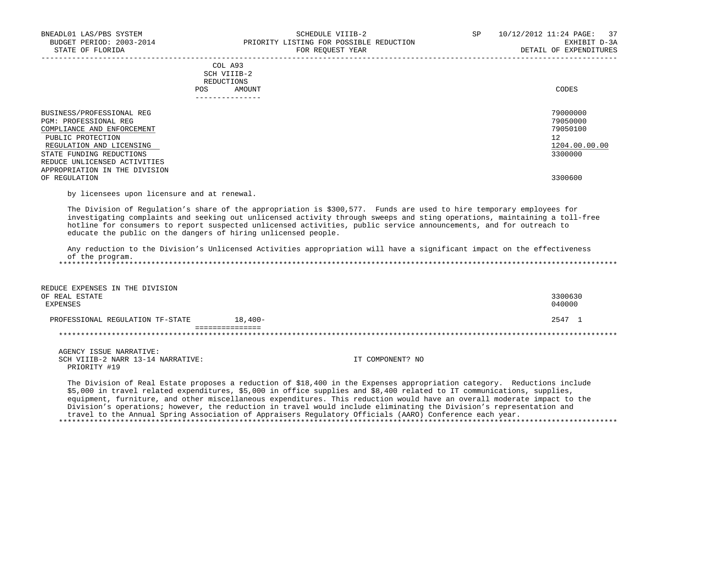| BNEADL01 LAS/PBS SYSTEM<br>BUDGET PERIOD: 2003-2014 | SCHEDULE VIIIB-2<br>PRIORITY LISTING FOR POSSIBLE REDUCTION                                                                                                                                                                                                                                                                                                                                                                                                                                                                                                                                                    | 10/12/2012 11:24 PAGE:<br>SP<br>37<br>EXHIBIT D-3A |
|-----------------------------------------------------|----------------------------------------------------------------------------------------------------------------------------------------------------------------------------------------------------------------------------------------------------------------------------------------------------------------------------------------------------------------------------------------------------------------------------------------------------------------------------------------------------------------------------------------------------------------------------------------------------------------|----------------------------------------------------|
| STATE OF FLORIDA                                    | FOR REQUEST YEAR<br>--------------------------------                                                                                                                                                                                                                                                                                                                                                                                                                                                                                                                                                           | DETAIL OF EXPENDITURES                             |
|                                                     | COL A93                                                                                                                                                                                                                                                                                                                                                                                                                                                                                                                                                                                                        |                                                    |
|                                                     | SCH VIIIB-2                                                                                                                                                                                                                                                                                                                                                                                                                                                                                                                                                                                                    |                                                    |
|                                                     | REDUCTIONS                                                                                                                                                                                                                                                                                                                                                                                                                                                                                                                                                                                                     |                                                    |
|                                                     | POS.<br>AMOUNT<br>---------------                                                                                                                                                                                                                                                                                                                                                                                                                                                                                                                                                                              | CODES                                              |
| BUSINESS/PROFESSIONAL REG                           |                                                                                                                                                                                                                                                                                                                                                                                                                                                                                                                                                                                                                | 79000000                                           |
| PGM: PROFESSIONAL REG                               |                                                                                                                                                                                                                                                                                                                                                                                                                                                                                                                                                                                                                | 79050000                                           |
| COMPLIANCE AND ENFORCEMENT                          |                                                                                                                                                                                                                                                                                                                                                                                                                                                                                                                                                                                                                | 79050100                                           |
| PUBLIC PROTECTION                                   |                                                                                                                                                                                                                                                                                                                                                                                                                                                                                                                                                                                                                | 12                                                 |
| REGULATION AND LICENSING                            |                                                                                                                                                                                                                                                                                                                                                                                                                                                                                                                                                                                                                | 1204.00.00.00                                      |
| STATE FUNDING REDUCTIONS                            |                                                                                                                                                                                                                                                                                                                                                                                                                                                                                                                                                                                                                | 3300000                                            |
| REDUCE UNLICENSED ACTIVITIES                        |                                                                                                                                                                                                                                                                                                                                                                                                                                                                                                                                                                                                                |                                                    |
| APPROPRIATION IN THE DIVISION                       |                                                                                                                                                                                                                                                                                                                                                                                                                                                                                                                                                                                                                |                                                    |
| OF REGULATION                                       |                                                                                                                                                                                                                                                                                                                                                                                                                                                                                                                                                                                                                | 3300600                                            |
| by licensees upon licensure and at renewal.         |                                                                                                                                                                                                                                                                                                                                                                                                                                                                                                                                                                                                                |                                                    |
| of the program.                                     | investigating complaints and seeking out unlicensed activity through sweeps and sting operations, maintaining a toll-free<br>hotline for consumers to report suspected unlicensed activities, public service announcements, and for outreach to<br>educate the public on the dangers of hiring unlicensed people.<br>Any reduction to the Division's Unlicensed Activities appropriation will have a significant impact on the effectiveness                                                                                                                                                                   |                                                    |
| REDUCE EXPENSES IN THE DIVISION                     |                                                                                                                                                                                                                                                                                                                                                                                                                                                                                                                                                                                                                |                                                    |
| OF REAL ESTATE                                      |                                                                                                                                                                                                                                                                                                                                                                                                                                                                                                                                                                                                                | 3300630                                            |
| <b>EXPENSES</b>                                     |                                                                                                                                                                                                                                                                                                                                                                                                                                                                                                                                                                                                                | 040000                                             |
|                                                     |                                                                                                                                                                                                                                                                                                                                                                                                                                                                                                                                                                                                                |                                                    |
| PROFESSIONAL REGULATION TF-STATE                    | $18,400-$                                                                                                                                                                                                                                                                                                                                                                                                                                                                                                                                                                                                      | 2547 1                                             |
|                                                     | ===============                                                                                                                                                                                                                                                                                                                                                                                                                                                                                                                                                                                                |                                                    |
| AGENCY ISSUE NARRATIVE:                             |                                                                                                                                                                                                                                                                                                                                                                                                                                                                                                                                                                                                                |                                                    |
| SCH VIIIB-2 NARR 13-14 NARRATIVE:                   | IT COMPONENT? NO                                                                                                                                                                                                                                                                                                                                                                                                                                                                                                                                                                                               |                                                    |
| PRIORITY #19                                        |                                                                                                                                                                                                                                                                                                                                                                                                                                                                                                                                                                                                                |                                                    |
|                                                     | The Division of Real Estate proposes a reduction of \$18,400 in the Expenses appropriation category. Reductions include<br>\$5,000 in travel related expenditures, \$5,000 in office supplies and \$8,400 related to IT communications, supplies,<br>equipment, furniture, and other miscellaneous expenditures. This reduction would have an overall moderate impact to the<br>Division's operations; however, the reduction in travel would include eliminating the Division's representation and<br>travel to the Annual Spring Association of Appraisers Regulatory Officials (AARO) Conference each year. |                                                    |
|                                                     |                                                                                                                                                                                                                                                                                                                                                                                                                                                                                                                                                                                                                |                                                    |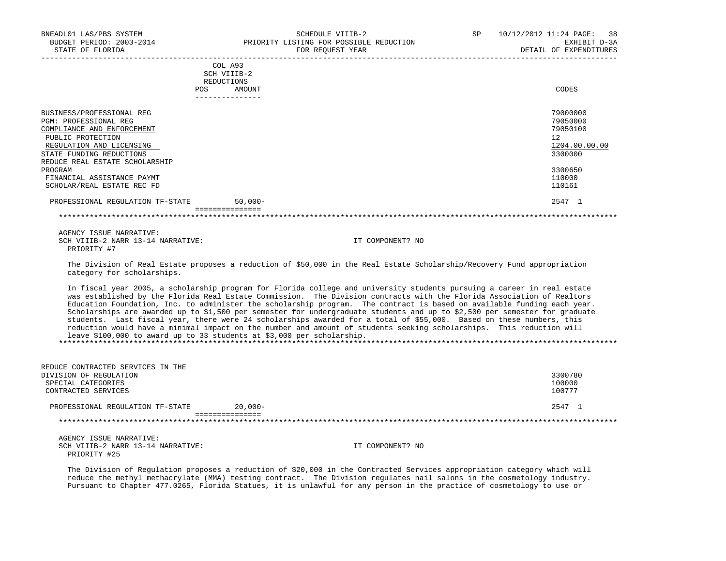| BNEADL01 LAS/PBS SYSTEM<br>BUDGET PERIOD: 2003-2014<br>STATE OF FLORIDA                                                                                                                         | SCHEDULE VIIIB-2<br>PRIORITY LISTING FOR POSSIBLE REDUCTION<br>FOR REQUEST YEAR | <b>SP</b><br>10/12/2012 11:24 PAGE: 38 | EXHIBIT D-3A<br>DETAIL OF EXPENDITURES                       |
|-------------------------------------------------------------------------------------------------------------------------------------------------------------------------------------------------|---------------------------------------------------------------------------------|----------------------------------------|--------------------------------------------------------------|
|                                                                                                                                                                                                 | COL A93<br>SCH VIIIB-2<br>REDUCTIONS<br><b>POS</b><br>AMOUNT                    |                                        | CODES                                                        |
| BUSINESS/PROFESSIONAL REG<br>PGM: PROFESSIONAL REG<br>COMPLIANCE AND ENFORCEMENT<br>PUBLIC PROTECTION<br>REGULATION AND LICENSING<br>STATE FUNDING REDUCTIONS<br>REDUCE REAL ESTATE SCHOLARSHIP |                                                                                 | 12                                     | 79000000<br>79050000<br>79050100<br>1204.00.00.00<br>3300000 |
| PROGRAM<br>FINANCIAL ASSISTANCE PAYMT<br>SCHOLAR/REAL ESTATE REC FD                                                                                                                             |                                                                                 |                                        | 3300650<br>110000<br>110161                                  |
| PROFESSIONAL REGULATION TF-STATE                                                                                                                                                                | $50.000 -$                                                                      |                                        | 2547 1                                                       |

===============

 AGENCY ISSUE NARRATIVE: SCH VIIIB-2 NARR 13-14 NARRATIVE: IT COMPONENT? NO PRIORITY #7

 The Division of Real Estate proposes a reduction of \$50,000 in the Real Estate Scholarship/Recovery Fund appropriation category for scholarships.

 In fiscal year 2005, a scholarship program for Florida college and university students pursuing a career in real estate was established by the Florida Real Estate Commission. The Division contracts with the Florida Association of Realtors Education Foundation, Inc. to administer the scholarship program. The contract is based on available funding each year. Scholarships are awarded up to \$1,500 per semester for undergraduate students and up to \$2,500 per semester for graduate students. Last fiscal year, there were 24 scholarships awarded for a total of \$55,000. Based on these numbers, this reduction would have a minimal impact on the number and amount of students seeking scholarships. This reduction will leave \$100,000 to award up to 33 students at \$3,000 per scholarship. \*\*\*\*\*\*\*\*\*\*\*\*\*\*\*\*\*\*\*\*\*\*\*\*\*\*\*\*\*\*\*\*\*\*\*\*\*\*\*\*\*\*\*\*\*\*\*\*\*\*\*\*\*\*\*\*\*\*\*\*\*\*\*\*\*\*\*\*\*\*\*\*\*\*\*\*\*\*\*\*\*\*\*\*\*\*\*\*\*\*\*\*\*\*\*\*\*\*\*\*\*\*\*\*\*\*\*\*\*\*\*\*\*\*\*\*\*\*\*\*\*\*\*\*\*\*\*

| REDUCE CONTRACTED SERVICES IN THE                 |            |                  |         |
|---------------------------------------------------|------------|------------------|---------|
| DIVISION OF REGULATION                            |            |                  | 3300780 |
| SPECIAL CATEGORIES                                |            |                  | 100000  |
| CONTRACTED SERVICES                               |            |                  | 100777  |
| PROFESSIONAL REGULATION TF-STATE                  | $20.000 -$ |                  | 2547 1  |
|                                                   |            |                  |         |
| AGENCY ISSUE NARRATIVE:                           |            |                  |         |
| SCH VIIIB-2 NARR 13-14 NARRATIVE:<br>PRIORITY #25 |            | IT COMPONENT? NO |         |

 The Division of Regulation proposes a reduction of \$20,000 in the Contracted Services appropriation category which will reduce the methyl methacrylate (MMA) testing contract. The Division regulates nail salons in the cosmetology industry. Pursuant to Chapter 477.0265, Florida Statues, it is unlawful for any person in the practice of cosmetology to use or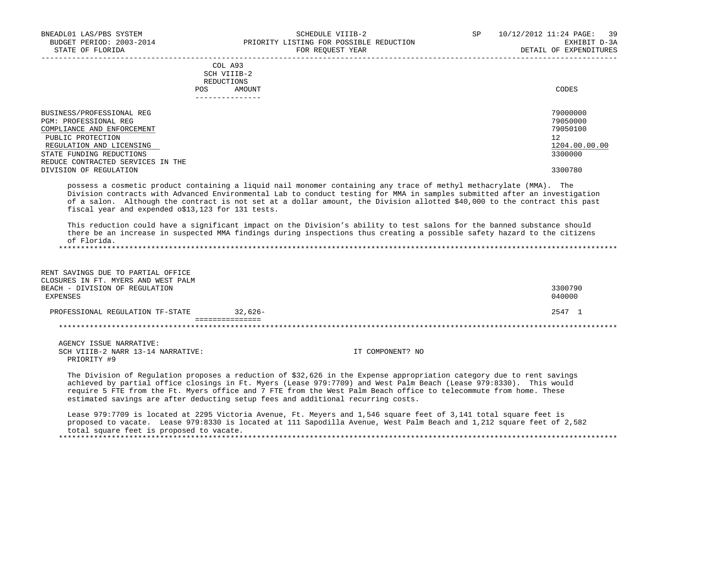|     | --------------- |       |
|-----|-----------------|-------|
| POS | AMOUNT          | CODES |
|     | REDUCTIONS      |       |
|     | SCH VIIIB-2     |       |
|     | COL A93         |       |

| BUSINESS/PROFESSIONAL REG         | 79000000      |
|-----------------------------------|---------------|
| PGM: PROFESSIONAL REG             | 79050000      |
| COMPLIANCE AND ENFORCEMENT        | 79050100      |
| PUBLIC PROTECTION                 | 12            |
| REGULATION AND LICENSING          | 1204.00.00.00 |
| STATE FUNDING REDUCTIONS          | 3300000       |
| REDUCE CONTRACTED SERVICES IN THE |               |
| DIVISION OF REGULATION            | 3300780       |

 possess a cosmetic product containing a liquid nail monomer containing any trace of methyl methacrylate (MMA). The Division contracts with Advanced Environmental Lab to conduct testing for MMA in samples submitted after an investigation of a salon. Although the contract is not set at a dollar amount, the Division allotted \$40,000 to the contract this past fiscal year and expended o\$13,123 for 131 tests.

 This reduction could have a significant impact on the Division's ability to test salons for the banned substance should there be an increase in suspected MMA findings during inspections thus creating a possible safety hazard to the citizens of Florida. \*\*\*\*\*\*\*\*\*\*\*\*\*\*\*\*\*\*\*\*\*\*\*\*\*\*\*\*\*\*\*\*\*\*\*\*\*\*\*\*\*\*\*\*\*\*\*\*\*\*\*\*\*\*\*\*\*\*\*\*\*\*\*\*\*\*\*\*\*\*\*\*\*\*\*\*\*\*\*\*\*\*\*\*\*\*\*\*\*\*\*\*\*\*\*\*\*\*\*\*\*\*\*\*\*\*\*\*\*\*\*\*\*\*\*\*\*\*\*\*\*\*\*\*\*\*\*

| RENT SAVINGS DUE TO PARTIAL OFFICE<br>CLOSURES IN FT. MYERS AND WEST PALM<br>BEACH - DIVISION OF REGULATION<br>EXPENSES |                                                                                                                                                                                                                                                                                                                                                                                                                                                      | 3300790<br>040000 |
|-------------------------------------------------------------------------------------------------------------------------|------------------------------------------------------------------------------------------------------------------------------------------------------------------------------------------------------------------------------------------------------------------------------------------------------------------------------------------------------------------------------------------------------------------------------------------------------|-------------------|
| PROFESSIONAL REGULATION TF-STATE                                                                                        | $32.626 -$                                                                                                                                                                                                                                                                                                                                                                                                                                           | 2547 1            |
|                                                                                                                         |                                                                                                                                                                                                                                                                                                                                                                                                                                                      |                   |
| AGENCY ISSUE NARRATIVE:<br>SCH VIIIB-2 NARR 13-14 NARRATIVE:<br>PRIORITY #9                                             | IT COMPONENT? NO                                                                                                                                                                                                                                                                                                                                                                                                                                     |                   |
|                                                                                                                         | The Division of Regulation proposes a reduction of \$32,626 in the Expense appropriation category due to rent savings<br>achieved by partial office closings in Ft. Myers (Lease 979:7709) and West Palm Beach (Lease 979:8330). This would<br>require 5 FTE from the Ft. Myers office and 7 FTE from the West Palm Beach office to telecommute from home. These<br>estimated savings are after deducting setup fees and additional recurring costs. |                   |

 Lease 979:7709 is located at 2295 Victoria Avenue, Ft. Meyers and 1,546 square feet of 3,141 total square feet is proposed to vacate. Lease 979:8330 is located at 111 Sapodilla Avenue, West Palm Beach and 1,212 square feet of 2,582 total square feet is proposed to vacate. \*\*\*\*\*\*\*\*\*\*\*\*\*\*\*\*\*\*\*\*\*\*\*\*\*\*\*\*\*\*\*\*\*\*\*\*\*\*\*\*\*\*\*\*\*\*\*\*\*\*\*\*\*\*\*\*\*\*\*\*\*\*\*\*\*\*\*\*\*\*\*\*\*\*\*\*\*\*\*\*\*\*\*\*\*\*\*\*\*\*\*\*\*\*\*\*\*\*\*\*\*\*\*\*\*\*\*\*\*\*\*\*\*\*\*\*\*\*\*\*\*\*\*\*\*\*\*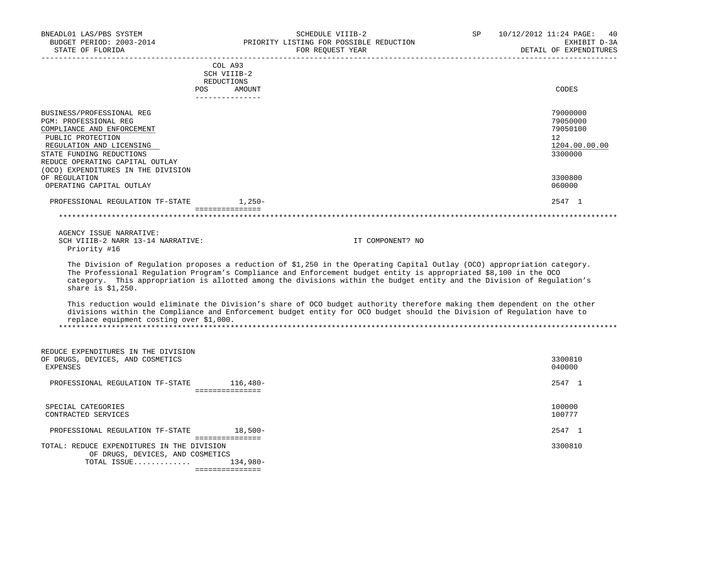| BNEADL01 LAS/PBS SYSTEM<br>STATE OF FLORIDA                                  | SCHEDULE VIIIB-2<br>BUDGET PERIOD: 2003-2014 PRIORITY LISTING FOR POSSIBLE REDUCTION<br>FOR REOUEST YEAR<br>-----------------------------                                                                                                                                                                                                                               | SP | 10/12/2012 11:24 PAGE: 40<br>EXHIBIT D-3A<br>DETAIL OF EXPENDITURES |
|------------------------------------------------------------------------------|-------------------------------------------------------------------------------------------------------------------------------------------------------------------------------------------------------------------------------------------------------------------------------------------------------------------------------------------------------------------------|----|---------------------------------------------------------------------|
|                                                                              | COL A93<br>SCH VIIIB-2<br>REDUCTIONS                                                                                                                                                                                                                                                                                                                                    |    |                                                                     |
|                                                                              | POS FOR<br>AMOUNT<br>---------------                                                                                                                                                                                                                                                                                                                                    |    | CODES                                                               |
| BUSINESS/PROFESSIONAL REG                                                    |                                                                                                                                                                                                                                                                                                                                                                         |    | 79000000                                                            |
| PGM: PROFESSIONAL REG<br>COMPLIANCE AND ENFORCEMENT                          |                                                                                                                                                                                                                                                                                                                                                                         |    | 79050000<br>79050100                                                |
| PUBLIC PROTECTION<br>REGULATION AND LICENSING<br>STATE FUNDING REDUCTIONS    |                                                                                                                                                                                                                                                                                                                                                                         |    | 12<br>1204.00.00.00<br>3300000                                      |
| REDUCE OPERATING CAPITAL OUTLAY<br>(OCO) EXPENDITURES IN THE DIVISION        |                                                                                                                                                                                                                                                                                                                                                                         |    |                                                                     |
| OF REGULATION<br>OPERATING CAPITAL OUTLAY                                    |                                                                                                                                                                                                                                                                                                                                                                         |    | 3300800<br>060000                                                   |
| PROFESSIONAL REGULATION TF-STATE                                             | $1,250-$                                                                                                                                                                                                                                                                                                                                                                |    | 2547 1                                                              |
|                                                                              | ----------------                                                                                                                                                                                                                                                                                                                                                        |    |                                                                     |
| AGENCY ISSUE NARRATIVE:<br>SCH VIIIB-2 NARR 13-14 NARRATIVE:<br>Priority #16 | IT COMPONENT? NO                                                                                                                                                                                                                                                                                                                                                        |    |                                                                     |
| share is $$1,250$ .                                                          | The Division of Regulation proposes a reduction of \$1,250 in the Operating Capital Outlay (OCO) appropriation category.<br>The Professional Regulation Program's Compliance and Enforcement budget entity is appropriated \$8,100 in the OCO<br>category. This appropriation is allotted among the divisions within the budget entity and the Division of Regulation's |    |                                                                     |
| replace equipment costing over \$1,000.                                      | This reduction would eliminate the Division's share of OCO budget authority therefore making them dependent on the other<br>divisions within the Compliance and Enforcement budget entity for OCO budget should the Division of Regulation have to                                                                                                                      |    |                                                                     |
|                                                                              |                                                                                                                                                                                                                                                                                                                                                                         |    |                                                                     |
| REDUCE EXPENDITURES IN THE DIVISION                                          |                                                                                                                                                                                                                                                                                                                                                                         |    |                                                                     |
| OF DRUGS, DEVICES, AND COSMETICS<br><b>EXPENSES</b>                          |                                                                                                                                                                                                                                                                                                                                                                         |    | 3300810<br>040000                                                   |
| PROFESSIONAL REGULATION TF-STATE 116,480-                                    | ________________                                                                                                                                                                                                                                                                                                                                                        |    | 2547 1                                                              |
| SPECIAL CATEGORIES<br>CONTRACTED SERVICES                                    |                                                                                                                                                                                                                                                                                                                                                                         |    | 100000<br>100777                                                    |
| PROFESSIONAL REGULATION TF-STATE 18,500-                                     |                                                                                                                                                                                                                                                                                                                                                                         |    | 2547 1                                                              |
| TOTAL: REDUCE EXPENDITURES IN THE DIVISION                                   | ===============                                                                                                                                                                                                                                                                                                                                                         |    | 3300810                                                             |

 TOTAL ISSUE............. 134,980- ===============

OF DRUGS, DEVICES, AND COSMETICS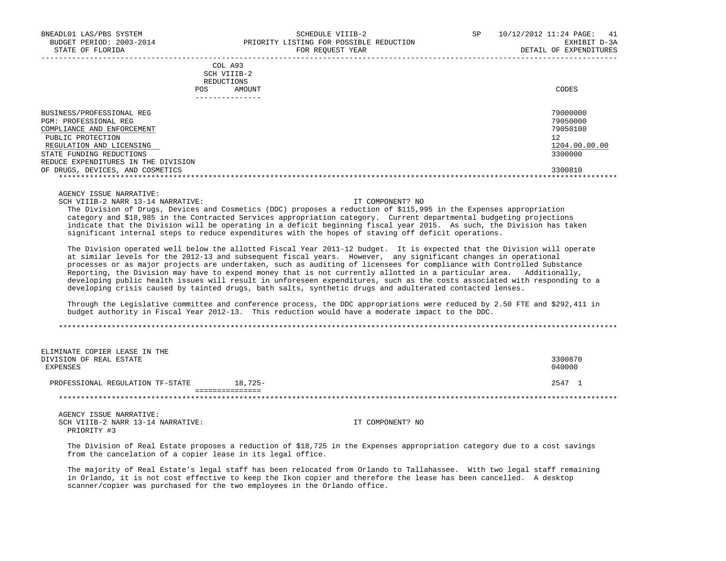|            | _______________ |       |
|------------|-----------------|-------|
| POS        | AMOUNT          | CODES |
| REDUCTIONS |                 |       |
|            | SCH VIIIB-2     |       |
|            | COL A93         |       |

| BUSINESS/PROFESSIONAL REG           | 79000000      |
|-------------------------------------|---------------|
| PGM: PROFESSIONAL REG               | 79050000      |
| COMPLIANCE AND ENFORCEMENT          | 79050100      |
| PUBLIC PROTECTION                   | 12            |
| REGULATION AND LICENSING            | 1204.00.00.00 |
| STATE FUNDING REDUCTIONS            | 3300000       |
| REDUCE EXPENDITURES IN THE DIVISION |               |
| OF DRUGS, DEVICES, AND COSMETICS    | 3300810       |
|                                     |               |

AGENCY ISSUE NARRATIVE:

SCH VIIIB-2 NARR 13-14 NARRATIVE: IT COMPONENT? NO

 The Division of Drugs, Devices and Cosmetics (DDC) proposes a reduction of \$115,995 in the Expenses appropriation category and \$18,985 in the Contracted Services appropriation category. Current departmental budgeting projections indicate that the Division will be operating in a deficit beginning fiscal year 2015. As such, the Division has taken significant internal steps to reduce expenditures with the hopes of staving off deficit operations.

 The Division operated well below the allotted Fiscal Year 2011-12 budget. It is expected that the Division will operate at similar levels for the 2012-13 and subsequent fiscal years. However, any significant changes in operational processes or as major projects are undertaken, such as auditing of licensees for compliance with Controlled Substance Reporting, the Division may have to expend money that is not currently allotted in a particular area. Additionally, developing public health issues will result in unforeseen expenditures, such as the costs associated with responding to a developing crisis caused by tainted drugs, bath salts, synthetic drugs and adulterated contacted lenses.

 Through the Legislative committee and conference process, the DDC appropriations were reduced by 2.50 FTE and \$292,411 in budget authority in Fiscal Year 2012-13. This reduction would have a moderate impact to the DDC.

\*\*\*\*\*\*\*\*\*\*\*\*\*\*\*\*\*\*\*\*\*\*\*\*\*\*\*\*\*\*\*\*\*\*\*\*\*\*\*\*\*\*\*\*\*\*\*\*\*\*\*\*\*\*\*\*\*\*\*\*\*\*\*\*\*\*\*\*\*\*\*\*\*\*\*\*\*\*\*\*\*\*\*\*\*\*\*\*\*\*\*\*\*\*\*\*\*\*\*\*\*\*\*\*\*\*\*\*\*\*\*\*\*\*\*\*\*\*\*\*\*\*\*\*\*\*\*

| ELIMINATE COPIER LEASE IN THE<br>DIVISION OF REAL ESTATE<br>EXPENSES |           | 3300870<br>040000 |
|----------------------------------------------------------------------|-----------|-------------------|
| PROFESSIONAL REGULATION TF-STATE                                     | $18.725-$ | 2547 1            |
|                                                                      |           |                   |

AGENCY ISSUE NARRATIVE:<br>SCH VIIIB-2 NARR 13-14 NARRATIVE: PRIORITY #3

IT COMPONENT? NO

 The Division of Real Estate proposes a reduction of \$18,725 in the Expenses appropriation category due to a cost savings from the cancelation of a copier lease in its legal office.

 The majority of Real Estate's legal staff has been relocated from Orlando to Tallahassee. With two legal staff remaining in Orlando, it is not cost effective to keep the Ikon copier and therefore the lease has been cancelled. A desktop scanner/copier was purchased for the two employees in the Orlando office.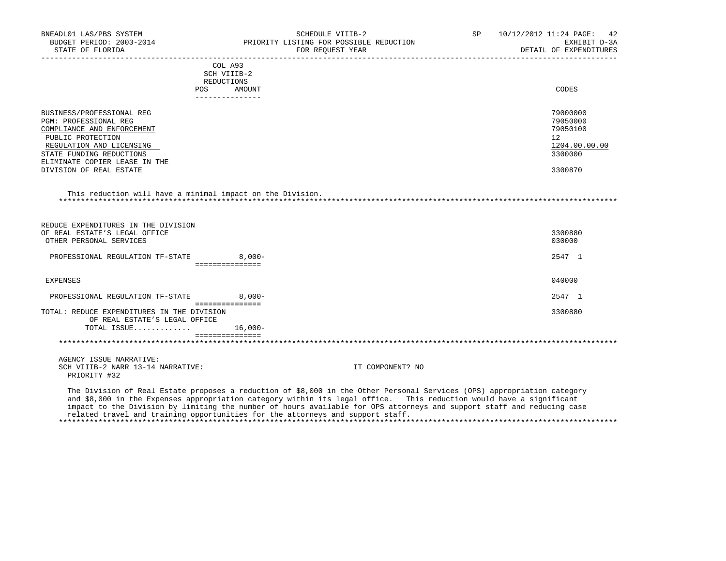| BNEADL01 LAS/PBS SYSTEM<br>BUDGET PERIOD: 2003-2014<br>STATE OF FLORIDA                         |                                    | SCHEDULE VIIIB-2<br>PRIORITY LISTING FOR POSSIBLE REDUCTION<br>FOR REQUEST YEAR                                         | SP 10/12/2012 11:24 PAGE: 42<br>EXHIBIT D-3A<br>DETAIL OF EXPENDITURES |
|-------------------------------------------------------------------------------------------------|------------------------------------|-------------------------------------------------------------------------------------------------------------------------|------------------------------------------------------------------------|
|                                                                                                 | COL A93                            |                                                                                                                         |                                                                        |
|                                                                                                 | SCH VIIIB-2                        |                                                                                                                         |                                                                        |
|                                                                                                 | REDUCTIONS<br><b>POS</b><br>AMOUNT |                                                                                                                         | CODES                                                                  |
|                                                                                                 | _______________                    |                                                                                                                         |                                                                        |
| BUSINESS/PROFESSIONAL REG                                                                       |                                    |                                                                                                                         | 79000000                                                               |
| PGM: PROFESSIONAL REG                                                                           |                                    |                                                                                                                         | 79050000                                                               |
| COMPLIANCE AND ENFORCEMENT                                                                      |                                    |                                                                                                                         | 79050100                                                               |
| PUBLIC PROTECTION                                                                               |                                    |                                                                                                                         | 12                                                                     |
| REGULATION AND LICENSING                                                                        |                                    |                                                                                                                         | 1204.00.00.00                                                          |
| STATE FUNDING REDUCTIONS                                                                        |                                    |                                                                                                                         | 3300000                                                                |
| ELIMINATE COPIER LEASE IN THE                                                                   |                                    |                                                                                                                         |                                                                        |
| DIVISION OF REAL ESTATE                                                                         |                                    |                                                                                                                         | 3300870                                                                |
| REDUCE EXPENDITURES IN THE DIVISION<br>OF REAL ESTATE'S LEGAL OFFICE<br>OTHER PERSONAL SERVICES |                                    |                                                                                                                         | 3300880<br>030000                                                      |
| PROFESSIONAL REGULATION TF-STATE                                                                | $8.000 -$                          |                                                                                                                         | 2547 1                                                                 |
|                                                                                                 | ================                   |                                                                                                                         |                                                                        |
| EXPENSES                                                                                        |                                    |                                                                                                                         | 040000                                                                 |
| PROFESSIONAL REGULATION TF-STATE                                                                | $8.000 -$                          |                                                                                                                         | 2547 1                                                                 |
| TOTAL: REDUCE EXPENDITURES IN THE DIVISION                                                      | ===============                    |                                                                                                                         | 3300880                                                                |
| OF REAL ESTATE'S LEGAL OFFICE                                                                   |                                    |                                                                                                                         |                                                                        |
| TOTAL ISSUE                                                                                     | 16,000-                            |                                                                                                                         |                                                                        |
|                                                                                                 | ===============                    |                                                                                                                         |                                                                        |
|                                                                                                 |                                    |                                                                                                                         |                                                                        |
| AGENCY ISSUE NARRATIVE:                                                                         |                                    |                                                                                                                         |                                                                        |
| SCH VIIIB-2 NARR 13-14 NARRATIVE:<br>PRIORITY #32                                               |                                    | IT COMPONENT? NO                                                                                                        |                                                                        |
|                                                                                                 |                                    | The Division of Real Estate proposes a reduction of \$8,000 in the Other Personal Services (OPS) appropriation category |                                                                        |
|                                                                                                 |                                    | and \$8,000 in the Expenses appropriation category within its legal office. This reduction would have a significant     |                                                                        |

 impact to the Division by limiting the number of hours available for OPS attorneys and support staff and reducing case related travel and training opportunities for the attorneys and support staff.

\*\*\*\*\*\*\*\*\*\*\*\*\*\*\*\*\*\*\*\*\*\*\*\*\*\*\*\*\*\*\*\*\*\*\*\*\*\*\*\*\*\*\*\*\*\*\*\*\*\*\*\*\*\*\*\*\*\*\*\*\*\*\*\*\*\*\*\*\*\*\*\*\*\*\*\*\*\*\*\*\*\*\*\*\*\*\*\*\*\*\*\*\*\*\*\*\*\*\*\*\*\*\*\*\*\*\*\*\*\*\*\*\*\*\*\*\*\*\*\*\*\*\*\*\*\*\*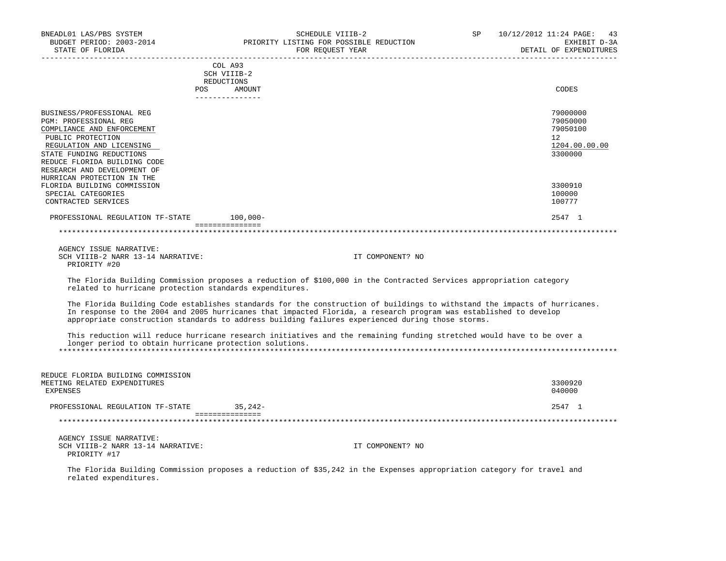| BNEADL01 LAS/PBS SYSTEM                                 | SCHEDULE VIIIB-2                                                                                                                                                                                                                                                                                                                                  | 10/12/2012 11:24 PAGE: 43<br>SP and the set of the set of the set of the set of the set of the set of the set of the set of the set of the set of the set of the set of the set of the set of the set of the set of the set of the set of the set of the se<br>EXHIBIT D-3A |
|---------------------------------------------------------|---------------------------------------------------------------------------------------------------------------------------------------------------------------------------------------------------------------------------------------------------------------------------------------------------------------------------------------------------|-----------------------------------------------------------------------------------------------------------------------------------------------------------------------------------------------------------------------------------------------------------------------------|
| BUDGET PERIOD: 2003-2014<br>STATE OF FLORIDA            | DRIORITY LISTING FOR POSSIBLE REDUCTION                                                                                                                                                                                                                                                                                                           | DETAIL OF EXPENDITURES                                                                                                                                                                                                                                                      |
|                                                         | COL A93                                                                                                                                                                                                                                                                                                                                           |                                                                                                                                                                                                                                                                             |
|                                                         | SCH VIIIB-2                                                                                                                                                                                                                                                                                                                                       |                                                                                                                                                                                                                                                                             |
|                                                         | REDUCTIONS                                                                                                                                                                                                                                                                                                                                        |                                                                                                                                                                                                                                                                             |
|                                                         | POS AMOUNT<br>---------------                                                                                                                                                                                                                                                                                                                     | CODES                                                                                                                                                                                                                                                                       |
| BUSINESS/PROFESSIONAL REG                               |                                                                                                                                                                                                                                                                                                                                                   | 79000000                                                                                                                                                                                                                                                                    |
| PGM: PROFESSIONAL REG                                   |                                                                                                                                                                                                                                                                                                                                                   | 79050000                                                                                                                                                                                                                                                                    |
| COMPLIANCE AND ENFORCEMENT                              |                                                                                                                                                                                                                                                                                                                                                   | 79050100                                                                                                                                                                                                                                                                    |
| PUBLIC PROTECTION                                       |                                                                                                                                                                                                                                                                                                                                                   | 12 <sup>°</sup>                                                                                                                                                                                                                                                             |
| REGULATION AND LICENSING                                |                                                                                                                                                                                                                                                                                                                                                   | 1204.00.00.00                                                                                                                                                                                                                                                               |
| STATE FUNDING REDUCTIONS                                |                                                                                                                                                                                                                                                                                                                                                   | 3300000                                                                                                                                                                                                                                                                     |
| REDUCE FLORIDA BUILDING CODE                            |                                                                                                                                                                                                                                                                                                                                                   |                                                                                                                                                                                                                                                                             |
| RESEARCH AND DEVELOPMENT OF                             |                                                                                                                                                                                                                                                                                                                                                   |                                                                                                                                                                                                                                                                             |
| HURRICAN PROTECTION IN THE                              |                                                                                                                                                                                                                                                                                                                                                   |                                                                                                                                                                                                                                                                             |
| FLORIDA BUILDING COMMISSION                             |                                                                                                                                                                                                                                                                                                                                                   | 3300910                                                                                                                                                                                                                                                                     |
| SPECIAL CATEGORIES                                      |                                                                                                                                                                                                                                                                                                                                                   | 100000                                                                                                                                                                                                                                                                      |
| CONTRACTED SERVICES                                     |                                                                                                                                                                                                                                                                                                                                                   | 100777                                                                                                                                                                                                                                                                      |
| PROFESSIONAL REGULATION TF-STATE 100,000-               |                                                                                                                                                                                                                                                                                                                                                   | 2547 1                                                                                                                                                                                                                                                                      |
|                                                         | and a consequence of the contract of the contract of the contract of the contract of the contract of the contract of the contract of the contract of the contract of the contract of the contract of the contract of the contr                                                                                                                    |                                                                                                                                                                                                                                                                             |
|                                                         |                                                                                                                                                                                                                                                                                                                                                   |                                                                                                                                                                                                                                                                             |
| AGENCY ISSUE NARRATIVE:                                 |                                                                                                                                                                                                                                                                                                                                                   |                                                                                                                                                                                                                                                                             |
| SCH VIIIB-2 NARR 13-14 NARRATIVE:                       | IT COMPONENT? NO                                                                                                                                                                                                                                                                                                                                  |                                                                                                                                                                                                                                                                             |
| PRIORITY #20                                            |                                                                                                                                                                                                                                                                                                                                                   |                                                                                                                                                                                                                                                                             |
| related to hurricane protection standards expenditures. | The Florida Building Commission proposes a reduction of \$100,000 in the Contracted Services appropriation category                                                                                                                                                                                                                               |                                                                                                                                                                                                                                                                             |
|                                                         | The Florida Building Code establishes standards for the construction of buildings to withstand the impacts of hurricanes.<br>In response to the 2004 and 2005 hurricanes that impacted Florida, a research program was established to develop<br>appropriate construction standards to address building failures experienced during those storms. |                                                                                                                                                                                                                                                                             |
| longer period to obtain hurricane protection solutions. | This reduction will reduce hurricane research initiatives and the remaining funding stretched would have to be over a                                                                                                                                                                                                                             |                                                                                                                                                                                                                                                                             |
|                                                         |                                                                                                                                                                                                                                                                                                                                                   |                                                                                                                                                                                                                                                                             |
| REDUCE FLORIDA BUILDING COMMISSION                      |                                                                                                                                                                                                                                                                                                                                                   |                                                                                                                                                                                                                                                                             |
| MEETING RELATED EXPENDITURES                            |                                                                                                                                                                                                                                                                                                                                                   | 3300920                                                                                                                                                                                                                                                                     |
| <b>EXPENSES</b>                                         |                                                                                                                                                                                                                                                                                                                                                   | 040000                                                                                                                                                                                                                                                                      |
| PROFESSIONAL REGULATION TF-STATE 35,242-                |                                                                                                                                                                                                                                                                                                                                                   | 2547 1                                                                                                                                                                                                                                                                      |
|                                                         | and a strategie of the state of the state of the state of the state of the state of the state of the state of                                                                                                                                                                                                                                     |                                                                                                                                                                                                                                                                             |
|                                                         |                                                                                                                                                                                                                                                                                                                                                   |                                                                                                                                                                                                                                                                             |
| AGENCY ISSUE NARRATIVE:                                 |                                                                                                                                                                                                                                                                                                                                                   |                                                                                                                                                                                                                                                                             |
| SCH VIIIB-2 NARR 13-14 NARRATIVE:                       | IT COMPONENT? NO                                                                                                                                                                                                                                                                                                                                  |                                                                                                                                                                                                                                                                             |
| PRIORITY #17                                            |                                                                                                                                                                                                                                                                                                                                                   |                                                                                                                                                                                                                                                                             |
| related expenditures.                                   | The Florida Building Commission proposes a reduction of \$35,242 in the Expenses appropriation category for travel and                                                                                                                                                                                                                            |                                                                                                                                                                                                                                                                             |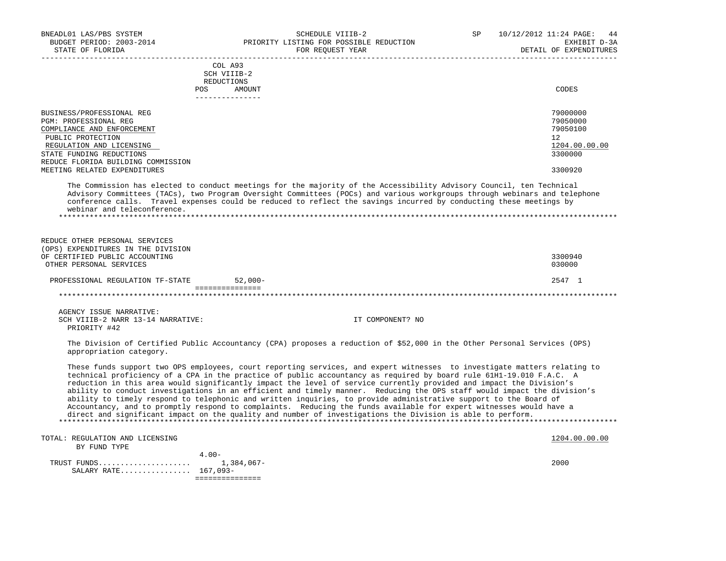| BNEADL01 LAS/PBS SYSTEM<br>BUDGET PERIOD: 2003-2014<br>STATE OF FLORIDA                                                                                                                                                                                            |                                                                          | SCHEDULE VIIIB-2<br>PRIORITY LISTING FOR POSSIBLE REDUCTION<br>FOR REQUEST YEAR<br>______________________________                                                                                                                                                                                                                                                                                                                                                                                                                                                                                                                                                                                                                                                                                                                                         | SP | 10/12/2012 11:24 PAGE:<br>44<br>EXHIBIT D-3A<br>DETAIL OF EXPENDITURES                  |
|--------------------------------------------------------------------------------------------------------------------------------------------------------------------------------------------------------------------------------------------------------------------|--------------------------------------------------------------------------|-----------------------------------------------------------------------------------------------------------------------------------------------------------------------------------------------------------------------------------------------------------------------------------------------------------------------------------------------------------------------------------------------------------------------------------------------------------------------------------------------------------------------------------------------------------------------------------------------------------------------------------------------------------------------------------------------------------------------------------------------------------------------------------------------------------------------------------------------------------|----|-----------------------------------------------------------------------------------------|
|                                                                                                                                                                                                                                                                    | COL A93<br>SCH VIIIB-2<br>REDUCTIONS<br>POS<br>AMOUNT<br>--------------- |                                                                                                                                                                                                                                                                                                                                                                                                                                                                                                                                                                                                                                                                                                                                                                                                                                                           |    | CODES                                                                                   |
| BUSINESS/PROFESSIONAL REG<br>PGM: PROFESSIONAL REG<br>COMPLIANCE AND ENFORCEMENT<br>PUBLIC PROTECTION<br>REGULATION AND LICENSING<br>STATE FUNDING REDUCTIONS<br>REDUCE FLORIDA BUILDING COMMISSION<br>MEETING RELATED EXPENDITURES<br>webinar and teleconference. |                                                                          | The Commission has elected to conduct meetings for the majority of the Accessibility Advisory Council, ten Technical<br>Advisory Committees (TACs), two Program Oversight Committees (POCs) and various workgroups through webinars and telephone<br>conference calls. Travel expenses could be reduced to reflect the savings incurred by conducting these meetings by                                                                                                                                                                                                                                                                                                                                                                                                                                                                                   |    | 79000000<br>79050000<br>79050100<br>$12^{\circ}$<br>1204.00.00.00<br>3300000<br>3300920 |
| REDUCE OTHER PERSONAL SERVICES<br>(OPS) EXPENDITURES IN THE DIVISION<br>OF CERTIFIED PUBLIC ACCOUNTING<br>OTHER PERSONAL SERVICES                                                                                                                                  |                                                                          |                                                                                                                                                                                                                                                                                                                                                                                                                                                                                                                                                                                                                                                                                                                                                                                                                                                           |    | 3300940<br>030000                                                                       |
| PROFESSIONAL REGULATION TF-STATE                                                                                                                                                                                                                                   | $52,000-$<br>---------------                                             |                                                                                                                                                                                                                                                                                                                                                                                                                                                                                                                                                                                                                                                                                                                                                                                                                                                           |    | 2547 1                                                                                  |
|                                                                                                                                                                                                                                                                    |                                                                          |                                                                                                                                                                                                                                                                                                                                                                                                                                                                                                                                                                                                                                                                                                                                                                                                                                                           |    |                                                                                         |
| AGENCY ISSUE NARRATIVE:<br>SCH VIIIB-2 NARR 13-14 NARRATIVE:<br>PRIORITY #42                                                                                                                                                                                       |                                                                          | IT COMPONENT? NO                                                                                                                                                                                                                                                                                                                                                                                                                                                                                                                                                                                                                                                                                                                                                                                                                                          |    |                                                                                         |
| appropriation category.                                                                                                                                                                                                                                            |                                                                          | The Division of Certified Public Accountancy (CPA) proposes a reduction of \$52,000 in the Other Personal Services (OPS)                                                                                                                                                                                                                                                                                                                                                                                                                                                                                                                                                                                                                                                                                                                                  |    |                                                                                         |
|                                                                                                                                                                                                                                                                    |                                                                          | These funds support two OPS employees, court reporting services, and expert witnesses to investigate matters relating to<br>technical proficiency of a CPA in the practice of public accountancy as required by board rule 61H1-19.010 F.A.C. A<br>reduction in this area would significantly impact the level of service currently provided and impact the Division's<br>ability to conduct investigations in an efficient and timely manner. Reducing the OPS staff would impact the division's<br>ability to timely respond to telephonic and written inquiries, to provide administrative support to the Board of<br>Accountancy, and to promptly respond to complaints. Reducing the funds available for expert witnesses would have a<br>direct and significant impact on the quality and number of investigations the Division is able to perform. |    |                                                                                         |
| TOTAL: REGULATION AND LICENSING<br>$m + m + m$                                                                                                                                                                                                                     |                                                                          |                                                                                                                                                                                                                                                                                                                                                                                                                                                                                                                                                                                                                                                                                                                                                                                                                                                           |    | 1204.00.00.00                                                                           |

 BY FUND TYPE 4.00- TRUST FUNDS..................... 1,384,067- 2000 SALARY RATE................ 167,093- ===============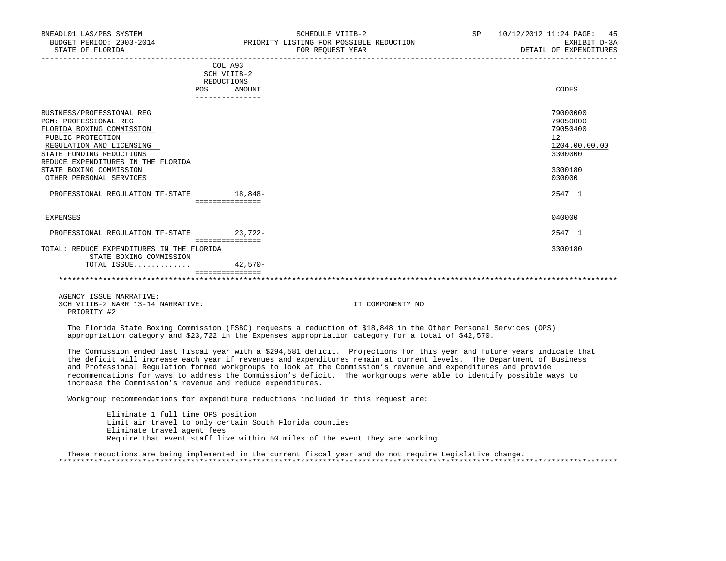| POS                                                                  | AMOUNT          | CODES         |
|----------------------------------------------------------------------|-----------------|---------------|
|                                                                      |                 |               |
| BUSINESS/PROFESSIONAL REG                                            |                 | 79000000      |
| <b>PGM: PROFESSIONAL REG</b>                                         |                 | 79050000      |
| FLORIDA BOXING COMMISSION                                            |                 | 79050400      |
| PUBLIC PROTECTION                                                    |                 | 12            |
| REGULATION AND LICENSING                                             |                 | 1204.00.00.00 |
| STATE FUNDING REDUCTIONS                                             |                 | 3300000       |
| REDUCE EXPENDITURES IN THE FLORIDA                                   |                 |               |
| STATE BOXING COMMISSION                                              |                 | 3300180       |
| OTHER PERSONAL SERVICES                                              |                 | 030000        |
| PROFESSIONAL REGULATION TF-STATE                                     | 18,848-         | 2547 1        |
|                                                                      | =============== |               |
| EXPENSES                                                             |                 | 040000        |
| PROFESSIONAL REGULATION TF-STATE                                     | $23,722-$       | 2547 1        |
| TOTAL: REDUCE EXPENDITURES IN THE FLORIDA<br>STATE BOXING COMMISSION | =============== | 3300180       |
| TOTAL ISSUE                                                          | $42,570-$       |               |
|                                                                      |                 |               |

 AGENCY ISSUE NARRATIVE: SCH VIIIB-2 NARR 13-14 NARRATIVE: IT COMPONENT? NO PRIORITY #2

 The Florida State Boxing Commission (FSBC) requests a reduction of \$18,848 in the Other Personal Services (OPS) appropriation category and \$23,722 in the Expenses appropriation category for a total of \$42,570.

 The Commission ended last fiscal year with a \$294,581 deficit. Projections for this year and future years indicate that the deficit will increase each year if revenues and expenditures remain at current levels. The Department of Business and Professional Regulation formed workgroups to look at the Commission's revenue and expenditures and provide recommendations for ways to address the Commission's deficit. The workgroups were able to identify possible ways to increase the Commission's revenue and reduce expenditures.

\*\*\*\*\*\*\*\*\*\*\*\*\*\*\*\*\*\*\*\*\*\*\*\*\*\*\*\*\*\*\*\*\*\*\*\*\*\*\*\*\*\*\*\*\*\*\*\*\*\*\*\*\*\*\*\*\*\*\*\*\*\*\*\*\*\*\*\*\*\*\*\*\*\*\*\*\*\*\*\*\*\*\*\*\*\*\*\*\*\*\*\*\*\*\*\*\*\*\*\*\*\*\*\*\*\*\*\*\*\*\*\*\*\*\*\*\*\*\*\*\*\*\*\*\*\*\*

Workgroup recommendations for expenditure reductions included in this request are:

===============

 Eliminate 1 full time OPS position Limit air travel to only certain South Florida counties Eliminate travel agent fees Require that event staff live within 50 miles of the event they are working

 These reductions are being implemented in the current fiscal year and do not require Legislative change. \*\*\*\*\*\*\*\*\*\*\*\*\*\*\*\*\*\*\*\*\*\*\*\*\*\*\*\*\*\*\*\*\*\*\*\*\*\*\*\*\*\*\*\*\*\*\*\*\*\*\*\*\*\*\*\*\*\*\*\*\*\*\*\*\*\*\*\*\*\*\*\*\*\*\*\*\*\*\*\*\*\*\*\*\*\*\*\*\*\*\*\*\*\*\*\*\*\*\*\*\*\*\*\*\*\*\*\*\*\*\*\*\*\*\*\*\*\*\*\*\*\*\*\*\*\*\*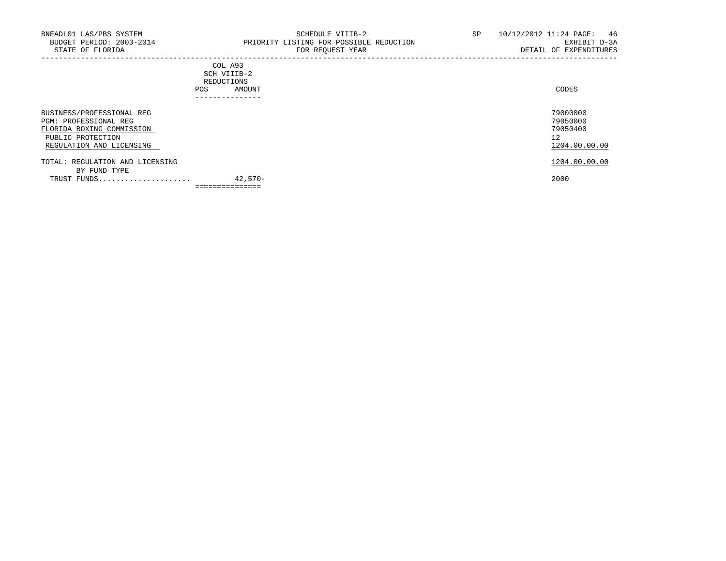## COL A93 SCH VIIIB-2 REDUCTIONS POS AMOUNT ---------------

| BUSINESS/PROFESSIONAL REG       |           | 79000000      |
|---------------------------------|-----------|---------------|
| PGM: PROFESSIONAL REG           |           | 79050000      |
| FLORIDA BOXING COMMISSION       |           | 79050400      |
| PUBLIC PROTECTION               |           | 12            |
| REGULATION AND LICENSING        |           | 1204.00.00.00 |
| TOTAL: REGULATION AND LICENSING |           | 1204.00.00.00 |
| BY FUND TYPE                    |           |               |
| TRUST FUNDS                     | $42.570-$ | 2000          |
|                                 |           |               |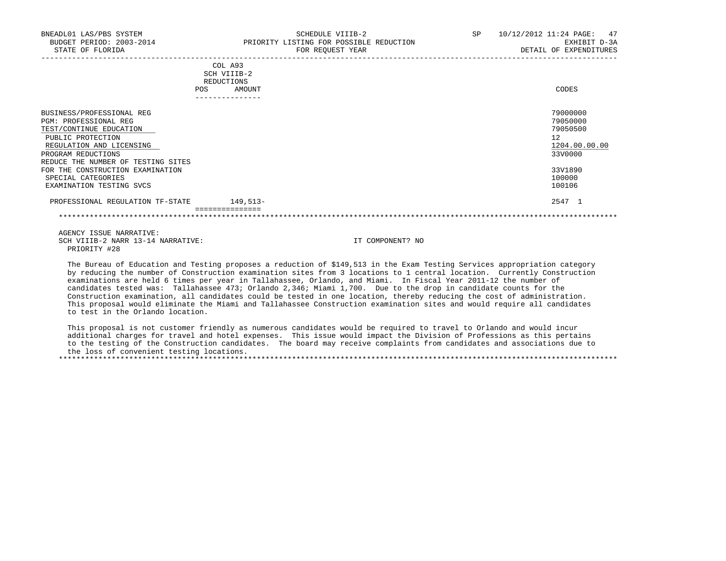| BNEADL01 LAS/PBS SYSTEM<br>BUDGET PERIOD: 2003-2014<br>STATE OF FLORIDA                            | SCHEDULE VIIIB-2<br>PRIORITY LISTING FOR POSSIBLE REDUCTION<br>FOR REQUEST YEAR | 10/12/2012 11:24 PAGE: 47<br>SP<br>EXHIBIT D-3A<br>DETAIL OF EXPENDITURES |
|----------------------------------------------------------------------------------------------------|---------------------------------------------------------------------------------|---------------------------------------------------------------------------|
|                                                                                                    | COL A93<br>SCH VIIIB-2<br>REDUCTIONS<br>AMOUNT<br>POS.                          | CODES                                                                     |
| BUSINESS/PROFESSIONAL REG<br>PGM: PROFESSIONAL REG<br>TEST/CONTINUE EDUCATION<br>PUBLIC PROTECTION |                                                                                 | 79000000<br>79050000<br>79050500<br>12                                    |

| REGULATION AND LICENSING           |            | 1204.00.00.00 |
|------------------------------------|------------|---------------|
| PROGRAM REDUCTIONS                 |            | 33V0000       |
| REDUCE THE NUMBER OF TESTING SITES |            |               |
| FOR THE CONSTRUCTION EXAMINATION   |            | 33V1890       |
| SPECIAL CATEGORIES                 |            | 100000        |
| EXAMINATION TESTING SVCS           |            | 100106        |
| PROFESSIONAL REGULATION TF-STATE   | $149.513-$ | 2547 1        |
|                                    |            |               |

 AGENCY ISSUE NARRATIVE: SCH VIIIB-2 NARR 13-14 NARRATIVE: IT COMPONENT? NO PRIORITY #28

 The Bureau of Education and Testing proposes a reduction of \$149,513 in the Exam Testing Services appropriation category by reducing the number of Construction examination sites from 3 locations to 1 central location. Currently Construction examinations are held 6 times per year in Tallahassee, Orlando, and Miami. In Fiscal Year 2011-12 the number of candidates tested was: Tallahassee 473; Orlando 2,346; Miami 1,700. Due to the drop in candidate counts for the Construction examination, all candidates could be tested in one location, thereby reducing the cost of administration. This proposal would eliminate the Miami and Tallahassee Construction examination sites and would require all candidates to test in the Orlando location.

 This proposal is not customer friendly as numerous candidates would be required to travel to Orlando and would incur additional charges for travel and hotel expenses. This issue would impact the Division of Professions as this pertains to the testing of the Construction candidates. The board may receive complaints from candidates and associations due to the loss of convenient testing locations. \*\*\*\*\*\*\*\*\*\*\*\*\*\*\*\*\*\*\*\*\*\*\*\*\*\*\*\*\*\*\*\*\*\*\*\*\*\*\*\*\*\*\*\*\*\*\*\*\*\*\*\*\*\*\*\*\*\*\*\*\*\*\*\*\*\*\*\*\*\*\*\*\*\*\*\*\*\*\*\*\*\*\*\*\*\*\*\*\*\*\*\*\*\*\*\*\*\*\*\*\*\*\*\*\*\*\*\*\*\*\*\*\*\*\*\*\*\*\*\*\*\*\*\*\*\*\*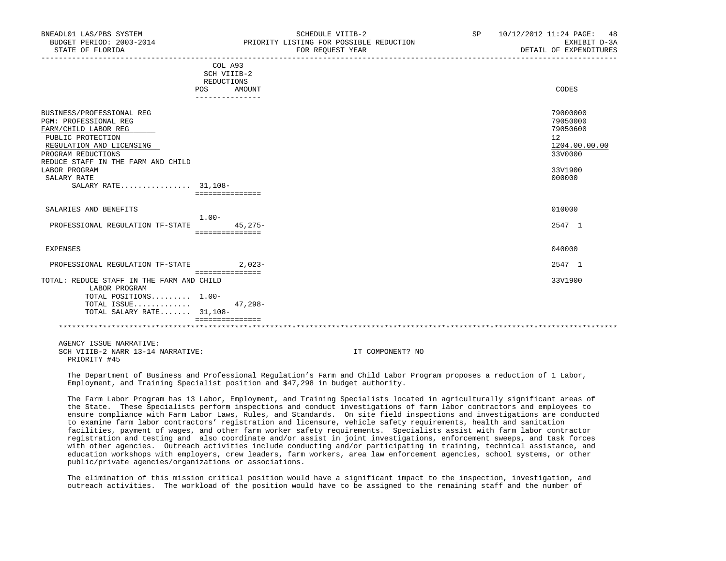| BUDGET PERIOD: 2003-2014<br>STATE OF FLORIDA                                                                                                                                                                                                          |                                                                           | PRIORITY LISTING FOR POSSIBLE REDUCTION<br>FOR REQUEST YEAR | EXHIBIT D-3A<br>DETAIL OF EXPENDITURES                                                  |
|-------------------------------------------------------------------------------------------------------------------------------------------------------------------------------------------------------------------------------------------------------|---------------------------------------------------------------------------|-------------------------------------------------------------|-----------------------------------------------------------------------------------------|
|                                                                                                                                                                                                                                                       | COL A93<br>SCH VIIIB-2<br>REDUCTIONS<br>POS<br>AMOUNT<br>---------------- |                                                             | CODES                                                                                   |
| BUSINESS/PROFESSIONAL REG<br><b>PGM: PROFESSIONAL REG</b><br>FARM/CHILD LABOR REG<br>PUBLIC PROTECTION<br>REGULATION AND LICENSING<br>PROGRAM REDUCTIONS<br>REDUCE STAFF IN THE FARM AND CHILD<br>LABOR PROGRAM<br>SALARY RATE<br>SALARY RATE 31,108- | ===============                                                           |                                                             | 79000000<br>79050000<br>79050600<br>12<br>1204.00.00.00<br>33V0000<br>33V1900<br>000000 |
| SALARIES AND BENEFITS<br>PROFESSIONAL REGULATION TF-STATE                                                                                                                                                                                             | $1.00-$<br>$45,275-$                                                      |                                                             | 010000<br>2547 1                                                                        |
| EXPENSES<br>PROFESSIONAL REGULATION TF-STATE 2,023-                                                                                                                                                                                                   | ===============                                                           |                                                             | 040000<br>2547 1                                                                        |
| TOTAL: REDUCE STAFF IN THE FARM AND CHILD<br>LABOR PROGRAM<br>TOTAL POSITIONS 1.00-<br>TOTAL ISSUE<br>TOTAL SALARY RATE 31,108-                                                                                                                       | ===============<br>47,298-<br><b>BEBBBBBBBBBBBBB</b>                      |                                                             | 33V1900                                                                                 |
| AGENCY ISSUE NARRATIVE:<br>SCH VIIIB-2 NARR 13-14 NARRATIVE:<br>PRIORITY #45                                                                                                                                                                          |                                                                           | IT COMPONENT? NO                                            |                                                                                         |

BNEADL01 LAS/PBS SYSTEM SCHEDULE VIIIB-2 SCHEDULE VIIIB-2 SP 10/12/2012 11:24 PAGE: 48

 The Department of Business and Professional Regulation's Farm and Child Labor Program proposes a reduction of 1 Labor, Employment, and Training Specialist position and \$47,298 in budget authority.

 The Farm Labor Program has 13 Labor, Employment, and Training Specialists located in agriculturally significant areas of the State. These Specialists perform inspections and conduct investigations of farm labor contractors and employees to ensure compliance with Farm Labor Laws, Rules, and Standards. On site field inspections and investigations are conducted to examine farm labor contractors' registration and licensure, vehicle safety requirements, health and sanitation facilities, payment of wages, and other farm worker safety requirements. Specialists assist with farm labor contractor registration and testing and also coordinate and/or assist in joint investigations, enforcement sweeps, and task forces with other agencies. Outreach activities include conducting and/or participating in training, technical assistance, and education workshops with employers, crew leaders, farm workers, area law enforcement agencies, school systems, or other public/private agencies/organizations or associations.

 The elimination of this mission critical position would have a significant impact to the inspection, investigation, and outreach activities. The workload of the position would have to be assigned to the remaining staff and the number of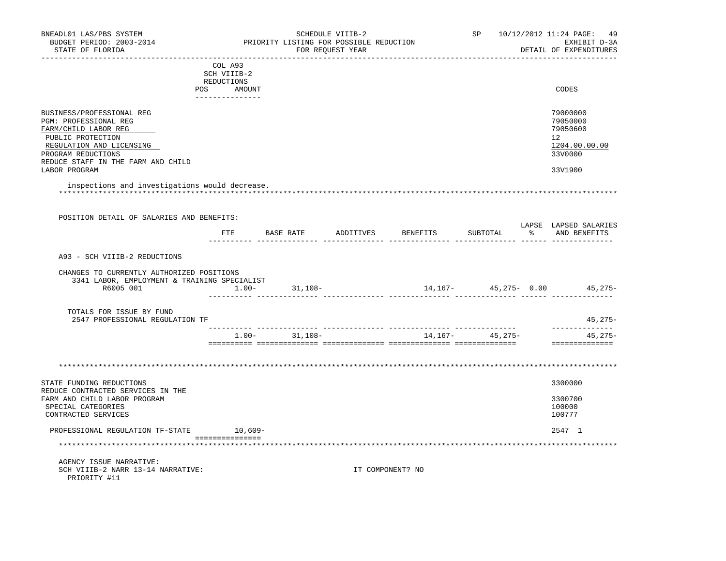| BNEADL01 LAS/PBS SYSTEM<br>BUDGET PERIOD: 2003-2014<br>STATE OF FLORIDA                                                                |                               | PRIORITY LISTING FOR POSSIBLE REDUCTION | SCHEDULE VIIIB-2<br>FOR REOUEST YEAR | ---------------------------      |                                  | SP 10/12/2012 11:24 PAGE:<br>49<br>EXHIBIT D-3A<br>DETAIL OF EXPENDITURES |
|----------------------------------------------------------------------------------------------------------------------------------------|-------------------------------|-----------------------------------------|--------------------------------------|----------------------------------|----------------------------------|---------------------------------------------------------------------------|
|                                                                                                                                        | COL A93                       |                                         |                                      |                                  |                                  |                                                                           |
|                                                                                                                                        | SCH VIIIB-2                   |                                         |                                      |                                  |                                  |                                                                           |
|                                                                                                                                        | REDUCTIONS                    |                                         |                                      |                                  |                                  |                                                                           |
|                                                                                                                                        | POS AMOUNT<br>--------------- |                                         |                                      |                                  |                                  | CODES                                                                     |
| BUSINESS/PROFESSIONAL REG                                                                                                              |                               |                                         |                                      |                                  |                                  | 79000000                                                                  |
| PGM: PROFESSIONAL REG                                                                                                                  |                               |                                         |                                      |                                  |                                  | 79050000                                                                  |
| FARM/CHILD LABOR REG                                                                                                                   |                               |                                         |                                      |                                  |                                  | 79050600                                                                  |
| PUBLIC PROTECTION                                                                                                                      |                               |                                         |                                      |                                  |                                  | 12                                                                        |
| REGULATION AND LICENSING                                                                                                               |                               |                                         |                                      |                                  |                                  | 1204.00.00.00                                                             |
| PROGRAM REDUCTIONS                                                                                                                     |                               |                                         |                                      |                                  |                                  | 33V0000                                                                   |
| REDUCE STAFF IN THE FARM AND CHILD                                                                                                     |                               |                                         |                                      |                                  |                                  |                                                                           |
| LABOR PROGRAM                                                                                                                          |                               |                                         |                                      |                                  |                                  | 33V1900                                                                   |
| inspections and investigations would decrease.<br>POSITION DETAIL OF SALARIES AND BENEFITS:                                            |                               |                                         |                                      |                                  |                                  |                                                                           |
|                                                                                                                                        |                               |                                         |                                      |                                  |                                  | LAPSE LAPSED SALARIES                                                     |
|                                                                                                                                        |                               |                                         |                                      | FTE BASE RATE ADDITIVES BENEFITS | SUBTOTAL<br>________ ______ ____ | % AND BENEFITS                                                            |
| A93 - SCH VIIIB-2 REDUCTIONS<br>CHANGES TO CURRENTLY AUTHORIZED POSITIONS<br>3341 LABOR, EMPLOYMENT & TRAINING SPECIALIST<br>R6005 001 |                               | $1.00 - 31,108 -$                       |                                      |                                  |                                  | 14,167- 45,275- 0.00 45,275-                                              |
| TOTALS FOR ISSUE BY FUND                                                                                                               |                               |                                         |                                      |                                  |                                  |                                                                           |
| 2547 PROFESSIONAL REGULATION TF                                                                                                        |                               |                                         |                                      |                                  |                                  | $45,275-$                                                                 |
|                                                                                                                                        |                               |                                         |                                      |                                  |                                  | -----------                                                               |
|                                                                                                                                        |                               | $1.00 - 31,108 -$                       |                                      |                                  | $14, 167 - 45, 275 -$            | 45,275-<br>==============                                                 |
|                                                                                                                                        |                               |                                         |                                      |                                  |                                  |                                                                           |
| STATE FUNDING REDUCTIONS<br>REDUCE CONTRACTED SERVICES IN THE                                                                          |                               |                                         |                                      |                                  |                                  | 3300000                                                                   |
| FARM AND CHILD LABOR PROGRAM                                                                                                           |                               |                                         |                                      |                                  |                                  | 3300700                                                                   |
| SPECIAL CATEGORIES                                                                                                                     |                               |                                         |                                      |                                  |                                  | 100000                                                                    |
| CONTRACTED SERVICES                                                                                                                    |                               |                                         |                                      |                                  |                                  | 100777                                                                    |
| PROFESSIONAL REGULATION TF-STATE 10,609-                                                                                               |                               |                                         |                                      |                                  |                                  | 2547 1                                                                    |
|                                                                                                                                        | ________________              |                                         |                                      |                                  |                                  |                                                                           |
|                                                                                                                                        |                               |                                         |                                      |                                  |                                  |                                                                           |
| AGENCY ISSUE NARRATIVE:                                                                                                                |                               |                                         |                                      |                                  |                                  |                                                                           |
| SCH VIIIB-2 NARR 13-14 NARRATIVE:                                                                                                      |                               |                                         |                                      | IT COMPONENT? NO                 |                                  |                                                                           |
| PRIORITY #11                                                                                                                           |                               |                                         |                                      |                                  |                                  |                                                                           |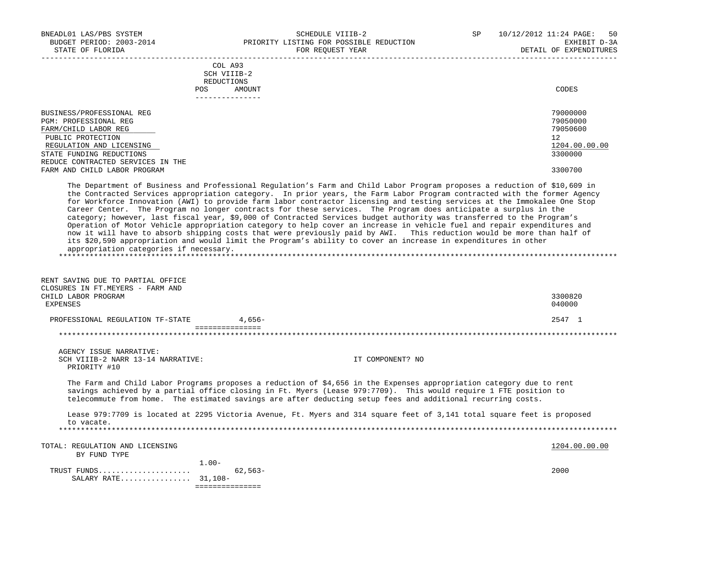BNEADL01 LAS/PBS SYSTEM SCHEDULE VIIIB-2 SEHEDULE VIIIB-2 SP 10/12/2012 11:24 PAGE: 50 BUDGET PERIOD: 2003-2014 PRIORITY LISTING FOR POSSIBLE REDUCTION EXHIBIT D-3A STATE OF FLORIDA GOVERNMENT CONSUMING THE STATE OF THE SEPENDITURES FOR REQUEST YEAR GOVERNMENT OF EXPENDITURES ----------------------------------------------------------------------------------------------------------------------------------- COL A93 SCH VIIIB-2 REDUCTIONS POS AMOUNT CODES --------------- BUSINESS/PROFESSIONAL REG 79000000 PGM: PROFESSIONAL REG 79050000<br>FARM/CHILD LABOR REG 79050600 FARM/CHILD LABOR REG PUBLIC PROTECTION 12<br>REGULATION AND LICENSING 1204.00.00.00 REGULATION AND LICENSING 1204.00 and the set of the set of the set of the set of the set of the set of the set o<br>Tate funding reductions 3300000 and the set of the set of the set of the set of the set of the set of the set STATE FUNDING REDUCTIONS REDUCE CONTRACTED SERVICES IN THE FARM AND CHILD LABOR PROGRAM 3300700 The Department of Business and Professional Regulation's Farm and Child Labor Program proposes a reduction of \$10,609 in the Contracted Services appropriation category. In prior years, the Farm Labor Program contracted with the former Agency for Workforce Innovation (AWI) to provide farm labor contractor licensing and testing services at the Immokalee One Stop Career Center. The Program no longer contracts for these services. The Program does anticipate a surplus in the category; however, last fiscal year, \$9,000 of Contracted Services budget authority was transferred to the Program's Operation of Motor Vehicle appropriation category to help cover an increase in vehicle fuel and repair expenditures and now it will have to absorb shipping costs that were previously paid by AWI. This reduction would be more than half of its \$20,590 appropriation and would limit the Program's ability to cover an increase in expenditures in other appropriation categories if necessary. \*\*\*\*\*\*\*\*\*\*\*\*\*\*\*\*\*\*\*\*\*\*\*\*\*\*\*\*\*\*\*\*\*\*\*\*\*\*\*\*\*\*\*\*\*\*\*\*\*\*\*\*\*\*\*\*\*\*\*\*\*\*\*\*\*\*\*\*\*\*\*\*\*\*\*\*\*\*\*\*\*\*\*\*\*\*\*\*\*\*\*\*\*\*\*\*\*\*\*\*\*\*\*\*\*\*\*\*\*\*\*\*\*\*\*\*\*\*\*\*\*\*\*\*\*\*\* RENT SAVING DUE TO PARTIAL OFFICE CLOSURES IN FT.MEYERS - FARM AND<br>CHILD LABOR PROGRAM CHILD LABOR PROGRAM 3300820 EXPENSES 040000 PROFESSIONAL REGULATION TF-STATE  $4.656-$  =============== \*\*\*\*\*\*\*\*\*\*\*\*\*\*\*\*\*\*\*\*\*\*\*\*\*\*\*\*\*\*\*\*\*\*\*\*\*\*\*\*\*\*\*\*\*\*\*\*\*\*\*\*\*\*\*\*\*\*\*\*\*\*\*\*\*\*\*\*\*\*\*\*\*\*\*\*\*\*\*\*\*\*\*\*\*\*\*\*\*\*\*\*\*\*\*\*\*\*\*\*\*\*\*\*\*\*\*\*\*\*\*\*\*\*\*\*\*\*\*\*\*\*\*\*\*\*\* AGENCY ISSUE NARRATIVE: SCH VIIIB-2 NARR 13-14 NARRATIVE: IT COMPONENT? NO PRIORITY #10 The Farm and Child Labor Programs proposes a reduction of \$4,656 in the Expenses appropriation category due to rent savings achieved by a partial office closing in Ft. Myers (Lease 979:7709). This would require 1 FTE position to telecommute from home. The estimated savings are after deducting setup fees and additional recurring costs. Lease 979:7709 is located at 2295 Victoria Avenue, Ft. Myers and 314 square feet of 3,141 total square feet is proposed to vacate. \*\*\*\*\*\*\*\*\*\*\*\*\*\*\*\*\*\*\*\*\*\*\*\*\*\*\*\*\*\*\*\*\*\*\*\*\*\*\*\*\*\*\*\*\*\*\*\*\*\*\*\*\*\*\*\*\*\*\*\*\*\*\*\*\*\*\*\*\*\*\*\*\*\*\*\*\*\*\*\*\*\*\*\*\*\*\*\*\*\*\*\*\*\*\*\*\*\*\*\*\*\*\*\*\*\*\*\*\*\*\*\*\*\*\*\*\*\*\*\*\*\*\*\*\*\*\* TOTAL: REGULATION AND LICENSING 1204.00.00 PHOTOSIC SERVICE 201.00.00 PHOTOSIC SERVICE 201.00.00 PHOTOSIC SERVICE 201.00.00 PHOTOSIC SERVICE 201.00.00 PHOTOSIC SERVICE 201.00.00 PHOTOSIC SERVICE 201.00.00 PHOTOSIC SERVICE BY FUND TYPE 1.00- TRUST FUNDS..................... 62,563- 2000 SALARY RATE................ 31,108- ===============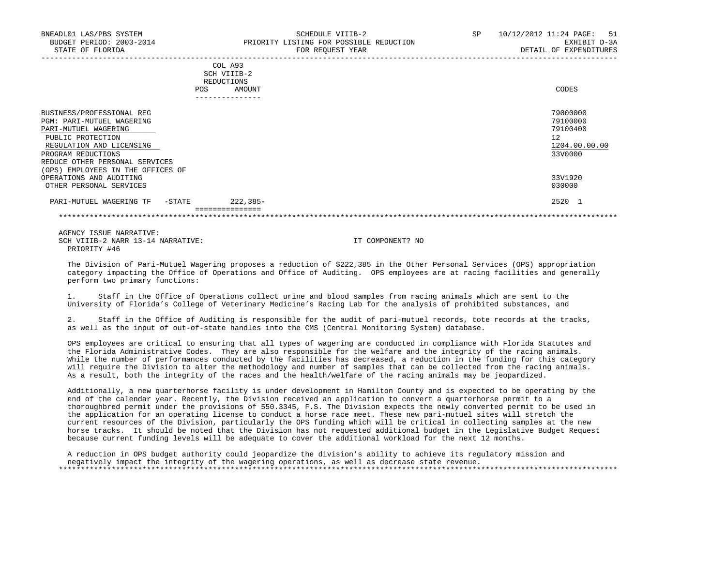|                                      | COL A93<br>SCH VIIIB-2<br>REDUCTIONS |               |
|--------------------------------------|--------------------------------------|---------------|
|                                      | AMOUNT<br><b>POS</b>                 | CODES         |
|                                      | ---------------                      |               |
| BUSINESS/PROFESSIONAL REG            |                                      | 79000000      |
| <b>PGM: PARI-MUTUEL WAGERING</b>     |                                      | 79100000      |
| PARI-MUTUEL WAGERING                 |                                      | 79100400      |
| PUBLIC PROTECTION                    |                                      | 12            |
| REGULATION AND LICENSING             |                                      | 1204.00.00.00 |
| PROGRAM REDUCTIONS                   |                                      | 33V0000       |
| REDUCE OTHER PERSONAL SERVICES       |                                      |               |
| EMPLOYEES IN THE OFFICES OF<br>(OPS) |                                      |               |
| OPERATIONS AND AUDITING              |                                      | 33V1920       |
| OTHER PERSONAL SERVICES              |                                      | 030000        |
| PARI-MUTUEL WAGERING TF<br>$-$ STATE | $222, 385 -$                         | 2520 1        |
|                                      | ===============                      |               |

 AGENCY ISSUE NARRATIVE: SCH VIIIB-2 NARR 13-14 NARRATIVE: IT COMPONENT? NO PRIORITY #46

 The Division of Pari-Mutuel Wagering proposes a reduction of \$222,385 in the Other Personal Services (OPS) appropriation category impacting the Office of Operations and Office of Auditing. OPS employees are at racing facilities and generally perform two primary functions:

 1. Staff in the Office of Operations collect urine and blood samples from racing animals which are sent to the University of Florida's College of Veterinary Medicine's Racing Lab for the analysis of prohibited substances, and

 2. Staff in the Office of Auditing is responsible for the audit of pari-mutuel records, tote records at the tracks, as well as the input of out-of-state handles into the CMS (Central Monitoring System) database.

 OPS employees are critical to ensuring that all types of wagering are conducted in compliance with Florida Statutes and the Florida Administrative Codes. They are also responsible for the welfare and the integrity of the racing animals. While the number of performances conducted by the facilities has decreased, a reduction in the funding for this category will require the Division to alter the methodology and number of samples that can be collected from the racing animals. As a result, both the integrity of the races and the health/welfare of the racing animals may be jeopardized.

 Additionally, a new quarterhorse facility is under development in Hamilton County and is expected to be operating by the end of the calendar year. Recently, the Division received an application to convert a quarterhorse permit to a thoroughbred permit under the provisions of 550.3345, F.S. The Division expects the newly converted permit to be used in the application for an operating license to conduct a horse race meet. These new pari-mutuel sites will stretch the current resources of the Division, particularly the OPS funding which will be critical in collecting samples at the new horse tracks. It should be noted that the Division has not requested additional budget in the Legislative Budget Request because current funding levels will be adequate to cover the additional workload for the next 12 months.

 A reduction in OPS budget authority could jeopardize the division's ability to achieve its regulatory mission and negatively impact the integrity of the wagering operations, as well as decrease state revenue. \*\*\*\*\*\*\*\*\*\*\*\*\*\*\*\*\*\*\*\*\*\*\*\*\*\*\*\*\*\*\*\*\*\*\*\*\*\*\*\*\*\*\*\*\*\*\*\*\*\*\*\*\*\*\*\*\*\*\*\*\*\*\*\*\*\*\*\*\*\*\*\*\*\*\*\*\*\*\*\*\*\*\*\*\*\*\*\*\*\*\*\*\*\*\*\*\*\*\*\*\*\*\*\*\*\*\*\*\*\*\*\*\*\*\*\*\*\*\*\*\*\*\*\*\*\*\*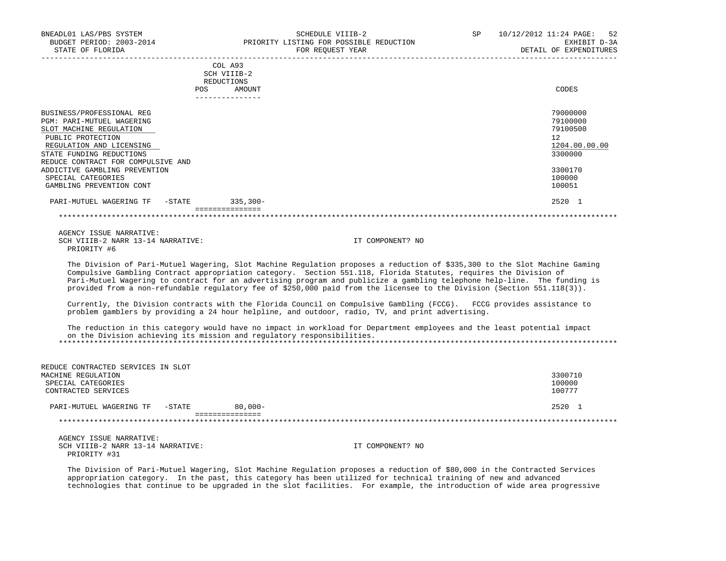| BNEADL01 LAS/PBS SYSTEM<br>BUDGET PERIOD: 2003-2014<br>STATE OF FLORIDA |            | SCHEDULE VIIIB-2<br>PRIORITY LISTING FOR POSSIBLE REDUCTION<br>FOR REQUEST YEAR | SP. | 10/12/2012 11:24 PAGE: 52<br>EXHIBIT D-3A<br>DETAIL OF EXPENDITURES |
|-------------------------------------------------------------------------|------------|---------------------------------------------------------------------------------|-----|---------------------------------------------------------------------|
|                                                                         | <b>POS</b> | COL A93<br>SCH VIIIB-2<br>REDUCTIONS<br>AMOUNT                                  |     | CODES                                                               |
|                                                                         |            |                                                                                 |     |                                                                     |
| BUSINESS/PROFESSIONAL REG                                               |            |                                                                                 |     | 79000000                                                            |

| PARI-MUTUEL WAGERING TF<br>-STATE                                               | $335,300-$ | 2520 1           |
|---------------------------------------------------------------------------------|------------|------------------|
| ADDICTIVE GAMBLING PREVENTION<br>SPECIAL CATEGORIES<br>GAMBLING PREVENTION CONT |            | 100000<br>100051 |
| REDUCE CONTRACT FOR COMPULSIVE AND                                              |            | 3300170          |
| STATE FUNDING REDUCTIONS                                                        |            | 3300000          |
| REGULATION AND LICENSING                                                        |            | 1204.00.00.00    |
| PUBLIC PROTECTION                                                               |            | 12               |
| SLOT MACHINE REGULATION                                                         |            | 79100500         |
| PGM: PARI-MUTUEL WAGERING                                                       |            | 79100000         |

 AGENCY ISSUE NARRATIVE: SCH VIIIB-2 NARR 13-14 NARRATIVE: IT COMPONENT? NO PRIORITY #6

 The Division of Pari-Mutuel Wagering, Slot Machine Regulation proposes a reduction of \$335,300 to the Slot Machine Gaming Compulsive Gambling Contract appropriation category. Section 551.118, Florida Statutes, requires the Division of Pari-Mutuel Wagering to contract for an advertising program and publicize a gambling telephone help-line. The funding is provided from a non-refundable regulatory fee of \$250,000 paid from the licensee to the Division (Section 551.118(3)).

 Currently, the Division contracts with the Florida Council on Compulsive Gambling (FCCG). FCCG provides assistance to problem gamblers by providing a 24 hour helpline, and outdoor, radio, TV, and print advertising.

 The reduction in this category would have no impact in workload for Department employees and the least potential impact on the Division achieving its mission and regulatory responsibilities. \*\*\*\*\*\*\*\*\*\*\*\*\*\*\*\*\*\*\*\*\*\*\*\*\*\*\*\*\*\*\*\*\*\*\*\*\*\*\*\*\*\*\*\*\*\*\*\*\*\*\*\*\*\*\*\*\*\*\*\*\*\*\*\*\*\*\*\*\*\*\*\*\*\*\*\*\*\*\*\*\*\*\*\*\*\*\*\*\*\*\*\*\*\*\*\*\*\*\*\*\*\*\*\*\*\*\*\*\*\*\*\*\*\*\*\*\*\*\*\*\*\*\*\*\*\*\*

| REDUCE CONTRACTED SERVICES IN SLOT |            |                  |            |
|------------------------------------|------------|------------------|------------|
| MACHINE REGULATION                 |            |                  | 3300710    |
| SPECIAL CATEGORIES                 |            |                  | 100000     |
| CONTRACTED SERVICES                |            |                  | 100777     |
| -STATE<br>PARI-MUTUEL WAGERING TF  | $80.000 -$ |                  | $2520 - 1$ |
|                                    |            |                  |            |
|                                    |            |                  |            |
| AGENCY ISSUE NARRATIVE:            |            |                  |            |
| SCH VIIIB-2 NARR 13-14 NARRATIVE:  |            | IT COMPONENT? NO |            |
| PRIORITY #31                       |            |                  |            |

 The Division of Pari-Mutuel Wagering, Slot Machine Regulation proposes a reduction of \$80,000 in the Contracted Services appropriation category. In the past, this category has been utilized for technical training of new and advanced technologies that continue to be upgraded in the slot facilities. For example, the introduction of wide area progressive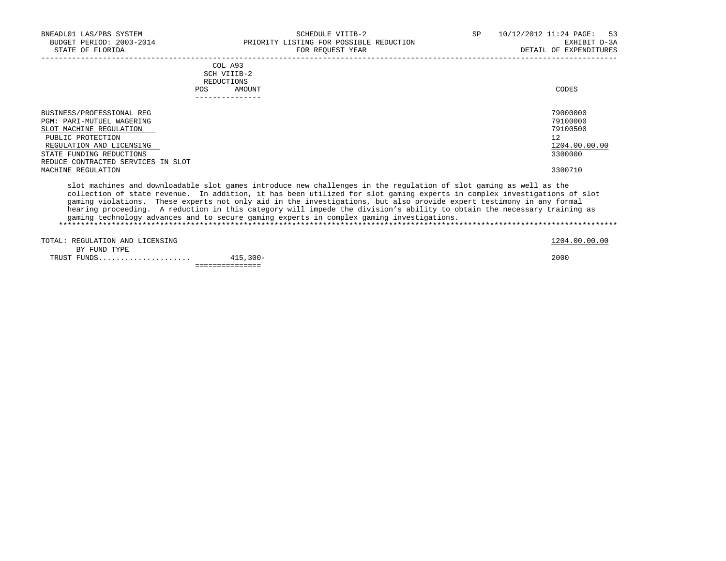| BNEADL01 LAS/PBS SYSTEM<br>BUDGET PERIOD: 2003-2014<br>STATE OF FLORIDA                                       | SCHEDULE VIIIB-2<br>PRIORITY LISTING FOR POSSIBLE REDUCTION<br>FOR REQUEST YEAR | 10/12/2012 11:24 PAGE: 53<br><b>SP</b><br>EXHIBIT D-3A<br>DETAIL OF EXPENDITURES |
|---------------------------------------------------------------------------------------------------------------|---------------------------------------------------------------------------------|----------------------------------------------------------------------------------|
|                                                                                                               | COL A93<br>SCH VIIIB-2<br>REDUCTIONS<br><b>POS</b><br>AMOUNT<br>-------------   | CODES                                                                            |
| BUSINESS/PROFESSIONAL REG<br><b>PGM: PARI-MUTUEL WAGERING</b><br>SLOT MACHINE REGULATION<br>PUBLIC PROTECTION |                                                                                 | 79000000<br>79100000<br>79100500<br>12                                           |

REGULATION AND LICENSING 1204.00.00 UNITAL SERVICE SUPERINTION AND LICENSING 1204.00.00.00 UNITAL SERVICE SUPERING 1204.00.00.00 UNITAL SERVICE SUPERING 13300000 UNITAL SERVICE SUPERING 13300000 UNITAL SERVICE SUPERING 139 STATE FUNDING REDUCTIONS REDUCE CONTRACTED SERVICES IN SLOT MACHINE REGULATION 3300710

 slot machines and downloadable slot games introduce new challenges in the regulation of slot gaming as well as the collection of state revenue. In addition, it has been utilized for slot gaming experts in complex investigations of slot gaming violations. These experts not only aid in the investigations, but also provide expert testimony in any formal hearing proceeding. A reduction in this category will impede the division's ability to obtain the necessary training as gaming technology advances and to secure gaming experts in complex gaming investigations. \*\*\*\*\*\*\*\*\*\*\*\*\*\*\*\*\*\*\*\*\*\*\*\*\*\*\*\*\*\*\*\*\*\*\*\*\*\*\*\*\*\*\*\*\*\*\*\*\*\*\*\*\*\*\*\*\*\*\*\*\*\*\*\*\*\*\*\*\*\*\*\*\*\*\*\*\*\*\*\*\*\*\*\*\*\*\*\*\*\*\*\*\*\*\*\*\*\*\*\*\*\*\*\*\*\*\*\*\*\*\*\*\*\*\*\*\*\*\*\*\*\*\*\*\*\*\*

TOTAL: REGULATION AND LICENSING 1204.00.00 CONTROLLED AND LICENSING 1204.00.00 CONTROLLED AND LICENSING

 BY FUND TYPE TRUST FUNDS..................... 415,300- 2000 ===============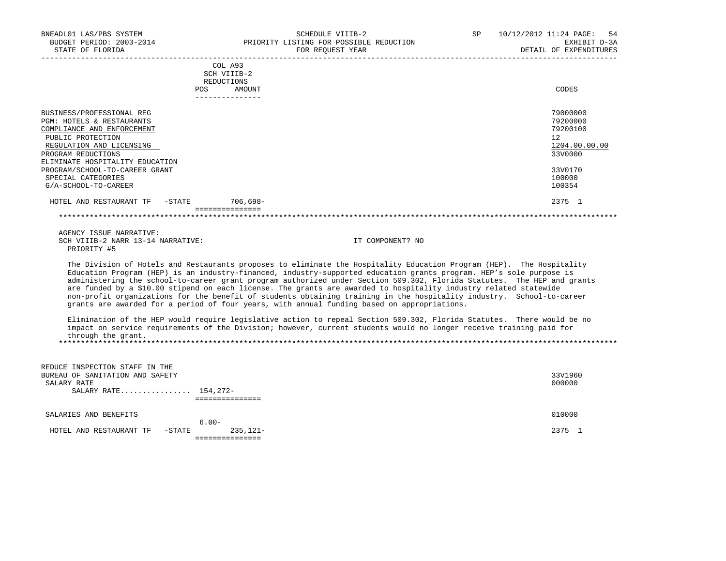| SCHEDULE VIIIB-2<br>PRIORITY LISTING FOR POSSIBLE REDUCTION<br>FOR REQUEST YEAR | -54<br>10/12/2012 11:24 PAGE:<br>SP<br>EXHIBIT D-3A<br>DETAIL OF EXPENDITURES   |
|---------------------------------------------------------------------------------|---------------------------------------------------------------------------------|
| COL A93<br>SCH VIIIB-2<br>REDUCTIONS<br>POS<br>AMOUNT                           | CODES                                                                           |
|                                                                                 | 79000000<br>79200000<br>79200100<br>12 <sup>°</sup><br>1204.00.00.00<br>33V0000 |
|                                                                                 | 33V0170<br>100000<br>100354                                                     |
| 706,698-<br>HOTEL AND RESTAURANT TF -STATE                                      | 2375 1                                                                          |
|                                                                                 |                                                                                 |

 AGENCY ISSUE NARRATIVE: SCH VIIIB-2 NARR 13-14 NARRATIVE: IT COMPONENT? NO PRIORITY #5

 The Division of Hotels and Restaurants proposes to eliminate the Hospitality Education Program (HEP). The Hospitality Education Program (HEP) is an industry-financed, industry-supported education grants program. HEP's sole purpose is administering the school-to-career grant program authorized under Section 509.302, Florida Statutes. The HEP and grants are funded by a \$10.00 stipend on each license. The grants are awarded to hospitality industry related statewide non-profit organizations for the benefit of students obtaining training in the hospitality industry. School-to-career grants are awarded for a period of four years, with annual funding based on appropriations.

 Elimination of the HEP would require legislative action to repeal Section 509.302, Florida Statutes. There would be no impact on service requirements of the Division; however, current students would no longer receive training paid for through the grant. \*\*\*\*\*\*\*\*\*\*\*\*\*\*\*\*\*\*\*\*\*\*\*\*\*\*\*\*\*\*\*\*\*\*\*\*\*\*\*\*\*\*\*\*\*\*\*\*\*\*\*\*\*\*\*\*\*\*\*\*\*\*\*\*\*\*\*\*\*\*\*\*\*\*\*\*\*\*\*\*\*\*\*\*\*\*\*\*\*\*\*\*\*\*\*\*\*\*\*\*\*\*\*\*\*\*\*\*\*\*\*\*\*\*\*\*\*\*\*\*\*\*\*\*\*\*\*

| REDUCE INSPECTION STAFF IN THE                    |         |
|---------------------------------------------------|---------|
| BUREAU OF SANITATION AND SAFETY                   | 33V1960 |
| SALARY RATE                                       | 000000  |
| SALARY RATE 154,272-                              |         |
|                                                   |         |
| SALARIES AND BENEFITS                             | 010000  |
| $6.00 -$                                          |         |
| $235, 121 -$<br>-STATE<br>HOTEL AND RESTAURANT TF | 2375    |
|                                                   |         |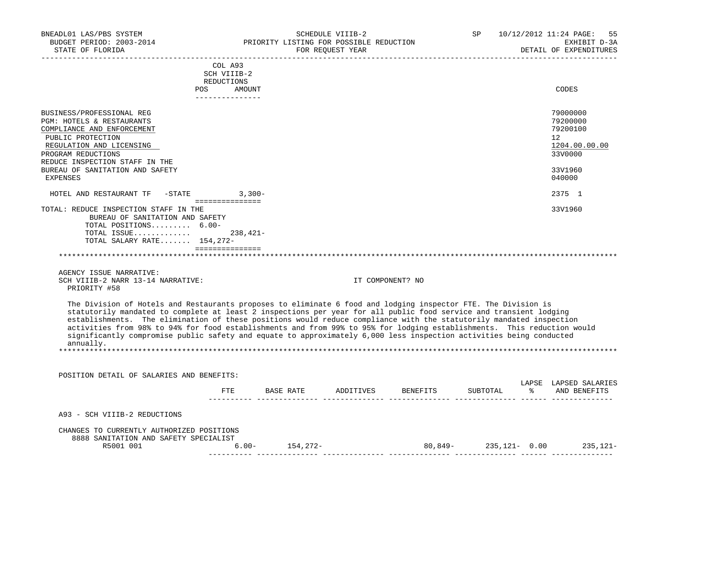| BNEADL01 LAS/PBS SYSTEM<br>BUDGET PERIOD: 2003-2014<br>STATE OF FLORIDA                                                                                                                                                                                                                                                                                                                                                                                                                                                                                                                                                    |                                                                       | PRIORITY LISTING FOR POSSIBLE REDUCTION | SCHEDULE VIIIB-2<br>FOR REOUEST YEAR | _______________________                   |  | SP 10/12/2012 11:24 PAGE:<br>55<br>EXHIBIT D-3A<br>DETAIL OF EXPENDITURES               |
|----------------------------------------------------------------------------------------------------------------------------------------------------------------------------------------------------------------------------------------------------------------------------------------------------------------------------------------------------------------------------------------------------------------------------------------------------------------------------------------------------------------------------------------------------------------------------------------------------------------------------|-----------------------------------------------------------------------|-----------------------------------------|--------------------------------------|-------------------------------------------|--|-----------------------------------------------------------------------------------------|
|                                                                                                                                                                                                                                                                                                                                                                                                                                                                                                                                                                                                                            | COL A93<br>SCH VIIIB-2<br>REDUCTIONS<br>POS AMOUNT<br>--------------- |                                         |                                      |                                           |  | CODES                                                                                   |
| BUSINESS/PROFESSIONAL REG<br>PGM: HOTELS & RESTAURANTS<br>COMPLIANCE AND ENFORCEMENT<br>PUBLIC PROTECTION<br>REGULATION AND LICENSING<br>PROGRAM REDUCTIONS<br>REDUCE INSPECTION STAFF IN THE<br>BUREAU OF SANITATION AND SAFETY<br>EXPENSES                                                                                                                                                                                                                                                                                                                                                                               |                                                                       |                                         |                                      |                                           |  | 79000000<br>79200000<br>79200100<br>12<br>1204.00.00.00<br>33V0000<br>33V1960<br>040000 |
| HOTEL AND RESTAURANT TF -STATE 3,300-                                                                                                                                                                                                                                                                                                                                                                                                                                                                                                                                                                                      |                                                                       |                                         |                                      |                                           |  | 2375 1                                                                                  |
| TOTAL: REDUCE INSPECTION STAFF IN THE<br>BUREAU OF SANITATION AND SAFETY<br>TOTAL POSITIONS 6.00-<br>TOTAL ISSUE<br>TOTAL SALARY RATE 154,272-<br>and a complete the contract of the contract of the contract of the contract of the contract of the contract of                                                                                                                                                                                                                                                                                                                                                           | $238,421-$                                                            |                                         |                                      |                                           |  | 33V1960                                                                                 |
| AGENCY ISSUE NARRATIVE:<br>SCH VIIIB-2 NARR 13-14 NARRATIVE:<br>PRIORITY #58                                                                                                                                                                                                                                                                                                                                                                                                                                                                                                                                               |                                                                       |                                         |                                      | IT COMPONENT? NO                          |  |                                                                                         |
| The Division of Hotels and Restaurants proposes to eliminate 6 food and lodging inspector FTE. The Division is<br>statutorily mandated to complete at least 2 inspections per year for all public food service and transient lodging<br>establishments. The elimination of these positions would reduce compliance with the statutorily mandated inspection<br>activities from 98% to 94% for food establishments and from 99% to 95% for lodging establishments. This reduction would<br>significantly compromise public safety and equate to approximately 6,000 less inspection activities being conducted<br>annually. |                                                                       |                                         |                                      |                                           |  |                                                                                         |
| POSITION DETAIL OF SALARIES AND BENEFITS:                                                                                                                                                                                                                                                                                                                                                                                                                                                                                                                                                                                  |                                                                       |                                         |                                      |                                           |  |                                                                                         |
|                                                                                                                                                                                                                                                                                                                                                                                                                                                                                                                                                                                                                            |                                                                       |                                         |                                      | FTE BASE RATE ADDITIVES BENEFITS SUBTOTAL |  | LAPSE LAPSED SALARIES<br>% AND BENEFITS                                                 |
| A93 - SCH VIIIB-2 REDUCTIONS                                                                                                                                                                                                                                                                                                                                                                                                                                                                                                                                                                                               |                                                                       |                                         |                                      |                                           |  |                                                                                         |
| CHANGES TO CURRENTLY AUTHORIZED POSITIONS<br>8888 SANITATION AND SAFETY SPECIALIST<br>R5001 001                                                                                                                                                                                                                                                                                                                                                                                                                                                                                                                            |                                                                       | $6.00 - 154,272 -$                      |                                      | $80,849 - 235,121 - 0.00$ 235,121-        |  |                                                                                         |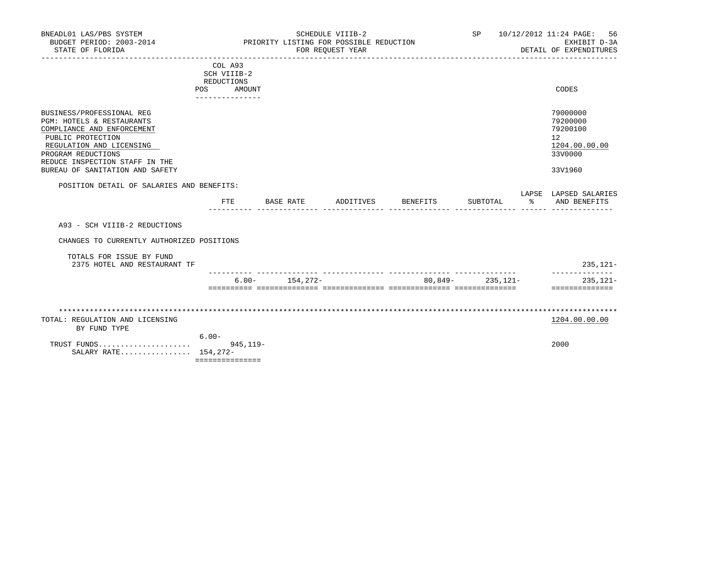| BNEADL01 LAS/PBS SYSTEM<br>BUDGET PERIOD: 2003-2014<br>STATE OF FLORIDA                                                                                                                                                          |                                                                          | PRIORITY LISTING FOR POSSIBLE REDUCTION | SCHEDULE VIIIB-2<br>FOR REOUEST YEAR |                 | SP                   | 10/12/2012 11:24 PAGE:<br>-56<br>EXHIBIT D-3A<br>DETAIL OF EXPENDITURES       |
|----------------------------------------------------------------------------------------------------------------------------------------------------------------------------------------------------------------------------------|--------------------------------------------------------------------------|-----------------------------------------|--------------------------------------|-----------------|----------------------|-------------------------------------------------------------------------------|
|                                                                                                                                                                                                                                  | COL A93<br>SCH VIIIB-2<br>REDUCTIONS<br>POS<br>AMOUNT<br>--------------- |                                         |                                      |                 |                      | CODES                                                                         |
| BUSINESS/PROFESSIONAL REG<br>PGM: HOTELS & RESTAURANTS<br>COMPLIANCE AND ENFORCEMENT<br>PUBLIC PROTECTION<br>REGULATION AND LICENSING<br>PROGRAM REDUCTIONS<br>REDUCE INSPECTION STAFF IN THE<br>BUREAU OF SANITATION AND SAFETY |                                                                          |                                         |                                      |                 |                      | 79000000<br>79200000<br>79200100<br>12<br>1204.00.00.00<br>33V0000<br>33V1960 |
| POSITION DETAIL OF SALARIES AND BENEFITS:                                                                                                                                                                                        |                                                                          |                                         |                                      |                 |                      | LAPSE LAPSED SALARIES                                                         |
|                                                                                                                                                                                                                                  | <b>FTE</b>                                                               | BASE RATE                               | ADDITIVES                            | <b>BENEFITS</b> | SUBTOTAL             | % AND BENEFITS                                                                |
| A93 - SCH VIIIB-2 REDUCTIONS                                                                                                                                                                                                     |                                                                          |                                         |                                      |                 |                      |                                                                               |
| CHANGES TO CURRENTLY AUTHORIZED POSITIONS                                                                                                                                                                                        |                                                                          |                                         |                                      |                 |                      |                                                                               |
| TOTALS FOR ISSUE BY FUND<br>2375 HOTEL AND RESTAURANT TF                                                                                                                                                                         |                                                                          |                                         |                                      |                 |                      | $235,121-$                                                                    |
|                                                                                                                                                                                                                                  |                                                                          | $6.00 - 154,272 -$                      |                                      |                 | $80.849 - 235.121 -$ | --------------<br>$235,121-$<br>---------------                               |
|                                                                                                                                                                                                                                  |                                                                          |                                         |                                      |                 |                      |                                                                               |
| TOTAL: REGULATION AND LICENSING<br>BY FUND TYPE                                                                                                                                                                                  |                                                                          |                                         |                                      |                 |                      | 1204.00.00.00                                                                 |
| SALARY RATE 154, 272-                                                                                                                                                                                                            | $6.00 -$<br>$945.119 -$<br>===============                               |                                         |                                      |                 |                      | 2000                                                                          |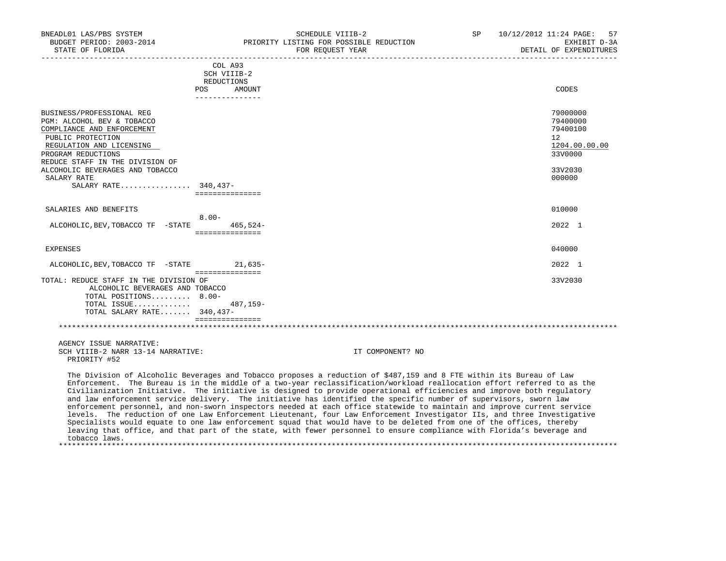| BNEADL01 LAS/PBS SYSTEM<br>STATE OF FLORIDA        |                             | SCHEDULE VIIIB-2<br>BUDGET PERIOD: 2003-2014 PRIORITY LISTING FOR POSSIBLE REDUCTION<br>FOR REOUEST YEAR                | SP | 10/12/2012 11:24 PAGE: 57<br>EXHIBIT D-3A<br>DETAIL OF EXPENDITURES |
|----------------------------------------------------|-----------------------------|-------------------------------------------------------------------------------------------------------------------------|----|---------------------------------------------------------------------|
|                                                    | COL A93                     |                                                                                                                         |    |                                                                     |
|                                                    | SCH VIIIB-2                 |                                                                                                                         |    |                                                                     |
|                                                    | REDUCTIONS<br>POS<br>AMOUNT |                                                                                                                         |    | CODES                                                               |
|                                                    | _______________             |                                                                                                                         |    |                                                                     |
|                                                    |                             |                                                                                                                         |    |                                                                     |
| BUSINESS/PROFESSIONAL REG                          |                             |                                                                                                                         |    | 79000000                                                            |
| PGM: ALCOHOL BEV & TOBACCO                         |                             |                                                                                                                         |    | 79400000                                                            |
| COMPLIANCE AND ENFORCEMENT                         |                             |                                                                                                                         |    | 79400100                                                            |
| PUBLIC PROTECTION                                  |                             |                                                                                                                         |    | 12                                                                  |
| REGULATION AND LICENSING                           |                             |                                                                                                                         |    | 1204.00.00.00                                                       |
| PROGRAM REDUCTIONS                                 |                             |                                                                                                                         |    | 33V0000                                                             |
| REDUCE STAFF IN THE DIVISION OF                    |                             |                                                                                                                         |    |                                                                     |
| ALCOHOLIC BEVERAGES AND TOBACCO                    |                             |                                                                                                                         |    | 33V2030                                                             |
| SALARY RATE                                        |                             |                                                                                                                         |    | 000000                                                              |
| SALARY RATE 340,437-                               |                             |                                                                                                                         |    |                                                                     |
|                                                    | ===============             |                                                                                                                         |    |                                                                     |
| SALARIES AND BENEFITS                              |                             |                                                                                                                         |    | 010000                                                              |
|                                                    | $8.00 -$                    |                                                                                                                         |    |                                                                     |
| ALCOHOLIC, BEV, TOBACCO TF - STATE                 | 465,524-                    |                                                                                                                         |    | 2022 1                                                              |
|                                                    | ===============             |                                                                                                                         |    |                                                                     |
|                                                    |                             |                                                                                                                         |    |                                                                     |
| <b>EXPENSES</b>                                    |                             |                                                                                                                         |    | 040000                                                              |
|                                                    |                             |                                                                                                                         |    |                                                                     |
| ALCOHOLIC, BEV, TOBACCO TF - STATE 21, 635-        |                             |                                                                                                                         |    | 2022 1                                                              |
|                                                    | ===============             |                                                                                                                         |    |                                                                     |
| TOTAL: REDUCE STAFF IN THE DIVISION OF             |                             |                                                                                                                         |    | 33V2030                                                             |
| ALCOHOLIC BEVERAGES AND TOBACCO                    |                             |                                                                                                                         |    |                                                                     |
| TOTAL POSITIONS 8.00-                              |                             |                                                                                                                         |    |                                                                     |
| TOTAL ISSUE 487,159-<br>TOTAL SALARY RATE 340,437- |                             |                                                                                                                         |    |                                                                     |
|                                                    | ================            |                                                                                                                         |    |                                                                     |
|                                                    |                             |                                                                                                                         |    |                                                                     |
|                                                    |                             |                                                                                                                         |    |                                                                     |
| AGENCY ISSUE NARRATIVE:                            |                             |                                                                                                                         |    |                                                                     |
| SCH VIIIB-2 NARR 13-14 NARRATIVE:                  |                             | IT COMPONENT? NO                                                                                                        |    |                                                                     |
| PRIORITY #52                                       |                             |                                                                                                                         |    |                                                                     |
|                                                    |                             |                                                                                                                         |    |                                                                     |
|                                                    |                             | The Division of Alcoholic Beverages and Tobacco proposes a reduction of \$487,159 and 8 FTE within its Bureau of Law    |    |                                                                     |
|                                                    |                             | Enforcement. The Bureau is in the middle of a two-year reclassification/workload reallocation effort referred to as the |    |                                                                     |
|                                                    |                             | Civilianization Initiative. The initiative is designed to provide operational efficiencies and improve both regulatory  |    |                                                                     |
|                                                    |                             | and law enforcement service delivery. The initiative has identified the specific number of supervisors, sworn law       |    |                                                                     |
|                                                    |                             | enforcement personnel, and non-sworn inspectors needed at each office statewide to maintain and improve current service |    |                                                                     |
|                                                    |                             | levels. The reduction of one Law Enforcement Lieutenant, four Law Enforcement Investigator IIs, and three Investigative |    |                                                                     |
|                                                    |                             | Specialists would equate to one law enforcement squad that would have to be deleted from one of the offices, thereby    |    |                                                                     |
|                                                    |                             | leaving that office, and that part of the state, with fewer personnel to ensure compliance with Florida's beverage and  |    |                                                                     |

tobacco laws.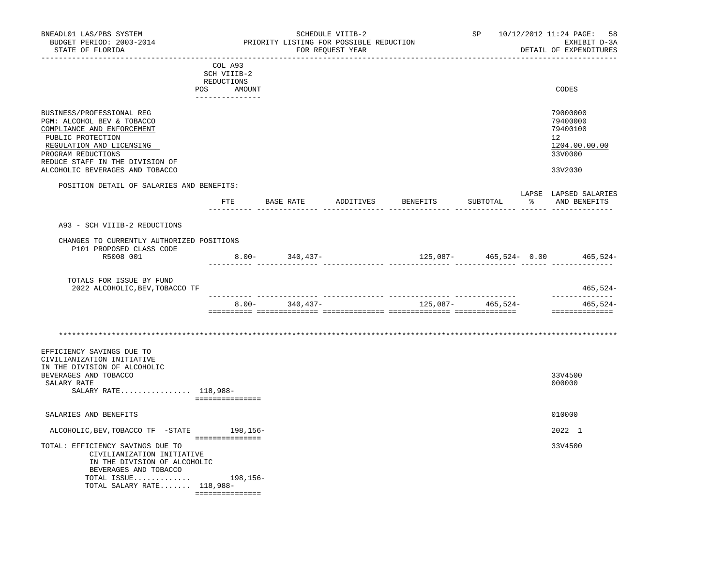| BNEADL01 LAS/PBS SYSTEM<br>BUDGET PERIOD: 2003-2014<br>STATE OF FLORIDA                                                                                                                                                            |                                                                       |          |                    | SCHEDULE VIIIB-2<br>PRIORITY LISTING FOR POSSIBLE REDUCTION<br>FOR REQUEST YEAR |                                        |                   | SP 10/12/2012 11:24 PAGE:<br>-58<br>EXHIBIT D-3A<br>DETAIL OF EXPENDITURES    |
|------------------------------------------------------------------------------------------------------------------------------------------------------------------------------------------------------------------------------------|-----------------------------------------------------------------------|----------|--------------------|---------------------------------------------------------------------------------|----------------------------------------|-------------------|-------------------------------------------------------------------------------|
| _________________________                                                                                                                                                                                                          | COL A93<br>SCH VIIIB-2<br>REDUCTIONS<br>POS AMOUNT<br>--------------- |          |                    |                                                                                 | _______________________________        |                   | CODES                                                                         |
| BUSINESS/PROFESSIONAL REG<br>PGM: ALCOHOL BEV & TOBACCO<br>COMPLIANCE AND ENFORCEMENT<br>PUBLIC PROTECTION<br>REGULATION AND LICENSING<br>PROGRAM REDUCTIONS<br>REDUCE STAFF IN THE DIVISION OF<br>ALCOHOLIC BEVERAGES AND TOBACCO |                                                                       |          |                    |                                                                                 |                                        |                   | 79000000<br>79400000<br>79400100<br>12<br>1204.00.00.00<br>33V0000<br>33V2030 |
| POSITION DETAIL OF SALARIES AND BENEFITS:                                                                                                                                                                                          | $_{\rm FTE}$                                                          |          |                    |                                                                                 | BASE RATE ADDITIVES BENEFITS           | SUBTOTAL          | LAPSE LAPSED SALARIES<br>% AND BENEFITS                                       |
| A93 - SCH VIIIB-2 REDUCTIONS<br>CHANGES TO CURRENTLY AUTHORIZED POSITIONS<br>P101 PROPOSED CLASS CODE<br>R5008 001                                                                                                                 |                                                                       |          | $8.00 - 340,437 -$ |                                                                                 | $125,087 - 465,524 - 0.00$ $465,524 -$ |                   |                                                                               |
| TOTALS FOR ISSUE BY FUND<br>2022 ALCOHOLIC, BEV, TOBACCO TF                                                                                                                                                                        |                                                                       |          |                    |                                                                                 |                                        |                   | $465, 524 -$                                                                  |
|                                                                                                                                                                                                                                    |                                                                       | $8.00 -$ | 340,437-           |                                                                                 |                                        | 125,087- 465,524- | --------------<br>465,524-<br>==============                                  |
| EFFICIENCY SAVINGS DUE TO<br>CIVILIANIZATION INITIATIVE<br>IN THE DIVISION OF ALCOHOLIC<br>BEVERAGES AND TOBACCO<br>SALARY RATE<br>SALARY RATE 118,988-                                                                            | ===============                                                       |          |                    |                                                                                 |                                        |                   | 33V4500<br>000000                                                             |
| SALARIES AND BENEFITS                                                                                                                                                                                                              |                                                                       |          |                    |                                                                                 |                                        |                   | 010000                                                                        |
| ALCOHOLIC, BEV, TOBACCO TF -STATE                                                                                                                                                                                                  | ===============                                                       | 198,156– |                    |                                                                                 |                                        |                   | 2022 1                                                                        |
| TOTAL: EFFICIENCY SAVINGS DUE TO<br>CIVILIANIZATION INITIATIVE<br>IN THE DIVISION OF ALCOHOLIC<br>BEVERAGES AND TOBACCO<br>TOTAL ISSUE<br>TOTAL SALARY RATE $118,988-$                                                             | 198,156-<br>- ================                                        |          |                    |                                                                                 |                                        |                   | 33V4500                                                                       |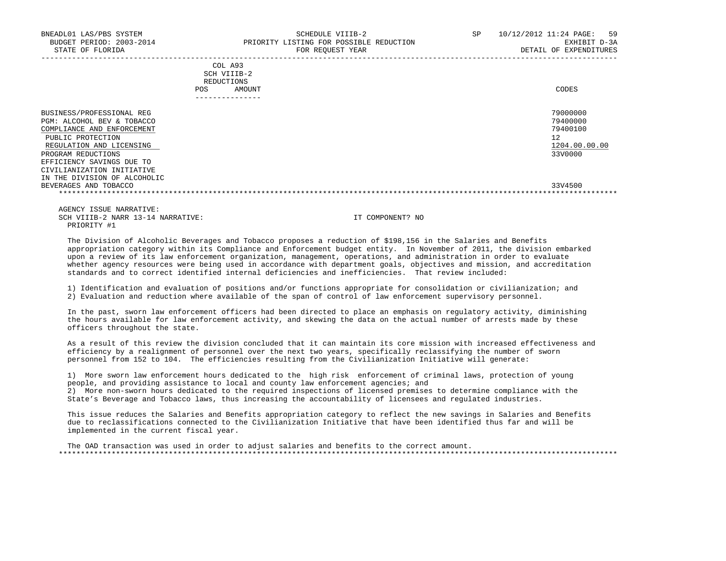| BNEADL01 LAS/PBS SYSTEM<br>BUDGET PERIOD: 2003-2014 |      | SCHEDULE VIIIB-2<br>PRIORITY LISTING FOR POSSIBLE REDUCTION | SP | 10/12/2012 11:24 PAGE: 59<br>EXHIBIT D-3A |
|-----------------------------------------------------|------|-------------------------------------------------------------|----|-------------------------------------------|
| STATE OF FLORIDA                                    |      | FOR REOUEST YEAR<br>COL A93<br>SCH VIIIB-2                  |    | DETAIL OF EXPENDITURES                    |
|                                                     |      | REDUCTIONS                                                  |    |                                           |
|                                                     | POS. | AMOUNT                                                      |    | CODES                                     |
|                                                     |      |                                                             |    |                                           |
| BUSINESS/PROFESSIONAL REG                           |      |                                                             |    | 79000000                                  |

| PGM: ALCOHOL BEV & TOBACCO   | 79400000      |
|------------------------------|---------------|
| COMPLIANCE AND ENFORCEMENT   | 79400100      |
| PUBLIC PROTECTION            | 12            |
| REGULATION AND LICENSING     | 1204.00.00.00 |
| PROGRAM REDUCTIONS           | 33V0000       |
| EFFICIENCY SAVINGS DUE TO    |               |
| CIVILIANIZATION INITIATIVE   |               |
| IN THE DIVISION OF ALCOHOLIC |               |
| BEVERAGES AND TOBACCO        | 33V4500       |
|                              |               |

 AGENCY ISSUE NARRATIVE: SCH VIIIB-2 NARR 13-14 NARRATIVE: IT COMPONENT? NO PRIORITY #1

 The Division of Alcoholic Beverages and Tobacco proposes a reduction of \$198,156 in the Salaries and Benefits appropriation category within its Compliance and Enforcement budget entity. In November of 2011, the division embarked upon a review of its law enforcement organization, management, operations, and administration in order to evaluate whether agency resources were being used in accordance with department goals, objectives and mission, and accreditation standards and to correct identified internal deficiencies and inefficiencies. That review included:

 1) Identification and evaluation of positions and/or functions appropriate for consolidation or civilianization; and 2) Evaluation and reduction where available of the span of control of law enforcement supervisory personnel.

 In the past, sworn law enforcement officers had been directed to place an emphasis on regulatory activity, diminishing the hours available for law enforcement activity, and skewing the data on the actual number of arrests made by these officers throughout the state.

 As a result of this review the division concluded that it can maintain its core mission with increased effectiveness and efficiency by a realignment of personnel over the next two years, specifically reclassifying the number of sworn personnel from 152 to 104. The efficiencies resulting from the Civilianization Initiative will generate:

 1) More sworn law enforcement hours dedicated to the high risk enforcement of criminal laws, protection of young people, and providing assistance to local and county law enforcement agencies; and 2) More non-sworn hours dedicated to the required inspections of licensed premises to determine compliance with the State's Beverage and Tobacco laws, thus increasing the accountability of licensees and regulated industries.

 This issue reduces the Salaries and Benefits appropriation category to reflect the new savings in Salaries and Benefits due to reclassifications connected to the Civilianization Initiative that have been identified thus far and will be implemented in the current fiscal year.

 The OAD transaction was used in order to adjust salaries and benefits to the correct amount. \*\*\*\*\*\*\*\*\*\*\*\*\*\*\*\*\*\*\*\*\*\*\*\*\*\*\*\*\*\*\*\*\*\*\*\*\*\*\*\*\*\*\*\*\*\*\*\*\*\*\*\*\*\*\*\*\*\*\*\*\*\*\*\*\*\*\*\*\*\*\*\*\*\*\*\*\*\*\*\*\*\*\*\*\*\*\*\*\*\*\*\*\*\*\*\*\*\*\*\*\*\*\*\*\*\*\*\*\*\*\*\*\*\*\*\*\*\*\*\*\*\*\*\*\*\*\*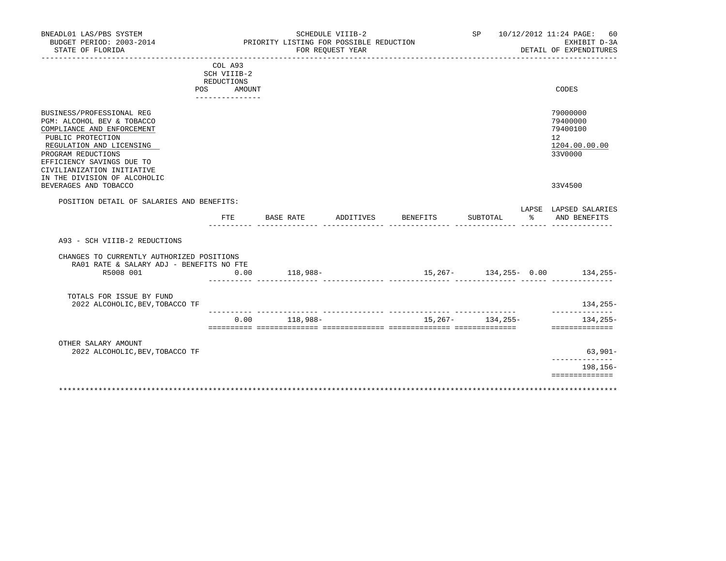| BNEADL01 LAS/PBS SYSTEM<br>BUDGET PERIOD: 2003-2014<br>STATE OF FLORIDA                                                                                                                                                                                 |                                                    | PRIORITY LISTING FOR POSSIBLE REDUCTION | SCHEDULE VIIIB-2<br>FOR REQUEST YEAR |          |                      | SP 10/12/2012 11:24 PAGE: 60<br>EXHIBIT D-3A<br>DETAIL OF EXPENDITURES          |
|---------------------------------------------------------------------------------------------------------------------------------------------------------------------------------------------------------------------------------------------------------|----------------------------------------------------|-----------------------------------------|--------------------------------------|----------|----------------------|---------------------------------------------------------------------------------|
|                                                                                                                                                                                                                                                         | COL A93<br>SCH VIIIB-2<br>REDUCTIONS<br>POS AMOUNT |                                         |                                      |          |                      | CODES                                                                           |
| BUSINESS/PROFESSIONAL REG<br>PGM: ALCOHOL BEV & TOBACCO<br>COMPLIANCE AND ENFORCEMENT<br>PUBLIC PROTECTION<br>REGULATION AND LICENSING<br>PROGRAM REDUCTIONS<br>EFFICIENCY SAVINGS DUE TO<br>CIVILIANIZATION INITIATIVE<br>IN THE DIVISION OF ALCOHOLIC | _______________                                    |                                         |                                      |          |                      | 79000000<br>79400000<br>79400100<br>12 <sup>°</sup><br>1204.00.00.00<br>33V0000 |
| BEVERAGES AND TOBACCO                                                                                                                                                                                                                                   |                                                    |                                         |                                      |          |                      | 33V4500                                                                         |
| POSITION DETAIL OF SALARIES AND BENEFITS:                                                                                                                                                                                                               |                                                    |                                         |                                      |          |                      | LAPSE LAPSED SALARIES                                                           |
|                                                                                                                                                                                                                                                         | FTE                                                | BASE RATE                               | ADDITIVES                            | BENEFITS | SUBTOTAL             | % AND BENEFITS                                                                  |
| A93 - SCH VIIIB-2 REDUCTIONS                                                                                                                                                                                                                            |                                                    |                                         |                                      |          |                      |                                                                                 |
| CHANGES TO CURRENTLY AUTHORIZED POSITIONS<br>RA01 RATE & SALARY ADJ - BENEFITS NO FTE<br>R5008 001                                                                                                                                                      | 0.00                                               | 118,988-                                |                                      |          |                      | 15, 267 - 134, 255 - 0.00 134, 255 -                                            |
|                                                                                                                                                                                                                                                         |                                                    |                                         |                                      |          |                      |                                                                                 |
| TOTALS FOR ISSUE BY FUND<br>2022 ALCOHOLIC, BEV, TOBACCO TF                                                                                                                                                                                             |                                                    |                                         |                                      |          |                      | 134,255-<br>--------------                                                      |
|                                                                                                                                                                                                                                                         | 0.00                                               | 118,988-                                |                                      |          | $15,267 - 134,255 -$ | 134,255-<br>==============                                                      |
| OTHER SALARY AMOUNT<br>2022 ALCOHOLIC, BEV, TOBACCO TF                                                                                                                                                                                                  |                                                    |                                         |                                      |          |                      | $63,901-$<br>______________                                                     |
|                                                                                                                                                                                                                                                         |                                                    |                                         |                                      |          |                      | 198,156-                                                                        |
|                                                                                                                                                                                                                                                         |                                                    |                                         |                                      |          |                      | ==============                                                                  |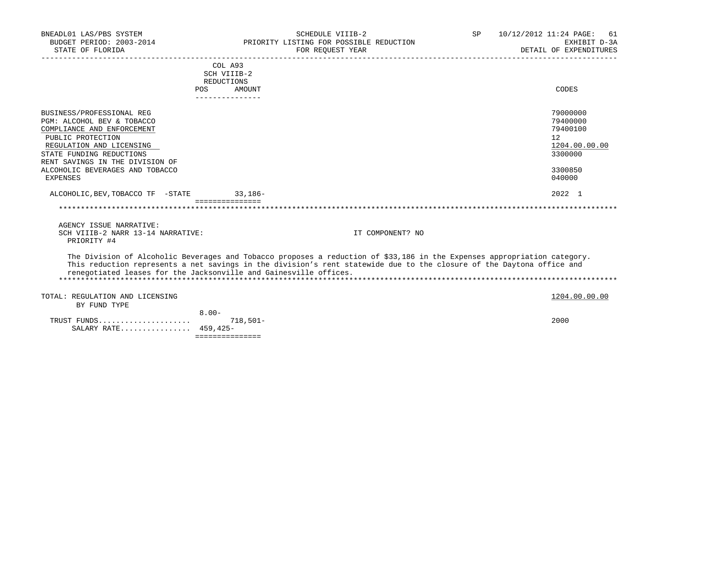| BNEADL01 LAS/PBS SYSTEM<br>BUDGET PERIOD: 2003-2014<br>STATE OF FLORIDA                                                                                                                                                                              | SCHEDULE VIIIB-2<br>PRIORITY LISTING FOR POSSIBLE REDUCTION<br>FOR REOUEST YEAR                                                                                                                                                                                                                                        | SP | 10/12/2012 11:24 PAGE:<br>61<br>EXHIBIT D-3A<br>DETAIL OF EXPENDITURES                  |
|------------------------------------------------------------------------------------------------------------------------------------------------------------------------------------------------------------------------------------------------------|------------------------------------------------------------------------------------------------------------------------------------------------------------------------------------------------------------------------------------------------------------------------------------------------------------------------|----|-----------------------------------------------------------------------------------------|
|                                                                                                                                                                                                                                                      | COL A93<br>SCH VIIIB-2<br>REDUCTIONS<br>POS<br>AMOUNT<br>----------------                                                                                                                                                                                                                                              |    | CODES                                                                                   |
| BUSINESS/PROFESSIONAL REG<br>PGM: ALCOHOL BEV & TOBACCO<br>COMPLIANCE AND ENFORCEMENT<br>PUBLIC PROTECTION<br>REGULATION AND LICENSING<br>STATE FUNDING REDUCTIONS<br>RENT SAVINGS IN THE DIVISION OF<br>ALCOHOLIC BEVERAGES AND TOBACCO<br>EXPENSES |                                                                                                                                                                                                                                                                                                                        |    | 79000000<br>79400000<br>79400100<br>12<br>1204.00.00.00<br>3300000<br>3300850<br>040000 |
| ALCOHOLIC, BEV, TOBACCO TF - STATE 33, 186-                                                                                                                                                                                                          | ================                                                                                                                                                                                                                                                                                                       |    | 2022 1                                                                                  |
| AGENCY ISSUE NARRATIVE:<br>SCH VIIIB-2 NARR 13-14 NARRATIVE:<br>PRIORITY #4                                                                                                                                                                          | IT COMPONENT? NO                                                                                                                                                                                                                                                                                                       |    |                                                                                         |
|                                                                                                                                                                                                                                                      | The Division of Alcoholic Beverages and Tobacco proposes a reduction of \$33,186 in the Expenses appropriation category.<br>This reduction represents a net savings in the division's rent statewide due to the closure of the Daytona office and<br>renegotiated leases for the Jacksonville and Gainesville offices. |    |                                                                                         |
| TOTAL: REGULATION AND LICENSING<br>BY FUND TYPE                                                                                                                                                                                                      |                                                                                                                                                                                                                                                                                                                        |    | 1204.00.00.00                                                                           |
| SALARY RATE 459,425-                                                                                                                                                                                                                                 | $8.00 -$<br>$718.501 -$<br>===============                                                                                                                                                                                                                                                                             |    | 2000                                                                                    |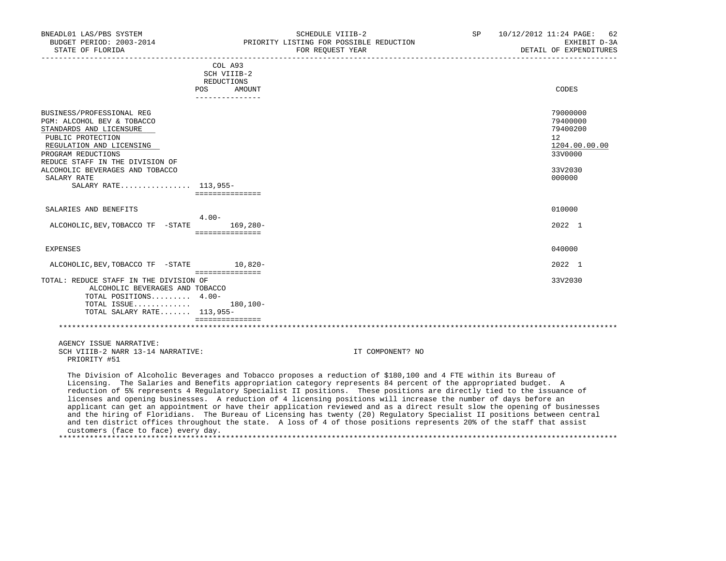| BUDGET PERIOD: 2003-2014<br>STATE OF FLORIDA                                                                                                                                                                                                                           |                                         | PRIORITY LISTING FOR POSSIBLE REDUCTION<br>FOR REQUEST YEAR                                                                                                                                                                                                                                                                                                                                                                                                                                                                                                                                                                                                                                                                                                                                                                                                        | EXHIBIT D-3A<br>DETAIL OF EXPENDITURES                                                  |
|------------------------------------------------------------------------------------------------------------------------------------------------------------------------------------------------------------------------------------------------------------------------|-----------------------------------------|--------------------------------------------------------------------------------------------------------------------------------------------------------------------------------------------------------------------------------------------------------------------------------------------------------------------------------------------------------------------------------------------------------------------------------------------------------------------------------------------------------------------------------------------------------------------------------------------------------------------------------------------------------------------------------------------------------------------------------------------------------------------------------------------------------------------------------------------------------------------|-----------------------------------------------------------------------------------------|
|                                                                                                                                                                                                                                                                        | COL A93<br>SCH VIIIB-2<br>REDUCTIONS    |                                                                                                                                                                                                                                                                                                                                                                                                                                                                                                                                                                                                                                                                                                                                                                                                                                                                    |                                                                                         |
|                                                                                                                                                                                                                                                                        | POS<br>AMOUNT<br>_______________        |                                                                                                                                                                                                                                                                                                                                                                                                                                                                                                                                                                                                                                                                                                                                                                                                                                                                    | CODES                                                                                   |
| BUSINESS/PROFESSIONAL REG<br>PGM: ALCOHOL BEV & TOBACCO<br>STANDARDS AND LICENSURE<br>PUBLIC PROTECTION<br>REGULATION AND LICENSING<br>PROGRAM REDUCTIONS<br>REDUCE STAFF IN THE DIVISION OF<br>ALCOHOLIC BEVERAGES AND TOBACCO<br>SALARY RATE<br>SALARY RATE 113,955- | ===============                         |                                                                                                                                                                                                                                                                                                                                                                                                                                                                                                                                                                                                                                                                                                                                                                                                                                                                    | 79000000<br>79400000<br>79400200<br>12<br>1204.00.00.00<br>33V0000<br>33V2030<br>000000 |
| SALARIES AND BENEFITS                                                                                                                                                                                                                                                  |                                         |                                                                                                                                                                                                                                                                                                                                                                                                                                                                                                                                                                                                                                                                                                                                                                                                                                                                    | 010000                                                                                  |
| ALCOHOLIC, BEV, TOBACCO TF - STATE                                                                                                                                                                                                                                     | $4.00 -$<br>169,280-<br>=============== |                                                                                                                                                                                                                                                                                                                                                                                                                                                                                                                                                                                                                                                                                                                                                                                                                                                                    | 2022 1                                                                                  |
| <b>EXPENSES</b>                                                                                                                                                                                                                                                        |                                         |                                                                                                                                                                                                                                                                                                                                                                                                                                                                                                                                                                                                                                                                                                                                                                                                                                                                    | 040000                                                                                  |
| ALCOHOLIC, BEV, TOBACCO TF - STATE 10, 820-                                                                                                                                                                                                                            | ===============                         |                                                                                                                                                                                                                                                                                                                                                                                                                                                                                                                                                                                                                                                                                                                                                                                                                                                                    | 2022 1                                                                                  |
| TOTAL: REDUCE STAFF IN THE DIVISION OF<br>ALCOHOLIC BEVERAGES AND TOBACCO<br>TOTAL POSITIONS 4.00-<br>TOTAL ISSUE<br>TOTAL SALARY RATE $113,955-$                                                                                                                      | 180,100-<br><b>Conceptedenters</b>      |                                                                                                                                                                                                                                                                                                                                                                                                                                                                                                                                                                                                                                                                                                                                                                                                                                                                    | 33V2030                                                                                 |
|                                                                                                                                                                                                                                                                        |                                         |                                                                                                                                                                                                                                                                                                                                                                                                                                                                                                                                                                                                                                                                                                                                                                                                                                                                    |                                                                                         |
| AGENCY ISSUE NARRATIVE:<br>SCH VIIIB-2 NARR 13-14 NARRATIVE:<br>PRIORITY #51                                                                                                                                                                                           |                                         | IT COMPONENT? NO                                                                                                                                                                                                                                                                                                                                                                                                                                                                                                                                                                                                                                                                                                                                                                                                                                                   |                                                                                         |
|                                                                                                                                                                                                                                                                        |                                         | The Division of Alcoholic Beverages and Tobacco proposes a reduction of \$180,100 and 4 FTE within its Bureau of<br>Licensing. The Salaries and Benefits appropriation category represents 84 percent of the appropriated budget. A<br>reduction of 5% represents 4 Regulatory Specialist II positions. These positions are directly tied to the issuance of<br>licenses and opening businesses. A reduction of 4 licensing positions will increase the number of days before an<br>applicant can get an appointment or have their application reviewed and as a direct result slow the opening of businesses<br>and the hiring of Floridians. The Bureau of Licensing has twenty (20) Regulatory Specialist II positions between central<br>and ten district offices throughout the state. A loss of 4 of those positions represents 20% of the staff that assist |                                                                                         |

BNEADL01 LAS/PBS SYSTEM SCHEDULE VIIIB-2 SP 10/12/2012 11:24 PAGE: 62

customers (face to face) every day.

\*\*\*\*\*\*\*\*\*\*\*\*\*\*\*\*\*\*\*\*\*\*\*\*\*\*\*\*\*\*\*\*\*\*\*\*\*\*\*\*\*\*\*\*\*\*\*\*\*\*\*\*\*\*\*\*\*\*\*\*\*\*\*\*\*\*\*\*\*\*\*\*\*\*\*\*\*\*\*\*\*\*\*\*\*\*\*\*\*\*\*\*\*\*\*\*\*\*\*\*\*\*\*\*\*\*\*\*\*\*\*\*\*\*\*\*\*\*\*\*\*\*\*\*\*\*\*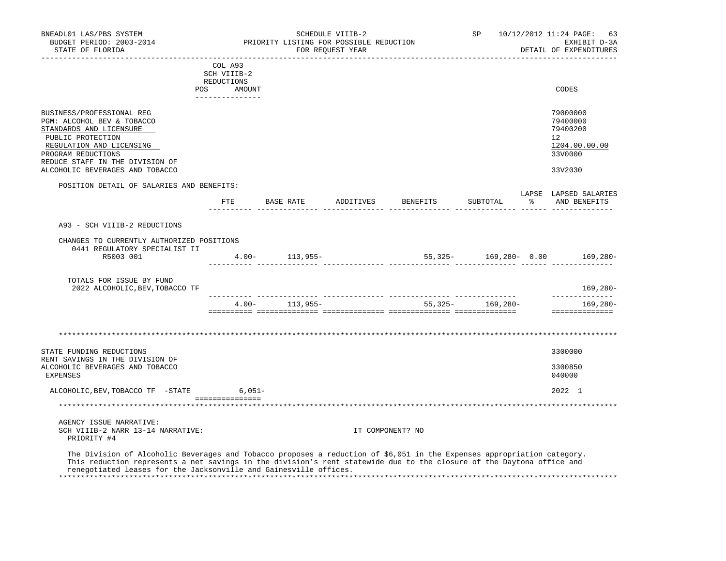| BNEADL01 LAS/PBS SYSTEM<br>BUDGET PERIOD: 2003-2014<br>STATE OF FLORIDA                                                                                                                                                                                                                                               |             |                 | SCHEDULE VIIIB-2<br>PRIORITY LISTING FOR POSSIBLE REDUCTION<br>FOR REOUEST YEAR |                  |                                  | SP                   |   | 10/12/2012 11:24 PAGE:<br>63<br>EXHIBIT D-3A<br>DETAIL OF EXPENDITURES |
|-----------------------------------------------------------------------------------------------------------------------------------------------------------------------------------------------------------------------------------------------------------------------------------------------------------------------|-------------|-----------------|---------------------------------------------------------------------------------|------------------|----------------------------------|----------------------|---|------------------------------------------------------------------------|
|                                                                                                                                                                                                                                                                                                                       | COL A93     |                 |                                                                                 |                  |                                  |                      |   |                                                                        |
|                                                                                                                                                                                                                                                                                                                       | SCH VIIIB-2 |                 |                                                                                 |                  |                                  |                      |   |                                                                        |
| POS                                                                                                                                                                                                                                                                                                                   | REDUCTIONS  | AMOUNT          |                                                                                 |                  |                                  |                      |   | CODES                                                                  |
|                                                                                                                                                                                                                                                                                                                       |             |                 |                                                                                 |                  |                                  |                      |   |                                                                        |
| BUSINESS/PROFESSIONAL REG<br>PGM: ALCOHOL BEV & TOBACCO<br>STANDARDS AND LICENSURE<br>PUBLIC PROTECTION<br>REGULATION AND LICENSING<br>PROGRAM REDUCTIONS<br>REDUCE STAFF IN THE DIVISION OF                                                                                                                          |             |                 |                                                                                 |                  |                                  |                      |   | 79000000<br>79400000<br>79400200<br>12<br>1204.00.00.00<br>33V0000     |
| ALCOHOLIC BEVERAGES AND TOBACCO                                                                                                                                                                                                                                                                                       |             |                 |                                                                                 |                  |                                  |                      |   | 33V2030                                                                |
| POSITION DETAIL OF SALARIES AND BENEFITS:                                                                                                                                                                                                                                                                             |             |                 |                                                                                 |                  |                                  |                      |   |                                                                        |
|                                                                                                                                                                                                                                                                                                                       |             |                 |                                                                                 |                  | FTE BASE RATE ADDITIVES BENEFITS | SUBTOTAL             | ៖ | LAPSE LAPSED SALARIES<br>AND BENEFITS                                  |
|                                                                                                                                                                                                                                                                                                                       |             |                 |                                                                                 |                  |                                  |                      |   |                                                                        |
| A93 - SCH VIIIB-2 REDUCTIONS                                                                                                                                                                                                                                                                                          |             |                 |                                                                                 |                  |                                  |                      |   |                                                                        |
| CHANGES TO CURRENTLY AUTHORIZED POSITIONS                                                                                                                                                                                                                                                                             |             |                 |                                                                                 |                  |                                  |                      |   |                                                                        |
| 0441 REGULATORY SPECIALIST II<br>R5003 001                                                                                                                                                                                                                                                                            |             |                 | $4.00 - 113,955 -$                                                              |                  |                                  |                      |   | 55,325- 169,280- 0.00 169,280-                                         |
|                                                                                                                                                                                                                                                                                                                       |             |                 |                                                                                 |                  |                                  |                      |   |                                                                        |
| TOTALS FOR ISSUE BY FUND<br>2022 ALCOHOLIC, BEV, TOBACCO TF                                                                                                                                                                                                                                                           |             |                 |                                                                                 |                  |                                  |                      |   | 169,280-                                                               |
|                                                                                                                                                                                                                                                                                                                       |             |                 | $4.00 - 113.955 -$                                                              |                  |                                  | 55, 325 - 169, 280 - |   | --------------<br>169,280-                                             |
|                                                                                                                                                                                                                                                                                                                       |             |                 |                                                                                 |                  |                                  |                      |   | ==============                                                         |
|                                                                                                                                                                                                                                                                                                                       |             |                 |                                                                                 |                  |                                  |                      |   |                                                                        |
| STATE FUNDING REDUCTIONS                                                                                                                                                                                                                                                                                              |             |                 |                                                                                 |                  |                                  |                      |   | 3300000                                                                |
| RENT SAVINGS IN THE DIVISION OF<br>ALCOHOLIC BEVERAGES AND TOBACCO<br><b>EXPENSES</b>                                                                                                                                                                                                                                 |             |                 |                                                                                 |                  |                                  |                      |   | 3300850<br>040000                                                      |
| ALCOHOLIC, BEV, TOBACCO TF -STATE                                                                                                                                                                                                                                                                                     |             | $6,051-$        |                                                                                 |                  |                                  |                      |   | 2022 1                                                                 |
|                                                                                                                                                                                                                                                                                                                       |             | =============== |                                                                                 |                  |                                  |                      |   |                                                                        |
| AGENCY ISSUE NARRATIVE:                                                                                                                                                                                                                                                                                               |             |                 |                                                                                 |                  |                                  |                      |   |                                                                        |
| SCH VIIIB-2 NARR 13-14 NARRATIVE:<br>PRIORITY #4                                                                                                                                                                                                                                                                      |             |                 |                                                                                 | IT COMPONENT? NO |                                  |                      |   |                                                                        |
| The Division of Alcoholic Beverages and Tobacco proposes a reduction of \$6,051 in the Expenses appropriation category.<br>This reduction represents a net savings in the division's rent statewide due to the closure of the Daytona office and<br>renegotiated leases for the Jacksonville and Gainesville offices. |             |                 |                                                                                 |                  |                                  |                      |   |                                                                        |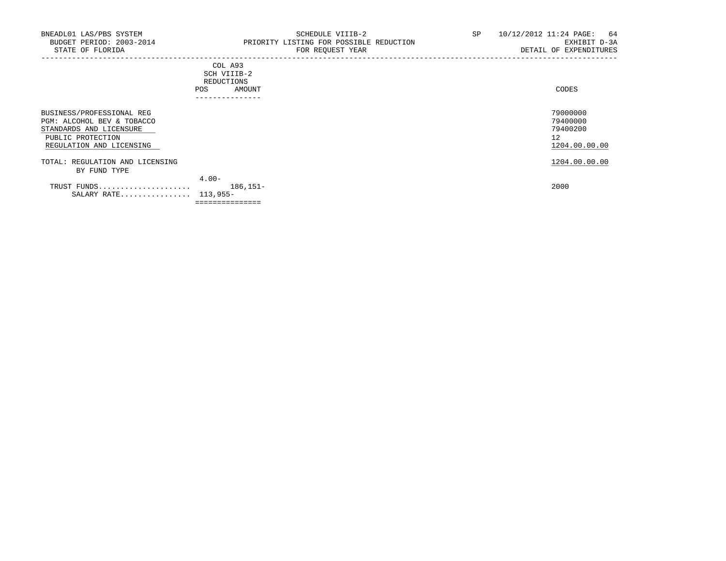| CODES |
|-------|
|       |
|       |
|       |
|       |
|       |

| BUSINESS/PROFESSIONAL REG       |                 | 79000000      |
|---------------------------------|-----------------|---------------|
| PGM: ALCOHOL BEV & TOBACCO      |                 | 79400000      |
| STANDARDS AND LICENSURE         |                 | 79400200      |
| PUBLIC PROTECTION               |                 | 12            |
| REGULATION AND LICENSING        |                 | 1204.00.00.00 |
| TOTAL: REGULATION AND LICENSING |                 | 1204.00.00.00 |
| BY FUND TYPE                    |                 |               |
|                                 | $4.00 -$        |               |
| TRUST FUNDS                     | 186,151-        | 2000          |
| SALARY RATE 113,955-            |                 |               |
|                                 | =============== |               |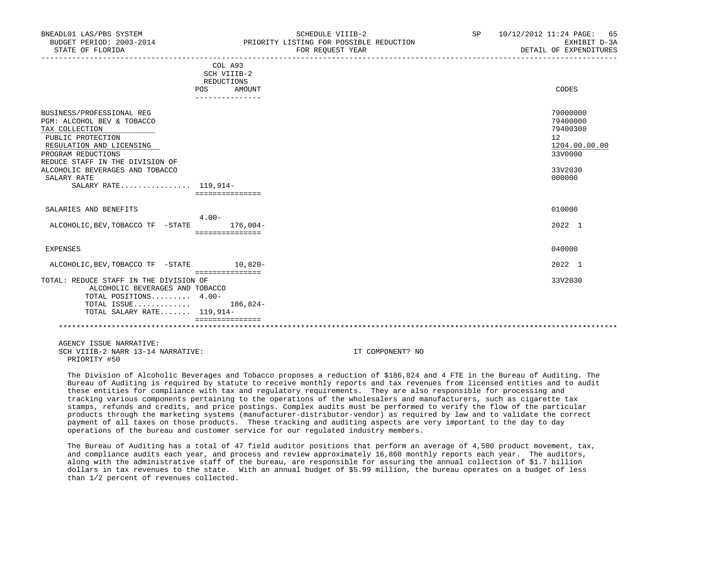| BUDGET PERIOD: 2003-2014<br>STATE OF FLORIDA                                                                                                                                                                                                                  |                                                                                 | PRIORITY LISTING FOR POSSIBLE REDUCTION<br>FOR REOUEST YEAR<br>____________________________________ | EXHIBIT D-3A<br>DETAIL OF EXPENDITURES                                                  |
|---------------------------------------------------------------------------------------------------------------------------------------------------------------------------------------------------------------------------------------------------------------|---------------------------------------------------------------------------------|-----------------------------------------------------------------------------------------------------|-----------------------------------------------------------------------------------------|
|                                                                                                                                                                                                                                                               | COL A93<br>SCH VIIIB-2<br>REDUCTIONS<br>AMOUNT<br><b>POS</b><br>--------------- |                                                                                                     | CODES                                                                                   |
| BUSINESS/PROFESSIONAL REG<br>PGM: ALCOHOL BEV & TOBACCO<br>TAX COLLECTION<br>PUBLIC PROTECTION<br>REGULATION AND LICENSING<br>PROGRAM REDUCTIONS<br>REDUCE STAFF IN THE DIVISION OF<br>ALCOHOLIC BEVERAGES AND TOBACCO<br>SALARY RATE<br>SALARY RATE 119,914- | ===============                                                                 |                                                                                                     | 79000000<br>79400000<br>79400300<br>12<br>1204.00.00.00<br>33V0000<br>33V2030<br>000000 |
| SALARIES AND BENEFITS                                                                                                                                                                                                                                         |                                                                                 |                                                                                                     | 010000                                                                                  |
| ALCOHOLIC, BEV, TOBACCO TF - STATE 176, 004-                                                                                                                                                                                                                  | $4.00 -$<br>===============                                                     |                                                                                                     | 2022 1                                                                                  |
| EXPENSES                                                                                                                                                                                                                                                      |                                                                                 |                                                                                                     | 040000                                                                                  |
| ALCOHOLIC, BEV, TOBACCO TF - STATE 10, 820-                                                                                                                                                                                                                   |                                                                                 |                                                                                                     | 2022 1                                                                                  |
| TOTAL: REDUCE STAFF IN THE DIVISION OF<br>ALCOHOLIC BEVERAGES AND TOBACCO<br>TOTAL POSITIONS 4.00-<br>TOTAL ISSUE 186,824-<br>TOTAL SALARY RATE 119,914-                                                                                                      | ===============<br>===============                                              |                                                                                                     | 33V2030                                                                                 |
|                                                                                                                                                                                                                                                               |                                                                                 |                                                                                                     |                                                                                         |
| AGENCY ISSUE NARRATIVE:<br>SCH VIIIB-2 NARR 13-14 NARRATIVE:                                                                                                                                                                                                  |                                                                                 | IT COMPONENT? NO                                                                                    |                                                                                         |

BNEADL01 LAS/PBS SYSTEM SCHEDULE VIIIB-2 SP 10/12/2012 11:24 PAGE: 65

 The Division of Alcoholic Beverages and Tobacco proposes a reduction of \$186,824 and 4 FTE in the Bureau of Auditing. The Bureau of Auditing is required by statute to receive monthly reports and tax revenues from licensed entities and to audit these entities for compliance with tax and regulatory requirements. They are also responsible for processing and tracking various components pertaining to the operations of the wholesalers and manufacturers, such as cigarette tax stamps, refunds and credits, and price postings. Complex audits must be performed to verify the flow of the particular products through the marketing systems (manufacturer-distributor-vendor) as required by law and to validate the correct payment of all taxes on those products. These tracking and auditing aspects are very important to the day to day operations of the bureau and customer service for our regulated industry members.

PRIORITY #50

 The Bureau of Auditing has a total of 47 field auditor positions that perform an average of 4,500 product movement, tax, and compliance audits each year, and process and review approximately 16,860 monthly reports each year. The auditors, along with the administrative staff of the bureau, are responsible for assuring the annual collection of \$1.7 billion dollars in tax revenues to the state. With an annual budget of \$5.99 million, the bureau operates on a budget of less than 1/2 percent of revenues collected.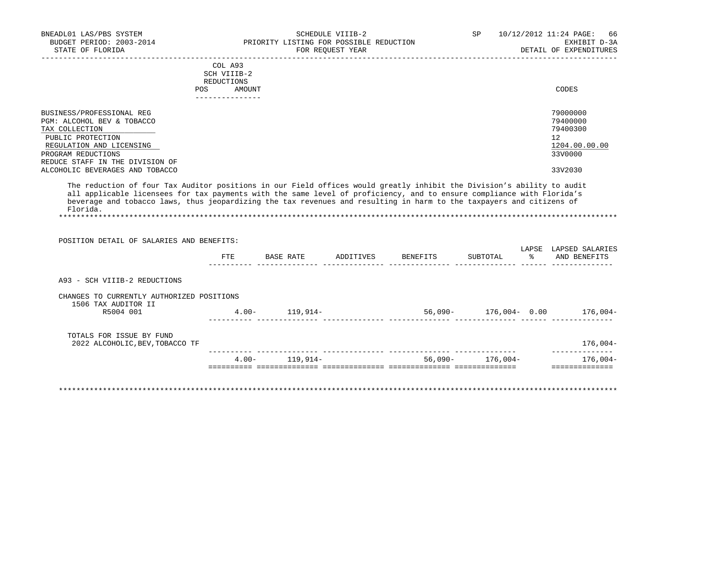|                            |     | COL A93<br>SCH VIIIB-2<br>REDUCTIONS |          |
|----------------------------|-----|--------------------------------------|----------|
|                            | POS | AMOUNT                               | CODES    |
|                            |     | ------------                         |          |
| BUSINESS/PROFESSIONAL REG  |     |                                      | 79000000 |
| PGM: ALCOHOL BEV & TOBACCO |     |                                      | 79400000 |

| PGM: ALCOHOL BEV & TOBACCO      | 79400000      |
|---------------------------------|---------------|
| TAX COLLECTION                  | 79400300      |
| PUBLIC PROTECTION               | 12            |
| REGULATION AND LICENSING        | 1204.00.00.00 |
| PROGRAM REDUCTIONS              | 33V0000       |
| REDUCE STAFF IN THE DIVISION OF |               |
| ALCOHOLIC BEVERAGES AND TOBACCO | 33V2030       |

 The reduction of four Tax Auditor positions in our Field offices would greatly inhibit the Division's ability to audit all applicable licensees for tax payments with the same level of proficiency, and to ensure compliance with Florida's beverage and tobacco laws, thus jeopardizing the tax revenues and resulting in harm to the taxpayers and citizens of Florida.

\*\*\*\*\*\*\*\*\*\*\*\*\*\*\*\*\*\*\*\*\*\*\*\*\*\*\*\*\*\*\*\*\*\*\*\*\*\*\*\*\*\*\*\*\*\*\*\*\*\*\*\*\*\*\*\*\*\*\*\*\*\*\*\*\*\*\*\*\*\*\*\*\*\*\*\*\*\*\*\*\*\*\*\*\*\*\*\*\*\*\*\*\*\*\*\*\*\*\*\*\*\*\*\*\*\*\*\*\*\*\*\*\*\*\*\*\*\*\*\*\*\*\*\*\*\*\*

| POSITION DETAIL OF SALARIES AND BENEFITS:                        | FTE      | BASE RATE | ADDITIVES | BENEFITS | SUBTOTAL      | LAPSE<br>$\epsilon$ | LAPSED SALARIES<br>AND BENEFITS |
|------------------------------------------------------------------|----------|-----------|-----------|----------|---------------|---------------------|---------------------------------|
|                                                                  |          |           |           |          |               |                     |                                 |
| A93 - SCH VIIIB-2 REDUCTIONS                                     |          |           |           |          |               |                     |                                 |
| CHANGES TO CURRENTLY AUTHORIZED POSITIONS<br>1506 TAX AUDITOR II |          |           |           |          |               |                     |                                 |
| R5004 001                                                        | $4.00 -$ | 119,914-  |           | 56,090-  | 176,004- 0.00 |                     | 176,004-                        |
| TOTALS FOR ISSUE BY FUND<br>2022 ALCOHOLIC, BEV, TOBACCO TF      |          |           |           |          |               |                     | $176,004-$                      |
|                                                                  |          |           |           |          |               |                     |                                 |
|                                                                  | $4.00 -$ | 119,914–  |           | 56,090-  | $176,004-$    |                     | $176,004-$                      |

\*\*\*\*\*\*\*\*\*\*\*\*\*\*\*\*\*\*\*\*\*\*\*\*\*\*\*\*\*\*\*\*\*\*\*\*\*\*\*\*\*\*\*\*\*\*\*\*\*\*\*\*\*\*\*\*\*\*\*\*\*\*\*\*\*\*\*\*\*\*\*\*\*\*\*\*\*\*\*\*\*\*\*\*\*\*\*\*\*\*\*\*\*\*\*\*\*\*\*\*\*\*\*\*\*\*\*\*\*\*\*\*\*\*\*\*\*\*\*\*\*\*\*\*\*\*\*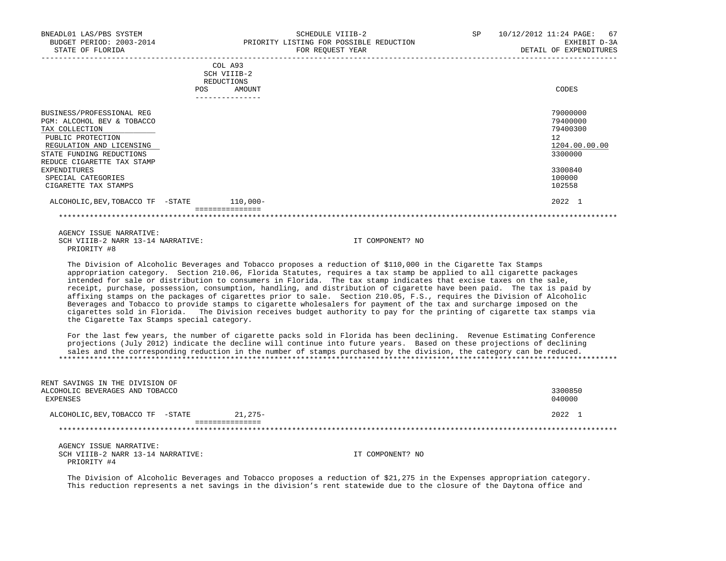| BNEADL01 LAS/PBS SYSTEM<br>BUDGET PERIOD: 2003-2014<br>STATE OF FLORIDA | SCHEDULE VIIIB-2<br>PRIORITY LISTING FOR POSSIBLE REDUCTION<br>FOR REOUEST YEAR | 10/12/2012 11:24 PAGE: 67<br>SP<br>EXHIBIT D-3A<br>DETAIL OF EXPENDITURES |
|-------------------------------------------------------------------------|---------------------------------------------------------------------------------|---------------------------------------------------------------------------|
|                                                                         | COL A93                                                                         |                                                                           |
|                                                                         | SCH VIIIB-2                                                                     |                                                                           |
|                                                                         | REDUCTIONS                                                                      |                                                                           |
|                                                                         | AMOUNT<br>POS                                                                   | CODES                                                                     |
|                                                                         | . _ _ _ _ _ _ _ _ _ _ _ _ _ _                                                   |                                                                           |
| BUSINESS/PROFESSIONAL REG                                               |                                                                                 | 79000000                                                                  |
| PGM: ALCOHOL BEV & TOBACCO                                              |                                                                                 | 79400000                                                                  |
| TAX COLLECTION                                                          |                                                                                 | 79400300                                                                  |
| PUBLIC PROTECTION                                                       |                                                                                 | 12                                                                        |
| REGULATION AND LICENSING                                                |                                                                                 | 1204.00.00.00                                                             |
| STATE FUNDING REDUCTIONS                                                |                                                                                 | 3300000                                                                   |

 REDUCE CIGARETTE TAX STAMP EXPENDITURES 3300840 SPECIAL CATEGORIES 100000 100000 100000 100000 100000 100000 100000 100000 100000 100000 100000 100000 100000 100000 100000 100000 100000 100000 100000 100000 100000 100000 100000 100000 100000 100000 100000 100000 10000 1 CIGARETTE TAX STAMPS

## ALCOHOLIC, BEV, TOBACCO TF -STATE 110,000- 12022 1

===============

\*\*\*\*\*\*\*\*\*\*\*\*\*\*\*\*\*\*\*\*\*\*\*\*\*\*\*\*\*\*\*\*\*\*\*\*\*\*\*\*\*\*\*\*\*\*\*\*\*\*\*\*\*\*\*\*\*\*\*\*\*\*\*\*\*\*\*\*\*\*\*\*\*\*\*\*\*\*\*\*\*\*\*\*\*\*\*\*\*\*\*\*\*\*\*\*\*\*\*\*\*\*\*\*\*\*\*\*\*\*\*\*\*\*\*\*\*\*\*\*\*\*\*\*\*\*\*

 AGENCY ISSUE NARRATIVE: SCH VIIIB-2 NARR 13-14 NARRATIVE: IT COMPONENT? NO PRIORITY #8

 The Division of Alcoholic Beverages and Tobacco proposes a reduction of \$110,000 in the Cigarette Tax Stamps appropriation category. Section 210.06, Florida Statutes, requires a tax stamp be applied to all cigarette packages intended for sale or distribution to consumers in Florida. The tax stamp indicates that excise taxes on the sale, receipt, purchase, possession, consumption, handling, and distribution of cigarette have been paid. The tax is paid by affixing stamps on the packages of cigarettes prior to sale. Section 210.05, F.S., requires the Division of Alcoholic Beverages and Tobacco to provide stamps to cigarette wholesalers for payment of the tax and surcharge imposed on the cigarettes sold in Florida. The Division receives budget authority to pay for the printing of cigarette tax stamps via the Cigarette Tax Stamps special category.

 For the last few years, the number of cigarette packs sold in Florida has been declining. Revenue Estimating Conference projections (July 2012) indicate the decline will continue into future years. Based on these projections of declining sales and the corresponding reduction in the number of stamps purchased by the division, the category can be reduced. \*\*\*\*\*\*\*\*\*\*\*\*\*\*\*\*\*\*\*\*\*\*\*\*\*\*\*\*\*\*\*\*\*\*\*\*\*\*\*\*\*\*\*\*\*\*\*\*\*\*\*\*\*\*\*\*\*\*\*\*\*\*\*\*\*\*\*\*\*\*\*\*\*\*\*\*\*\*\*\*\*\*\*\*\*\*\*\*\*\*\*\*\*\*\*\*\*\*\*\*\*\*\*\*\*\*\*\*\*\*\*\*\*\*\*\*\*\*\*\*\*\*\*\*\*\*\*

| ALCOHOLIC, BEV, TOBACCO TF - STATE                                             | $21.275-$ | 2022              |
|--------------------------------------------------------------------------------|-----------|-------------------|
| RENT SAVINGS IN THE DIVISION OF<br>ALCOHOLIC BEVERAGES AND TOBACCO<br>EXPENSES |           | 3300850<br>040000 |

 AGENCY ISSUE NARRATIVE: SCH VIIIB-2 NARR 13-14 NARRATIVE: IT COMPONENT? NO PRIORITY #4

 The Division of Alcoholic Beverages and Tobacco proposes a reduction of \$21,275 in the Expenses appropriation category. This reduction represents a net savings in the division's rent statewide due to the closure of the Daytona office and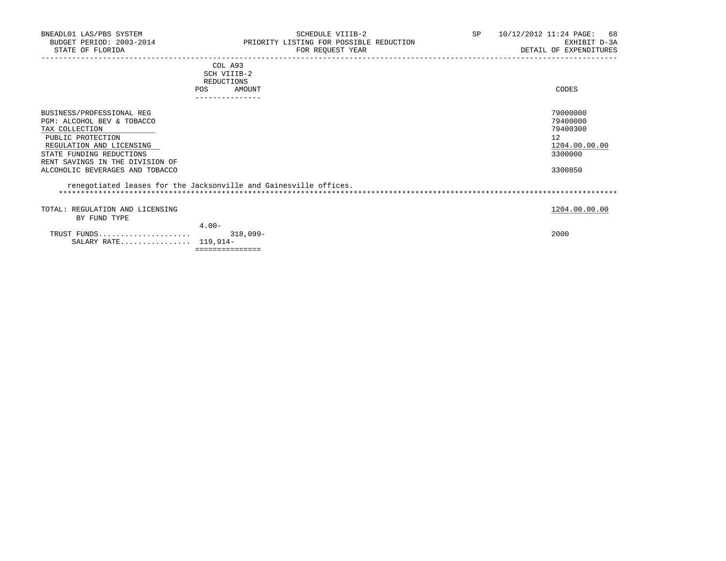| BNEADL01 LAS/PBS SYSTEM<br>BUDGET PERIOD: 2003-2014<br>STATE OF FLORIDA                                                                                                                                                      | SCHEDULE VIIIB-2<br>PRIORITY LISTING FOR POSSIBLE REDUCTION<br>FOR REQUEST YEAR | SP 10/12/2012 11:24 PAGE: 68<br>EXHIBIT D-3A<br>DETAIL OF EXPENDITURES        |  |
|------------------------------------------------------------------------------------------------------------------------------------------------------------------------------------------------------------------------------|---------------------------------------------------------------------------------|-------------------------------------------------------------------------------|--|
|                                                                                                                                                                                                                              | COL A93<br>SCH VIIIB-2<br>REDUCTIONS<br>POS<br>AMOUNT                           | CODES                                                                         |  |
| BUSINESS/PROFESSIONAL REG<br>PGM: ALCOHOL BEV & TOBACCO<br>TAX COLLECTION<br>PUBLIC PROTECTION<br>REGULATION AND LICENSING<br>STATE FUNDING REDUCTIONS<br>RENT SAVINGS IN THE DIVISION OF<br>ALCOHOLIC BEVERAGES AND TOBACCO |                                                                                 | 79000000<br>79400000<br>79400300<br>12<br>1204.00.00.00<br>3300000<br>3300850 |  |
|                                                                                                                                                                                                                              | renegotiated leases for the Jacksonville and Gainesville offices.               |                                                                               |  |
| TOTAL: REGULATION AND LICENSING<br>BY FUND TYPE                                                                                                                                                                              |                                                                                 | 1204.00.00.00                                                                 |  |
| TRUST FUNDS<br>SALARY RATE $119,914-$                                                                                                                                                                                        | $4.00 -$<br>$318,099-$                                                          | 2000                                                                          |  |

===============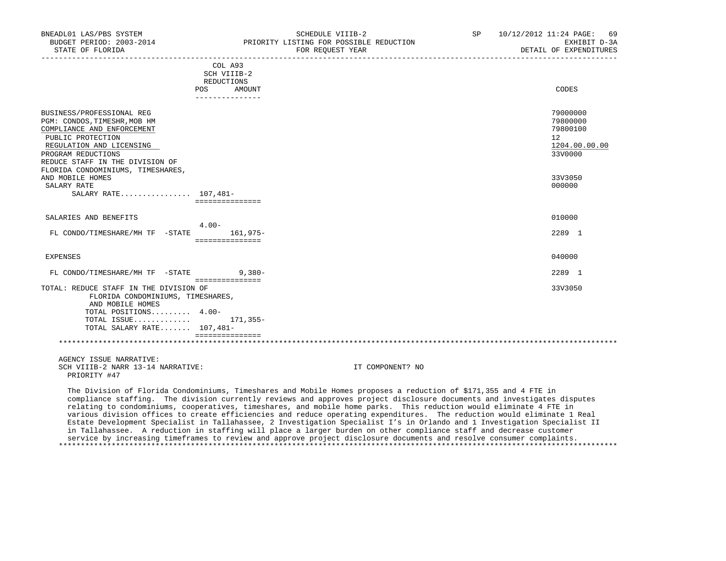| BNEADL01 LAS/PBS SYSTEM<br>BUDGET PERIOD: 2003-2014<br>STATE OF FLORIDA                                                                                                                                                                |                                         | SCHEDULE VIIIB-2<br>PRIORITY LISTING FOR POSSIBLE REDUCTION<br>FOR REQUEST YEAR | SP 10/12/2012 11:24 PAGE: 69<br>EXHIBIT D-3A<br>DETAIL OF EXPENDITURES |
|----------------------------------------------------------------------------------------------------------------------------------------------------------------------------------------------------------------------------------------|-----------------------------------------|---------------------------------------------------------------------------------|------------------------------------------------------------------------|
|                                                                                                                                                                                                                                        | COL A93<br>SCH VIIIB-2<br>REDUCTIONS    |                                                                                 |                                                                        |
|                                                                                                                                                                                                                                        | POS<br>AMOUNT<br>---------------        |                                                                                 | CODES                                                                  |
| BUSINESS/PROFESSIONAL REG<br>PGM: CONDOS, TIMESHR, MOB HM<br>COMPLIANCE AND ENFORCEMENT<br>PUBLIC PROTECTION<br>REGULATION AND LICENSING<br>PROGRAM REDUCTIONS<br>REDUCE STAFF IN THE DIVISION OF<br>FLORIDA CONDOMINIUMS, TIMESHARES, |                                         |                                                                                 | 79000000<br>79800000<br>79800100<br>12<br>1204.00.00.00<br>33V0000     |
| AND MOBILE HOMES<br>SALARY RATE<br>SALARY RATE 107,481-                                                                                                                                                                                | ===============                         |                                                                                 | 33V3050<br>000000                                                      |
| SALARIES AND BENEFITS                                                                                                                                                                                                                  |                                         |                                                                                 | 010000                                                                 |
| FL CONDO/TIMESHARE/MH TF -STATE                                                                                                                                                                                                        | $4.00 -$<br>161,975-<br>=============== |                                                                                 | 2289 1                                                                 |
| EXPENSES                                                                                                                                                                                                                               |                                         |                                                                                 | 040000                                                                 |
| FL CONDO/TIMESHARE/MH TF -STATE                                                                                                                                                                                                        | $9,380-$<br>===============             |                                                                                 | 2289 1                                                                 |
| TOTAL: REDUCE STAFF IN THE DIVISION OF<br>FLORIDA CONDOMINIUMS, TIMESHARES,<br>AND MOBILE HOMES<br>TOTAL POSITIONS 4.00-<br>TOTAL ISSUE $171,355-$<br>TOTAL SALARY RATE 107,481-                                                       | ===============                         |                                                                                 | 33V3050                                                                |
|                                                                                                                                                                                                                                        |                                         |                                                                                 |                                                                        |
| AGENCY ISSUE NARRATIVE:<br>SCH VIIIB-2 NARR 13-14 NARRATIVE:                                                                                                                                                                           |                                         | IT COMPONENT? NO                                                                |                                                                        |

PRIORITY #47

 The Division of Florida Condominiums, Timeshares and Mobile Homes proposes a reduction of \$171,355 and 4 FTE in compliance staffing. The division currently reviews and approves project disclosure documents and investigates disputes relating to condominiums, cooperatives, timeshares, and mobile home parks. This reduction would eliminate 4 FTE in various division offices to create efficiencies and reduce operating expenditures. The reduction would eliminate 1 Real Estate Development Specialist in Tallahassee, 2 Investigation Specialist I's in Orlando and 1 Investigation Specialist II in Tallahassee. A reduction in staffing will place a larger burden on other compliance staff and decrease customer service by increasing timeframes to review and approve project disclosure documents and resolve consumer complaints. \*\*\*\*\*\*\*\*\*\*\*\*\*\*\*\*\*\*\*\*\*\*\*\*\*\*\*\*\*\*\*\*\*\*\*\*\*\*\*\*\*\*\*\*\*\*\*\*\*\*\*\*\*\*\*\*\*\*\*\*\*\*\*\*\*\*\*\*\*\*\*\*\*\*\*\*\*\*\*\*\*\*\*\*\*\*\*\*\*\*\*\*\*\*\*\*\*\*\*\*\*\*\*\*\*\*\*\*\*\*\*\*\*\*\*\*\*\*\*\*\*\*\*\*\*\*\*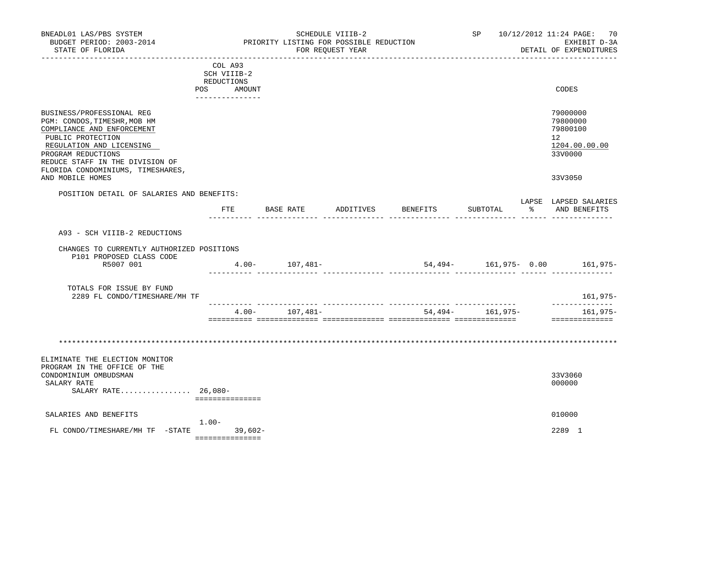| BNEADL01 LAS/PBS SYSTEM<br>BUDGET PERIOD: 2003-2014<br>STATE OF FLORIDA                                                                                                                                                                                    |                                                                       | PRIORITY LISTING FOR POSSIBLE REDUCTION | SCHEDULE VIIIB-2<br>FOR REQUEST YEAR |          |                  |    | SP 10/12/2012 11:24 PAGE: 70<br>EXHIBIT D-3A<br>DETAIL OF EXPENDITURES                     |
|------------------------------------------------------------------------------------------------------------------------------------------------------------------------------------------------------------------------------------------------------------|-----------------------------------------------------------------------|-----------------------------------------|--------------------------------------|----------|------------------|----|--------------------------------------------------------------------------------------------|
|                                                                                                                                                                                                                                                            | COL A93<br>SCH VIIIB-2<br>REDUCTIONS<br>POS AMOUNT<br>--------------- |                                         |                                      |          |                  |    | CODES                                                                                      |
| BUSINESS/PROFESSIONAL REG<br>PGM: CONDOS, TIMESHR, MOB HM<br>COMPLIANCE AND ENFORCEMENT<br>PUBLIC PROTECTION<br>REGULATION AND LICENSING<br>PROGRAM REDUCTIONS<br>REDUCE STAFF IN THE DIVISION OF<br>FLORIDA CONDOMINIUMS, TIMESHARES,<br>AND MOBILE HOMES |                                                                       |                                         |                                      |          |                  |    | 79000000<br>79800000<br>79800100<br>12 <sup>7</sup><br>1204.00.00.00<br>33V0000<br>33V3050 |
| POSITION DETAIL OF SALARIES AND BENEFITS:                                                                                                                                                                                                                  |                                                                       |                                         |                                      |          |                  |    |                                                                                            |
|                                                                                                                                                                                                                                                            |                                                                       | FTE BASE RATE                           | ADDITIVES                            | BENEFITS | SUBTOTAL         | ႜႂ | LAPSE LAPSED SALARIES<br>AND BENEFITS                                                      |
| A93 - SCH VIIIB-2 REDUCTIONS                                                                                                                                                                                                                               |                                                                       |                                         |                                      |          |                  |    |                                                                                            |
| CHANGES TO CURRENTLY AUTHORIZED POSITIONS<br>P101 PROPOSED CLASS CODE<br>R5007 001                                                                                                                                                                         |                                                                       | $4.00 - 107,481 -$                      |                                      |          |                  |    | 54,494- 161,975- 0.00 161,975-                                                             |
| TOTALS FOR ISSUE BY FUND<br>2289 FL CONDO/TIMESHARE/MH TF                                                                                                                                                                                                  |                                                                       |                                         |                                      |          |                  |    | 161,975–                                                                                   |
|                                                                                                                                                                                                                                                            | $4.00 -$                                                              | 107,481–                                |                                      |          | 54,494- 161,975- |    | --------------<br>161,975-<br>==============                                               |
|                                                                                                                                                                                                                                                            |                                                                       |                                         |                                      |          |                  |    |                                                                                            |
| ELIMINATE THE ELECTION MONITOR<br>PROGRAM IN THE OFFICE OF THE<br>CONDOMINIUM OMBUDSMAN<br>SALARY RATE<br>SALARY RATE $26,080-$                                                                                                                            | ===============                                                       |                                         |                                      |          |                  |    | 33V3060<br>000000                                                                          |
| SALARIES AND BENEFITS                                                                                                                                                                                                                                      |                                                                       |                                         |                                      |          |                  |    | 010000                                                                                     |
| FL CONDO/TIMESHARE/MH TF -STATE                                                                                                                                                                                                                            | $1.00 -$<br>$39,602-$<br>===============                              |                                         |                                      |          |                  |    | 2289 1                                                                                     |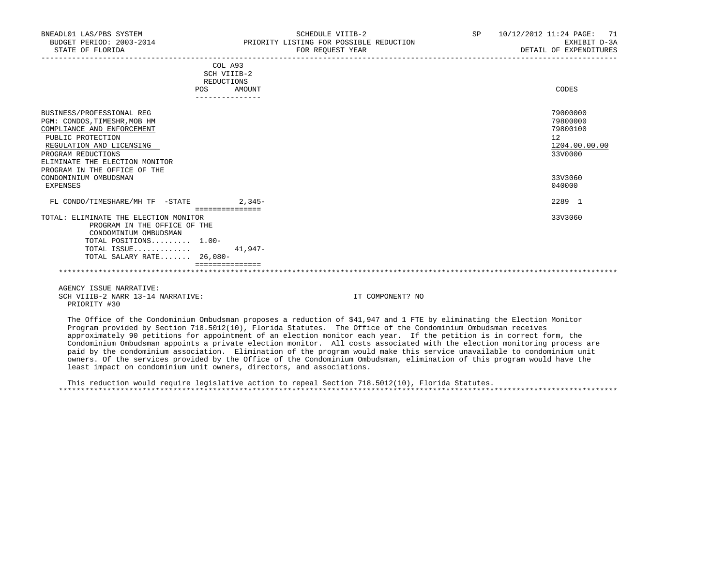| COL A93<br>SCH VIIIB-2<br>REDUCTIONS                                                                                                                                                                                             |          |                                                                    |
|----------------------------------------------------------------------------------------------------------------------------------------------------------------------------------------------------------------------------------|----------|--------------------------------------------------------------------|
| POS                                                                                                                                                                                                                              | AMOUNT   | CODES                                                              |
|                                                                                                                                                                                                                                  |          |                                                                    |
| BUSINESS/PROFESSIONAL REG<br>PGM: CONDOS, TIMESHR, MOB HM<br>COMPLIANCE AND ENFORCEMENT<br>PUBLIC PROTECTION<br>REGULATION AND LICENSING<br>PROGRAM REDUCTIONS<br>ELIMINATE THE ELECTION MONITOR<br>PROGRAM IN THE OFFICE OF THE |          | 79000000<br>79800000<br>79800100<br>12<br>1204.00.00.00<br>33V0000 |
| CONDOMINIUM OMBUDSMAN<br>EXPENSES                                                                                                                                                                                                |          | 33V3060<br>040000                                                  |
| FL CONDO/TIMESHARE/MH TF -STATE<br>===============                                                                                                                                                                               | $2,345-$ | 2289 1                                                             |
| TOTAL: ELIMINATE THE ELECTION MONITOR<br>PROGRAM IN THE OFFICE OF THE<br>CONDOMINIUM OMBUDSMAN<br>TOTAL POSITIONS 1.00-<br>TOTAL ISSUE<br>TOTAL SALARY RATE 26,080-                                                              | 41,947-  | 33V3060                                                            |
|                                                                                                                                                                                                                                  |          |                                                                    |
|                                                                                                                                                                                                                                  |          |                                                                    |
|                                                                                                                                                                                                                                  |          |                                                                    |

 AGENCY ISSUE NARRATIVE: SCH VIIIB-2 NARR 13-14 NARRATIVE: IT COMPONENT? NO PRIORITY #30

 The Office of the Condominium Ombudsman proposes a reduction of \$41,947 and 1 FTE by eliminating the Election Monitor Program provided by Section 718.5012(10), Florida Statutes. The Office of the Condominium Ombudsman receives approximately 90 petitions for appointment of an election monitor each year. If the petition is in correct form, the Condominium Ombudsman appoints a private election monitor. All costs associated with the election monitoring process are paid by the condominium association. Elimination of the program would make this service unavailable to condominium unit owners. Of the services provided by the Office of the Condominium Ombudsman, elimination of this program would have the least impact on condominium unit owners, directors, and associations.

 This reduction would require legislative action to repeal Section 718.5012(10), Florida Statutes. \*\*\*\*\*\*\*\*\*\*\*\*\*\*\*\*\*\*\*\*\*\*\*\*\*\*\*\*\*\*\*\*\*\*\*\*\*\*\*\*\*\*\*\*\*\*\*\*\*\*\*\*\*\*\*\*\*\*\*\*\*\*\*\*\*\*\*\*\*\*\*\*\*\*\*\*\*\*\*\*\*\*\*\*\*\*\*\*\*\*\*\*\*\*\*\*\*\*\*\*\*\*\*\*\*\*\*\*\*\*\*\*\*\*\*\*\*\*\*\*\*\*\*\*\*\*\*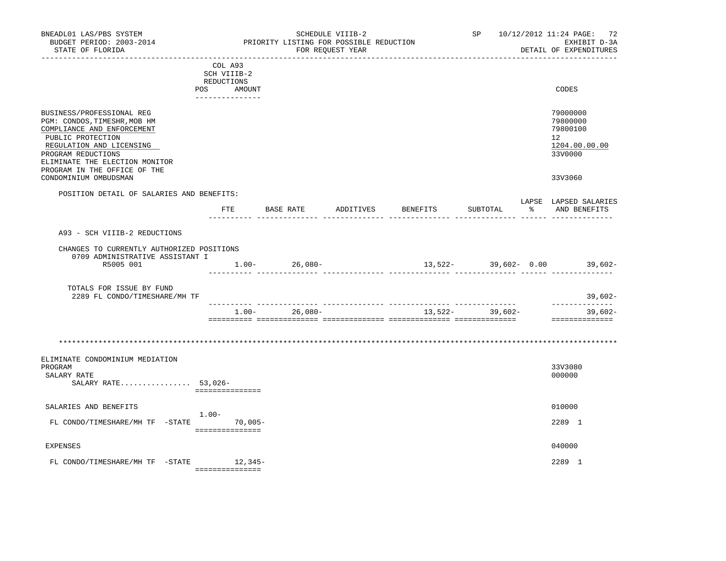| BNEADL01 LAS/PBS SYSTEM<br>BUDGET PERIOD: 2003-2014<br>STATE OF FLORIDA                                                                                                                                                          |                                                                          | SCHEDULE VIIIB-2<br>PRIORITY LISTING FOR POSSIBLE REDUCTION<br>FOR REQUEST YEAR |         |  |                    | ------------------- |    | SP 10/12/2012 11:24 PAGE: 72<br>EXHIBIT D-3A<br>DETAIL OF EXPENDITURES          |
|----------------------------------------------------------------------------------------------------------------------------------------------------------------------------------------------------------------------------------|--------------------------------------------------------------------------|---------------------------------------------------------------------------------|---------|--|--------------------|---------------------|----|---------------------------------------------------------------------------------|
|                                                                                                                                                                                                                                  | COL A93<br>SCH VIIIB-2<br>REDUCTIONS<br>POS<br>AMOUNT<br>_______________ |                                                                                 |         |  |                    |                     |    | CODES                                                                           |
| BUSINESS/PROFESSIONAL REG<br>PGM: CONDOS, TIMESHR, MOB HM<br>COMPLIANCE AND ENFORCEMENT<br>PUBLIC PROTECTION<br>REGULATION AND LICENSING<br>PROGRAM REDUCTIONS<br>ELIMINATE THE ELECTION MONITOR<br>PROGRAM IN THE OFFICE OF THE |                                                                          |                                                                                 |         |  |                    |                     |    | 79000000<br>79800000<br>79800100<br>12 <sup>°</sup><br>1204.00.00.00<br>33V0000 |
| CONDOMINIUM OMBUDSMAN                                                                                                                                                                                                            |                                                                          |                                                                                 |         |  |                    |                     |    | 33V3060                                                                         |
| POSITION DETAIL OF SALARIES AND BENEFITS:                                                                                                                                                                                        |                                                                          | FTE BASE RATE                                                                   |         |  | ADDITIVES BENEFITS | SUBTOTAL            | န္ | LAPSE LAPSED SALARIES<br>AND BENEFITS                                           |
| A93 - SCH VIIIB-2 REDUCTIONS                                                                                                                                                                                                     |                                                                          |                                                                                 |         |  |                    |                     |    |                                                                                 |
| CHANGES TO CURRENTLY AUTHORIZED POSITIONS                                                                                                                                                                                        |                                                                          |                                                                                 |         |  |                    |                     |    |                                                                                 |
| 0709 ADMINISTRATIVE ASSISTANT I<br>R5005 001                                                                                                                                                                                     |                                                                          | $1.00 - 26,080 -$                                                               |         |  |                    |                     |    | $13,522-$ 39,602- 0.00 39,602-                                                  |
| TOTALS FOR ISSUE BY FUND<br>2289 FL CONDO/TIMESHARE/MH TF                                                                                                                                                                        |                                                                          |                                                                                 |         |  |                    |                     |    | $39,602-$                                                                       |
|                                                                                                                                                                                                                                  |                                                                          | $1.00 -$                                                                        | 26,080- |  |                    | $13,522-$ 39,602-   |    | --------------<br>$39,602-$<br>==============                                   |
|                                                                                                                                                                                                                                  |                                                                          |                                                                                 |         |  |                    |                     |    |                                                                                 |
| ELIMINATE CONDOMINIUM MEDIATION<br>PROGRAM<br>SALARY RATE<br>SALARY RATE 53,026-                                                                                                                                                 | ===============                                                          |                                                                                 |         |  |                    |                     |    | 33V3080<br>000000                                                               |
| SALARIES AND BENEFITS                                                                                                                                                                                                            |                                                                          |                                                                                 |         |  |                    |                     |    | 010000                                                                          |
| FL CONDO/TIMESHARE/MH TF -STATE 70,005-                                                                                                                                                                                          | $1.00-$<br>===============                                               |                                                                                 |         |  |                    |                     |    | 2289 1                                                                          |
| <b>EXPENSES</b>                                                                                                                                                                                                                  |                                                                          |                                                                                 |         |  |                    |                     |    | 040000                                                                          |
| FL CONDO/TIMESHARE/MH TF -STATE                                                                                                                                                                                                  | 12,345-<br>----------------                                              |                                                                                 |         |  |                    |                     |    | 2289 1                                                                          |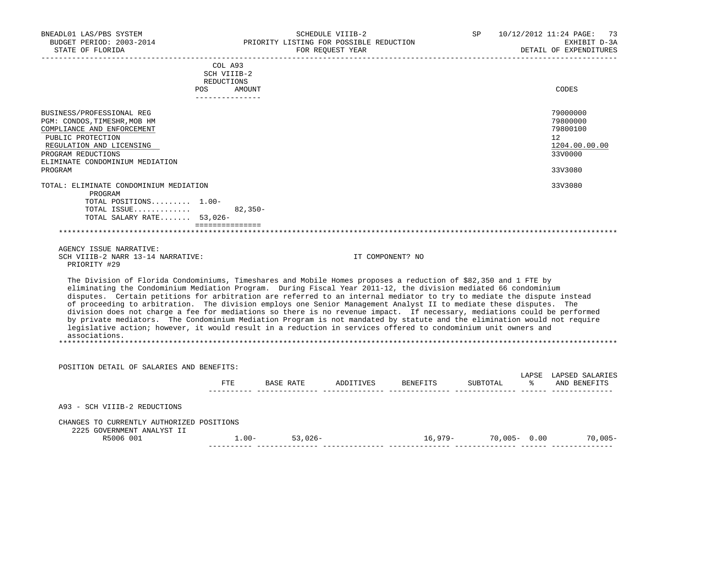| BNEADL01 LAS/PBS SYSTEM<br>BUDGET PERIOD: 2003-2014<br>STATE OF FLORIDA                                                                                                                                                                                                                                                                                                                                                                                                                                                                                                                                                                                                                                                                                                                                                                                                       |                                      | PRIORITY LISTING FOR POSSIBLE REDUCTION<br>FOR REQUEST YEAR | SCHEDULE VIIIB-2 |                                           | SP | 10/12/2012 11:24 PAGE: 73<br>EXHIBIT D-3A<br>DETAIL OF EXPENDITURES           |
|-------------------------------------------------------------------------------------------------------------------------------------------------------------------------------------------------------------------------------------------------------------------------------------------------------------------------------------------------------------------------------------------------------------------------------------------------------------------------------------------------------------------------------------------------------------------------------------------------------------------------------------------------------------------------------------------------------------------------------------------------------------------------------------------------------------------------------------------------------------------------------|--------------------------------------|-------------------------------------------------------------|------------------|-------------------------------------------|----|-------------------------------------------------------------------------------|
|                                                                                                                                                                                                                                                                                                                                                                                                                                                                                                                                                                                                                                                                                                                                                                                                                                                                               | COL A93<br>SCH VIIIB-2<br>REDUCTIONS |                                                             |                  |                                           |    |                                                                               |
|                                                                                                                                                                                                                                                                                                                                                                                                                                                                                                                                                                                                                                                                                                                                                                                                                                                                               | POS AMOUNT<br>---------------        |                                                             |                  |                                           |    | CODES                                                                         |
| BUSINESS/PROFESSIONAL REG<br>PGM: CONDOS, TIMESHR, MOB HM<br>COMPLIANCE AND ENFORCEMENT<br>PUBLIC PROTECTION<br>REGULATION AND LICENSING<br>PROGRAM REDUCTIONS<br>ELIMINATE CONDOMINIUM MEDIATION<br>PROGRAM                                                                                                                                                                                                                                                                                                                                                                                                                                                                                                                                                                                                                                                                  |                                      |                                                             |                  |                                           |    | 79000000<br>79800000<br>79800100<br>12<br>1204.00.00.00<br>33V0000<br>33V3080 |
| TOTAL: ELIMINATE CONDOMINIUM MEDIATION<br>PROGRAM<br>TOTAL POSITIONS 1.00-                                                                                                                                                                                                                                                                                                                                                                                                                                                                                                                                                                                                                                                                                                                                                                                                    |                                      |                                                             |                  |                                           |    | 33V3080                                                                       |
| TOTAL ISSUE<br>TOTAL SALARY RATE 53,026-                                                                                                                                                                                                                                                                                                                                                                                                                                                                                                                                                                                                                                                                                                                                                                                                                                      | $82,350-$<br>================        |                                                             |                  |                                           |    |                                                                               |
|                                                                                                                                                                                                                                                                                                                                                                                                                                                                                                                                                                                                                                                                                                                                                                                                                                                                               |                                      |                                                             |                  |                                           |    |                                                                               |
| AGENCY ISSUE NARRATIVE:<br>SCH VIIIB-2 NARR 13-14 NARRATIVE:<br>PRIORITY #29                                                                                                                                                                                                                                                                                                                                                                                                                                                                                                                                                                                                                                                                                                                                                                                                  |                                      |                                                             | IT COMPONENT? NO |                                           |    |                                                                               |
| The Division of Florida Condominiums, Timeshares and Mobile Homes proposes a reduction of \$82,350 and 1 FTE by<br>eliminating the Condominium Mediation Program. During Fiscal Year 2011-12, the division mediated 66 condominium<br>disputes. Certain petitions for arbitration are referred to an internal mediator to try to mediate the dispute instead<br>of proceeding to arbitration. The division employs one Senior Management Analyst II to mediate these disputes. The<br>division does not charge a fee for mediations so there is no revenue impact. If necessary, mediations could be performed<br>by private mediators. The Condominium Mediation Program is not mandated by statute and the elimination would not require<br>legislative action; however, it would result in a reduction in services offered to condominium unit owners and<br>associations. |                                      |                                                             |                  |                                           |    |                                                                               |
| POSITION DETAIL OF SALARIES AND BENEFITS:                                                                                                                                                                                                                                                                                                                                                                                                                                                                                                                                                                                                                                                                                                                                                                                                                                     |                                      |                                                             |                  |                                           |    |                                                                               |
|                                                                                                                                                                                                                                                                                                                                                                                                                                                                                                                                                                                                                                                                                                                                                                                                                                                                               |                                      |                                                             |                  | FTE BASE RATE ADDITIVES BENEFITS SUBTOTAL |    | LAPSE LAPSED SALARIES<br>% AND BENEFITS                                       |
| A93 - SCH VIIIB-2 REDUCTIONS                                                                                                                                                                                                                                                                                                                                                                                                                                                                                                                                                                                                                                                                                                                                                                                                                                                  |                                      |                                                             |                  |                                           |    |                                                                               |
| CHANGES TO CURRENTLY AUTHORIZED POSITIONS<br>2225 GOVERNMENT ANALYST II                                                                                                                                                                                                                                                                                                                                                                                                                                                                                                                                                                                                                                                                                                                                                                                                       |                                      |                                                             |                  |                                           |    |                                                                               |
| R5006 001                                                                                                                                                                                                                                                                                                                                                                                                                                                                                                                                                                                                                                                                                                                                                                                                                                                                     |                                      | $1.00 - 53,026 -$                                           |                  | $16,979-70,005-0.00$ 70,005-              |    |                                                                               |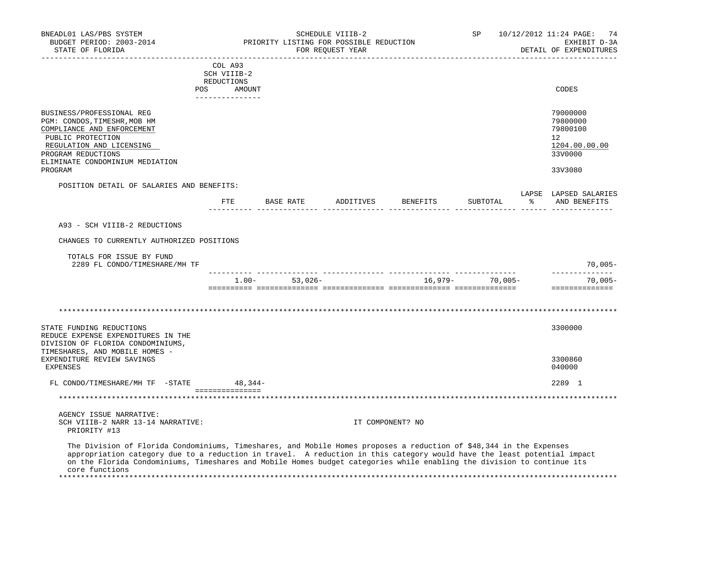| BNEADL01 LAS/PBS SYSTEM<br>BUDGET PERIOD: 2003-2014<br>STATE OF FLORIDA                                                                                                                                                                                                                                                                                                                    |                                                                       | PRIORITY LISTING FOR POSSIBLE REDUCTION | SCHEDULE VIIIB-2<br>FOR REOUEST YEAR |                                     | SP       |               | 10/12/2012 11:24 PAGE:<br>74<br>EXHIBIT D-3A<br>DETAIL OF EXPENDITURES        |
|--------------------------------------------------------------------------------------------------------------------------------------------------------------------------------------------------------------------------------------------------------------------------------------------------------------------------------------------------------------------------------------------|-----------------------------------------------------------------------|-----------------------------------------|--------------------------------------|-------------------------------------|----------|---------------|-------------------------------------------------------------------------------|
|                                                                                                                                                                                                                                                                                                                                                                                            | COL A93<br>SCH VIIIB-2<br>REDUCTIONS<br>POS AMOUNT<br>_______________ |                                         |                                      |                                     |          |               | CODES                                                                         |
| BUSINESS/PROFESSIONAL REG<br>PGM: CONDOS, TIMESHR, MOB HM<br>COMPLIANCE AND ENFORCEMENT<br>PUBLIC PROTECTION<br>REGULATION AND LICENSING<br>PROGRAM REDUCTIONS<br>ELIMINATE CONDOMINIUM MEDIATION<br>PROGRAM                                                                                                                                                                               |                                                                       |                                         |                                      |                                     |          |               | 79000000<br>79800000<br>79800100<br>12<br>1204.00.00.00<br>33V0000<br>33V3080 |
| POSITION DETAIL OF SALARIES AND BENEFITS:                                                                                                                                                                                                                                                                                                                                                  |                                                                       |                                         |                                      |                                     |          |               | LAPSE LAPSED SALARIES                                                         |
|                                                                                                                                                                                                                                                                                                                                                                                            |                                                                       |                                         |                                      | FTE BASE RATE ADDITIVES BENEFITS    | SUBTOTAL | $\frac{5}{6}$ | AND BENEFITS                                                                  |
| A93 - SCH VIIIB-2 REDUCTIONS                                                                                                                                                                                                                                                                                                                                                               |                                                                       |                                         |                                      |                                     |          |               |                                                                               |
| CHANGES TO CURRENTLY AUTHORIZED POSITIONS                                                                                                                                                                                                                                                                                                                                                  |                                                                       |                                         |                                      |                                     |          |               |                                                                               |
| TOTALS FOR ISSUE BY FUND<br>2289 FL CONDO/TIMESHARE/MH TF                                                                                                                                                                                                                                                                                                                                  |                                                                       |                                         |                                      |                                     |          |               | $70,005-$<br>______________                                                   |
|                                                                                                                                                                                                                                                                                                                                                                                            |                                                                       |                                         |                                      | $1.00 - 53,026 - 16,979 - 70,005 -$ |          |               | 70,005-<br>==============                                                     |
|                                                                                                                                                                                                                                                                                                                                                                                            |                                                                       |                                         |                                      |                                     |          |               |                                                                               |
| STATE FUNDING REDUCTIONS<br>REDUCE EXPENSE EXPENDITURES IN THE<br>DIVISION OF FLORIDA CONDOMINIUMS,                                                                                                                                                                                                                                                                                        |                                                                       |                                         |                                      |                                     |          |               | 3300000                                                                       |
| TIMESHARES, AND MOBILE HOMES -<br>EXPENDITURE REVIEW SAVINGS<br><b>EXPENSES</b>                                                                                                                                                                                                                                                                                                            |                                                                       |                                         |                                      |                                     |          |               | 3300860<br>040000                                                             |
| FL CONDO/TIMESHARE/MH TF -STATE 48,344-                                                                                                                                                                                                                                                                                                                                                    |                                                                       |                                         |                                      |                                     |          |               | 2289 1                                                                        |
| *************************************                                                                                                                                                                                                                                                                                                                                                      | ________________                                                      |                                         |                                      |                                     |          |               |                                                                               |
| AGENCY ISSUE NARRATIVE:<br>SCH VIIIB-2 NARR 13-14 NARRATIVE:<br>PRIORITY #13                                                                                                                                                                                                                                                                                                               |                                                                       |                                         |                                      | IT COMPONENT? NO                    |          |               |                                                                               |
| The Division of Florida Condominiums, Timeshares, and Mobile Homes proposes a reduction of \$48,344 in the Expenses<br>appropriation category due to a reduction in travel. A reduction in this category would have the least potential impact<br>on the Florida Condominiums, Timeshares and Mobile Homes budget categories while enabling the division to continue its<br>core functions |                                                                       |                                         |                                      |                                     |          |               |                                                                               |

\*\*\*\*\*\*\*\*\*\*\*\*\*\*\*\*\*\*\*\*\*\*\*\*\*\*\*\*\*\*\*\*\*\*\*\*\*\*\*\*\*\*\*\*\*\*\*\*\*\*\*\*\*\*\*\*\*\*\*\*\*\*\*\*\*\*\*\*\*\*\*\*\*\*\*\*\*\*\*\*\*\*\*\*\*\*\*\*\*\*\*\*\*\*\*\*\*\*\*\*\*\*\*\*\*\*\*\*\*\*\*\*\*\*\*\*\*\*\*\*\*\*\*\*\*\*\*